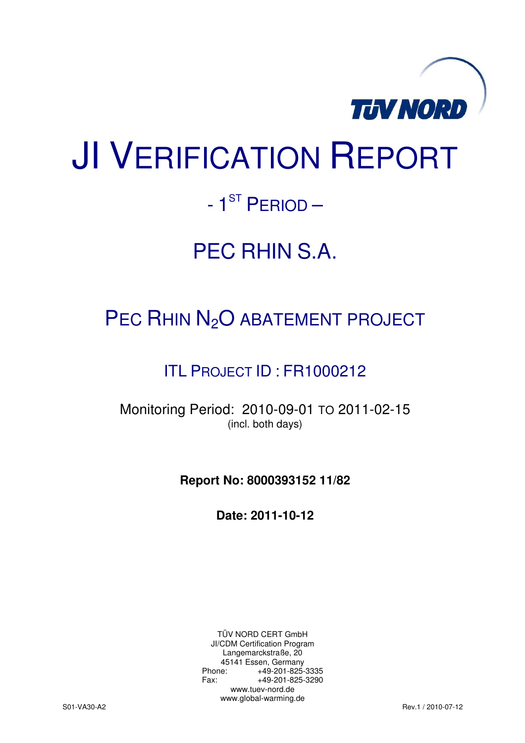

# JI VERIFICATION REPORT

# $-1^\text{ST}$  PERIOD  $-$

# PEC RHIN S.A.

# PEC RHIN N<sub>2</sub>O ABATEMENT PROJECT

# ITL PROJECT ID : FR1000212

Monitoring Period: 2010-09-01 TO 2011-02-15 (incl. both days)

**Report No: 8000393152 11/82** 

**Date: 2011-10-12** 

TÜV NORD CERT GmbH JI/CDM Certification Program Langemarckstraße, 20 45141 Essen, Germany<br>+49-201-825-49 +49-201-825-3335 Fax: +49-201-825-3290 www.tuev-nord.de www.global-warming.de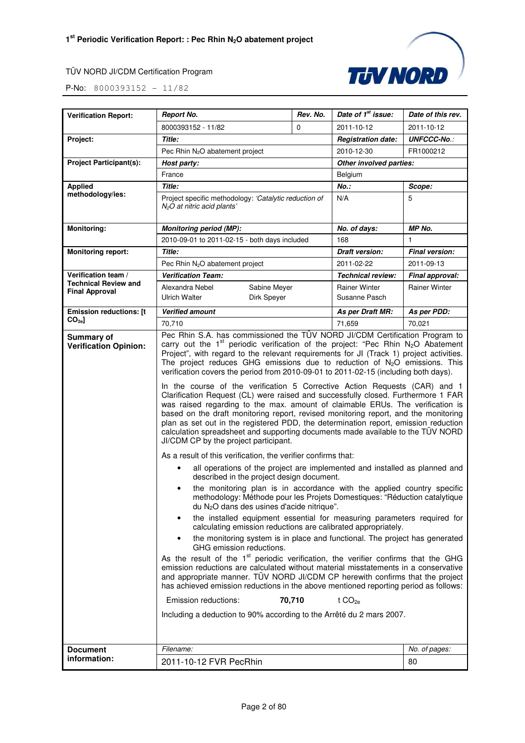

| <b>Verification Report:</b>                          | <b>Report No.</b>                                                                                                                                                                                                                                                                                                                                                                                                                                                                                                                                                                                                                                                                                                                                                                                                                                                                                                                                                                                                                                                                                                                                                                                                                                                                                                                                                                                                                                                                                                                                                                                                                                                                                                                                                                                                                                                                                                                                                                                                                                                                                                                                                                | Rev. No. | Date of 1 <sup>st</sup> issue:        | Date of this rev.     |
|------------------------------------------------------|----------------------------------------------------------------------------------------------------------------------------------------------------------------------------------------------------------------------------------------------------------------------------------------------------------------------------------------------------------------------------------------------------------------------------------------------------------------------------------------------------------------------------------------------------------------------------------------------------------------------------------------------------------------------------------------------------------------------------------------------------------------------------------------------------------------------------------------------------------------------------------------------------------------------------------------------------------------------------------------------------------------------------------------------------------------------------------------------------------------------------------------------------------------------------------------------------------------------------------------------------------------------------------------------------------------------------------------------------------------------------------------------------------------------------------------------------------------------------------------------------------------------------------------------------------------------------------------------------------------------------------------------------------------------------------------------------------------------------------------------------------------------------------------------------------------------------------------------------------------------------------------------------------------------------------------------------------------------------------------------------------------------------------------------------------------------------------------------------------------------------------------------------------------------------------|----------|---------------------------------------|-----------------------|
|                                                      | 8000393152 - 11/82                                                                                                                                                                                                                                                                                                                                                                                                                                                                                                                                                                                                                                                                                                                                                                                                                                                                                                                                                                                                                                                                                                                                                                                                                                                                                                                                                                                                                                                                                                                                                                                                                                                                                                                                                                                                                                                                                                                                                                                                                                                                                                                                                               | $\Omega$ | 2011-10-12                            | 2011-10-12            |
| Project:                                             | <b>Title:</b>                                                                                                                                                                                                                                                                                                                                                                                                                                                                                                                                                                                                                                                                                                                                                                                                                                                                                                                                                                                                                                                                                                                                                                                                                                                                                                                                                                                                                                                                                                                                                                                                                                                                                                                                                                                                                                                                                                                                                                                                                                                                                                                                                                    |          | <b>Registration date:</b>             | <b>UNFCCC-No.:</b>    |
|                                                      | Pec Rhin N <sub>2</sub> O abatement project                                                                                                                                                                                                                                                                                                                                                                                                                                                                                                                                                                                                                                                                                                                                                                                                                                                                                                                                                                                                                                                                                                                                                                                                                                                                                                                                                                                                                                                                                                                                                                                                                                                                                                                                                                                                                                                                                                                                                                                                                                                                                                                                      |          | 2010-12-30                            | FR1000212             |
| <b>Project Participant(s):</b>                       | Host party:                                                                                                                                                                                                                                                                                                                                                                                                                                                                                                                                                                                                                                                                                                                                                                                                                                                                                                                                                                                                                                                                                                                                                                                                                                                                                                                                                                                                                                                                                                                                                                                                                                                                                                                                                                                                                                                                                                                                                                                                                                                                                                                                                                      |          | Other involved parties:               |                       |
|                                                      | France                                                                                                                                                                                                                                                                                                                                                                                                                                                                                                                                                                                                                                                                                                                                                                                                                                                                                                                                                                                                                                                                                                                                                                                                                                                                                                                                                                                                                                                                                                                                                                                                                                                                                                                                                                                                                                                                                                                                                                                                                                                                                                                                                                           |          | Belgium                               |                       |
| <b>Applied</b>                                       | Title:                                                                                                                                                                                                                                                                                                                                                                                                                                                                                                                                                                                                                                                                                                                                                                                                                                                                                                                                                                                                                                                                                                                                                                                                                                                                                                                                                                                                                                                                                                                                                                                                                                                                                                                                                                                                                                                                                                                                                                                                                                                                                                                                                                           |          | $No.$ :                               | Scope:                |
| methodology/ies:                                     | Project specific methodology: 'Catalytic reduction of<br>$N2O$ at nitric acid plants'                                                                                                                                                                                                                                                                                                                                                                                                                                                                                                                                                                                                                                                                                                                                                                                                                                                                                                                                                                                                                                                                                                                                                                                                                                                                                                                                                                                                                                                                                                                                                                                                                                                                                                                                                                                                                                                                                                                                                                                                                                                                                            |          | N/A                                   | 5                     |
| <b>Monitoring:</b>                                   | <b>Monitoring period (MP):</b>                                                                                                                                                                                                                                                                                                                                                                                                                                                                                                                                                                                                                                                                                                                                                                                                                                                                                                                                                                                                                                                                                                                                                                                                                                                                                                                                                                                                                                                                                                                                                                                                                                                                                                                                                                                                                                                                                                                                                                                                                                                                                                                                                   |          | No. of days:                          | MP No.                |
|                                                      | 2010-09-01 to 2011-02-15 - both days included                                                                                                                                                                                                                                                                                                                                                                                                                                                                                                                                                                                                                                                                                                                                                                                                                                                                                                                                                                                                                                                                                                                                                                                                                                                                                                                                                                                                                                                                                                                                                                                                                                                                                                                                                                                                                                                                                                                                                                                                                                                                                                                                    |          | 168                                   | $\mathbf{1}$          |
| <b>Monitoring report:</b>                            | Title:                                                                                                                                                                                                                                                                                                                                                                                                                                                                                                                                                                                                                                                                                                                                                                                                                                                                                                                                                                                                                                                                                                                                                                                                                                                                                                                                                                                                                                                                                                                                                                                                                                                                                                                                                                                                                                                                                                                                                                                                                                                                                                                                                                           |          | Draft version:                        | <b>Final version:</b> |
|                                                      | Pec Rhin $N_2O$ abatement project                                                                                                                                                                                                                                                                                                                                                                                                                                                                                                                                                                                                                                                                                                                                                                                                                                                                                                                                                                                                                                                                                                                                                                                                                                                                                                                                                                                                                                                                                                                                                                                                                                                                                                                                                                                                                                                                                                                                                                                                                                                                                                                                                |          | 2011-02-22                            | 2011-09-13            |
| Verification team /                                  | <b>Verification Team:</b>                                                                                                                                                                                                                                                                                                                                                                                                                                                                                                                                                                                                                                                                                                                                                                                                                                                                                                                                                                                                                                                                                                                                                                                                                                                                                                                                                                                                                                                                                                                                                                                                                                                                                                                                                                                                                                                                                                                                                                                                                                                                                                                                                        |          | <b>Technical review:</b>              | Final approval:       |
| <b>Technical Review and</b><br><b>Final Approval</b> | Alexandra Nebel<br>Sabine Meyer<br><b>Ulrich Walter</b><br>Dirk Speyer                                                                                                                                                                                                                                                                                                                                                                                                                                                                                                                                                                                                                                                                                                                                                                                                                                                                                                                                                                                                                                                                                                                                                                                                                                                                                                                                                                                                                                                                                                                                                                                                                                                                                                                                                                                                                                                                                                                                                                                                                                                                                                           |          | <b>Rainer Winter</b><br>Susanne Pasch | <b>Rainer Winter</b>  |
| <b>Emission reductions: [t</b>                       | <b>Verified amount</b>                                                                                                                                                                                                                                                                                                                                                                                                                                                                                                                                                                                                                                                                                                                                                                                                                                                                                                                                                                                                                                                                                                                                                                                                                                                                                                                                                                                                                                                                                                                                                                                                                                                                                                                                                                                                                                                                                                                                                                                                                                                                                                                                                           |          | As per Draft MR:                      | As per PDD:           |
| CO <sub>2e</sub>                                     | 70,710                                                                                                                                                                                                                                                                                                                                                                                                                                                                                                                                                                                                                                                                                                                                                                                                                                                                                                                                                                                                                                                                                                                                                                                                                                                                                                                                                                                                                                                                                                                                                                                                                                                                                                                                                                                                                                                                                                                                                                                                                                                                                                                                                                           |          | 71,659                                | 70,021                |
| Summary of<br><b>Verification Opinion:</b>           | Pec Rhin S.A. has commissioned the TÜV NORD JI/CDM Certification Program to<br>carry out the 1 <sup>st</sup> periodic verification of the project: "Pec Rhin $N_2O$ Abatement<br>Project", with regard to the relevant requirements for JI (Track 1) project activities.<br>The project reduces GHG emissions due to reduction of $N_2O$ emissions. This<br>verification covers the period from 2010-09-01 to 2011-02-15 (including both days).<br>In the course of the verification 5 Corrective Action Requests (CAR) and 1<br>Clarification Request (CL) were raised and successfully closed. Furthermore 1 FAR<br>was raised regarding to the max. amount of claimable ERUs. The verification is<br>based on the draft monitoring report, revised monitoring report, and the monitoring<br>plan as set out in the registered PDD, the determination report, emission reduction<br>calculation spreadsheet and supporting documents made available to the TÜV NORD<br>JI/CDM CP by the project participant.<br>As a result of this verification, the verifier confirms that:<br>all operations of the project are implemented and installed as planned and<br>described in the project design document.<br>the monitoring plan is in accordance with the applied country specific<br>$\bullet$<br>methodology: Méthode pour les Projets Domestiques: "Réduction catalytique<br>du N <sub>2</sub> O dans des usines d'acide nitrique".<br>the installed equipment essential for measuring parameters required for<br>٠<br>calculating emission reductions are calibrated appropriately.<br>the monitoring system is in place and functional. The project has generated<br>GHG emission reductions.<br>As the result of the 1 <sup>st</sup> periodic verification, the verifier confirms that the GHG<br>emission reductions are calculated without material misstatements in a conservative<br>and appropriate manner. TUV NORD JI/CDM CP herewith confirms that the project<br>has achieved emission reductions in the above mentioned reporting period as follows:<br>70,710<br>Emission reductions:<br>Including a deduction to 90% according to the Arrêté du 2 mars 2007. |          | t $CO2a$                              |                       |
| <b>Document</b>                                      | Filename:                                                                                                                                                                                                                                                                                                                                                                                                                                                                                                                                                                                                                                                                                                                                                                                                                                                                                                                                                                                                                                                                                                                                                                                                                                                                                                                                                                                                                                                                                                                                                                                                                                                                                                                                                                                                                                                                                                                                                                                                                                                                                                                                                                        |          |                                       | No. of pages:         |
| information:                                         | 2011-10-12 FVR PecRhin                                                                                                                                                                                                                                                                                                                                                                                                                                                                                                                                                                                                                                                                                                                                                                                                                                                                                                                                                                                                                                                                                                                                                                                                                                                                                                                                                                                                                                                                                                                                                                                                                                                                                                                                                                                                                                                                                                                                                                                                                                                                                                                                                           |          |                                       | 80                    |
|                                                      |                                                                                                                                                                                                                                                                                                                                                                                                                                                                                                                                                                                                                                                                                                                                                                                                                                                                                                                                                                                                                                                                                                                                                                                                                                                                                                                                                                                                                                                                                                                                                                                                                                                                                                                                                                                                                                                                                                                                                                                                                                                                                                                                                                                  |          |                                       |                       |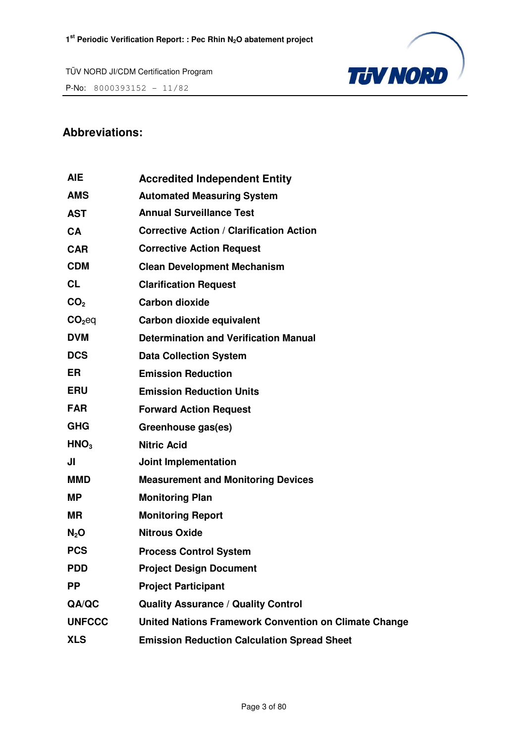TÜV NORD JI/CDM Certification Program **P-No:** 800039315<u>2 - 11/82</u>



# **Abbreviations:**

| <b>AIE</b>       | <b>Accredited Independent Entity</b>                         |
|------------------|--------------------------------------------------------------|
| <b>AMS</b>       | <b>Automated Measuring System</b>                            |
| <b>AST</b>       | <b>Annual Surveillance Test</b>                              |
| <b>CA</b>        | <b>Corrective Action / Clarification Action</b>              |
| <b>CAR</b>       | <b>Corrective Action Request</b>                             |
| <b>CDM</b>       | <b>Clean Development Mechanism</b>                           |
| <b>CL</b>        | <b>Clarification Request</b>                                 |
| CO <sub>2</sub>  | <b>Carbon dioxide</b>                                        |
| $CO2$ eq         | Carbon dioxide equivalent                                    |
| <b>DVM</b>       | <b>Determination and Verification Manual</b>                 |
| <b>DCS</b>       | <b>Data Collection System</b>                                |
| <b>ER</b>        | <b>Emission Reduction</b>                                    |
| <b>ERU</b>       | <b>Emission Reduction Units</b>                              |
| <b>FAR</b>       | <b>Forward Action Request</b>                                |
| <b>GHG</b>       | Greenhouse gas(es)                                           |
| HNO <sub>3</sub> | <b>Nitric Acid</b>                                           |
| JI               | <b>Joint Implementation</b>                                  |
| <b>MMD</b>       | <b>Measurement and Monitoring Devices</b>                    |
| <b>MP</b>        | <b>Monitoring Plan</b>                                       |
| <b>MR</b>        | <b>Monitoring Report</b>                                     |
| $N_2$ O          | <b>Nitrous Oxide</b>                                         |
| <b>PCS</b>       | <b>Process Control System</b>                                |
| <b>PDD</b>       | <b>Project Design Document</b>                               |
| <b>PP</b>        | <b>Project Participant</b>                                   |
| QA/QC            | <b>Quality Assurance / Quality Control</b>                   |
| <b>UNFCCC</b>    | <b>United Nations Framework Convention on Climate Change</b> |
| <b>XLS</b>       | <b>Emission Reduction Calculation Spread Sheet</b>           |
|                  |                                                              |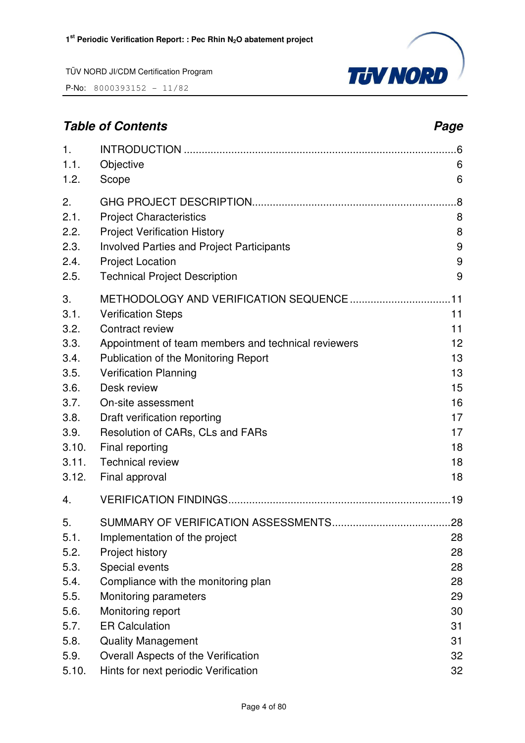P-No: 8000393152 - 11/82



# **Table of Contents Page 2014**

| 1.<br>1.1.<br>1.2. | Objective<br>Scope                                  | 6<br>6 |
|--------------------|-----------------------------------------------------|--------|
| 2.                 |                                                     | .8     |
| 2.1.               | <b>Project Characteristics</b>                      | 8      |
| 2.2.               | <b>Project Verification History</b>                 | 8      |
| 2.3.               | <b>Involved Parties and Project Participants</b>    | 9      |
| 2.4.               | <b>Project Location</b>                             | 9      |
| 2.5.               | <b>Technical Project Description</b>                | 9      |
| 3.                 |                                                     |        |
| 3.1.               | <b>Verification Steps</b>                           | 11     |
| 3.2.               | Contract review                                     | 11     |
| 3.3.               | Appointment of team members and technical reviewers | 12     |
| 3.4.               | Publication of the Monitoring Report                | 13     |
| 3.5.               | <b>Verification Planning</b>                        | 13     |
| 3.6.               | Desk review                                         | 15     |
| 3.7.               | On-site assessment                                  | 16     |
| 3.8.               | Draft verification reporting                        | 17     |
| 3.9.               | Resolution of CARs, CLs and FARs                    | 17     |
| 3.10.              | Final reporting                                     | 18     |
| 3.11.              | <b>Technical review</b>                             | 18     |
| 3.12.              | Final approval                                      | 18     |
| 4.                 |                                                     |        |
| 5.                 |                                                     |        |
| 5.1.               | Implementation of the project                       | 28     |
| 5.2.               | Project history                                     | 28     |
| 5.3.               | Special events                                      | 28     |
| 5.4.               | Compliance with the monitoring plan                 | 28     |
| 5.5.               | Monitoring parameters                               | 29     |
| 5.6.               | Monitoring report                                   | 30     |
| 5.7.               | <b>ER Calculation</b>                               | 31     |
| 5.8.               | <b>Quality Management</b>                           | 31     |
| 5.9.               | Overall Aspects of the Verification                 | 32     |
| 5.10.              | Hints for next periodic Verification                | 32     |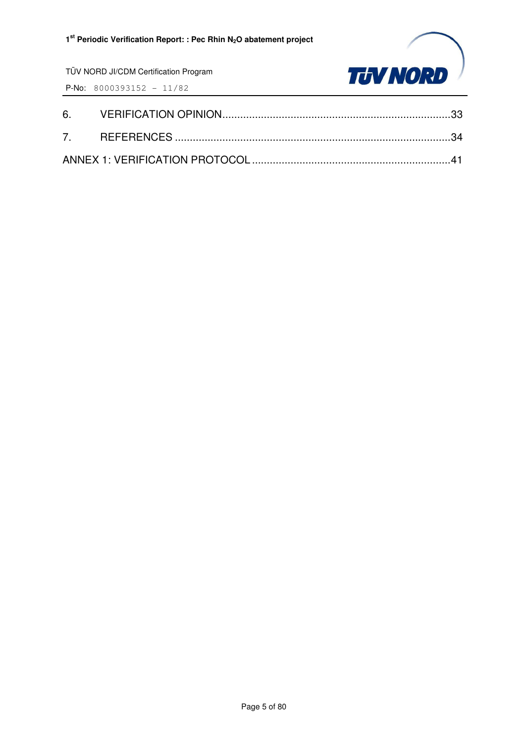

TÜV NORD JI/CDM Certification Program P-No: 8000393152 - 11/82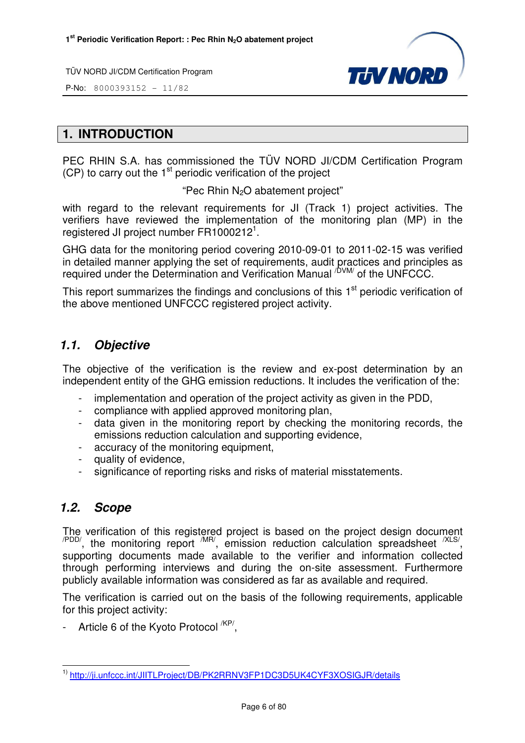

P-No: 8000393152 - 11/82

# **1. INTRODUCTION**

PEC RHIN S.A. has commissioned the TÜV NORD JI/CDM Certification Program  $(CP)$  to carry out the 1<sup>st</sup> periodic verification of the project

"Pec Rhin  $N_2O$  abatement project"

with regard to the relevant requirements for JI (Track 1) project activities. The verifiers have reviewed the implementation of the monitoring plan (MP) in the registered JI project number FR1000212<sup>1</sup>.

GHG data for the monitoring period covering 2010-09-01 to 2011-02-15 was verified in detailed manner applying the set of requirements, audit practices and principles as required under the Determination and Verification Manual <sup>/DVM/</sup> of the UNFCCC.

This report summarizes the findings and conclusions of this 1<sup>st</sup> periodic verification of the above mentioned UNFCCC registered project activity.

# **1.1. Objective**

The objective of the verification is the review and ex-post determination by an independent entity of the GHG emission reductions. It includes the verification of the:

- implementation and operation of the project activity as given in the PDD,
- compliance with applied approved monitoring plan,
- data given in the monitoring report by checking the monitoring records, the emissions reduction calculation and supporting evidence,
- accuracy of the monitoring equipment,
- quality of evidence,
- significance of reporting risks and risks of material misstatements.

# **1.2. Scope**

The verification of this registered project is based on the project design document  $\alpha$ <sup>PDD/</sup>, the monitoring report  $\alpha$ <sup>MR/</sup>, emission reduction calculation spreadsheet  $\alpha$ <sup>XLS/</sup>, supporting documents made available to the verifier and information collected through performing interviews and during the on-site assessment. Furthermore publicly available information was considered as far as available and required.

The verification is carried out on the basis of the following requirements, applicable for this project activity:

- Article 6 of the Kyoto Protocol <sup>/KP/</sup>,

l 1) http://ji.unfccc.int/JIITLProject/DB/PK2RRNV3FP1DC3D5UK4CYF3XOSIGJR/details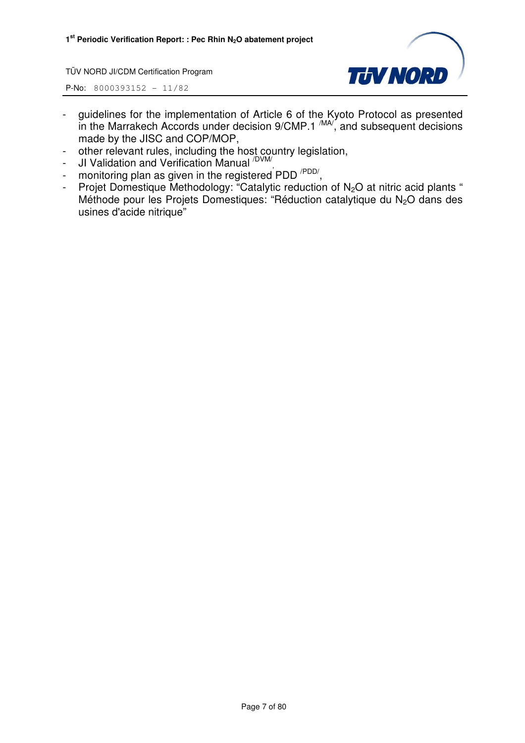

- guidelines for the implementation of Article 6 of the Kyoto Protocol as presented in the Marrakech Accords under decision  $9/CMP.1 \frac{MAV}{M}$ , and subsequent decisions made by the JISC and COP/MOP,
- other relevant rules, including the host country legislation,
- JI Validation and Verification Manual <sup>/DVM/</sup>,
- monitoring plan as given in the registered PDD<sup>/PDD/</sup>,
- Projet Domestique Methodology: "Catalytic reduction of  $N_2O$  at nitric acid plants " Méthode pour les Projets Domestiques: "Réduction catalytique du N<sub>2</sub>O dans des usines d'acide nitrique"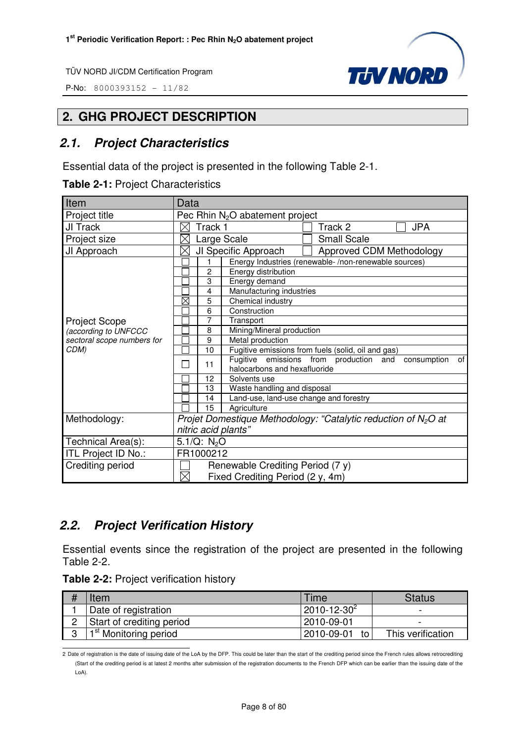P-No: 8000393152 - 11/82



# **2. GHG PROJECT DESCRIPTION**

# **2.1. Project Characteristics**

Essential data of the project is presented in the following Table 2-1.

|  |  | Table 2-1: Project Characteristics |
|--|--|------------------------------------|
|--|--|------------------------------------|

| Item                       | Data                                                              |  |  |
|----------------------------|-------------------------------------------------------------------|--|--|
| Project title              | Pec Rhin N <sub>2</sub> O abatement project                       |  |  |
| JI Track                   | Track 1<br>Track 2<br><b>JPA</b>                                  |  |  |
| Project size               | <b>Small Scale</b><br>Large Scale<br>Х                            |  |  |
| JI Approach                | JI Specific Approach<br>Approved CDM Methodology<br>$\times$      |  |  |
|                            | Energy Industries (renewable-/non-renewable sources)              |  |  |
|                            | $\overline{c}$<br>Energy distribution                             |  |  |
|                            | 3<br>Energy demand                                                |  |  |
|                            | Manufacturing industries<br>4                                     |  |  |
|                            | $\boxtimes$<br>Chemical industry<br>5                             |  |  |
|                            | Construction<br>6                                                 |  |  |
| <b>Project Scope</b>       | 7<br>Transport                                                    |  |  |
| (according to UNFCCC       | Mining/Mineral production<br>8                                    |  |  |
| sectoral scope numbers for | 9<br>Metal production                                             |  |  |
| CDM)                       | Fugitive emissions from fuels (solid, oil and gas)<br>10          |  |  |
|                            | Fugitive emissions from production and<br>consumption<br>of<br>11 |  |  |
|                            | halocarbons and hexafluoride                                      |  |  |
|                            | 12<br>Solvents use                                                |  |  |
|                            | Waste handling and disposal<br>13                                 |  |  |
|                            | Land-use, land-use change and forestry<br>14                      |  |  |
|                            | 15<br>Agriculture                                                 |  |  |
| Methodology:               | Projet Domestique Methodology: "Catalytic reduction of $N_2O$ at  |  |  |
|                            | nitric acid plants"                                               |  |  |
| Technical Area(s):         | 5.1/Q: $N_2O$                                                     |  |  |
| ITL Project ID No.:        | FR1000212                                                         |  |  |
| Crediting period           | Renewable Crediting Period (7 y)                                  |  |  |
|                            | $\times$<br>Fixed Crediting Period (2 y, 4m)                      |  |  |

# **2.2. Project Verification History**

Essential events since the registration of the project are presented in the following Table 2-2.

|  |  |  | Table 2-2: Project verification history |  |
|--|--|--|-----------------------------------------|--|
|--|--|--|-----------------------------------------|--|

|   | Item                              | Time               | Status            |
|---|-----------------------------------|--------------------|-------------------|
|   | Date of registration              | $2010 - 12 - 30^2$ | -                 |
|   | Start of crediting period         | l 2010-09-01       |                   |
| C | 1 <sup>st</sup> Monitoring period | 2010-09-01 to      | This verification |

 2 Date of registration is the date of issuing date of the LoA by the DFP. This could be later than the start of the crediting period since the French rules allows retrocrediting (Start of the crediting period is at latest 2 months after submission of the registration documents to the French DFP which can be earlier than the issuing date of the LoA).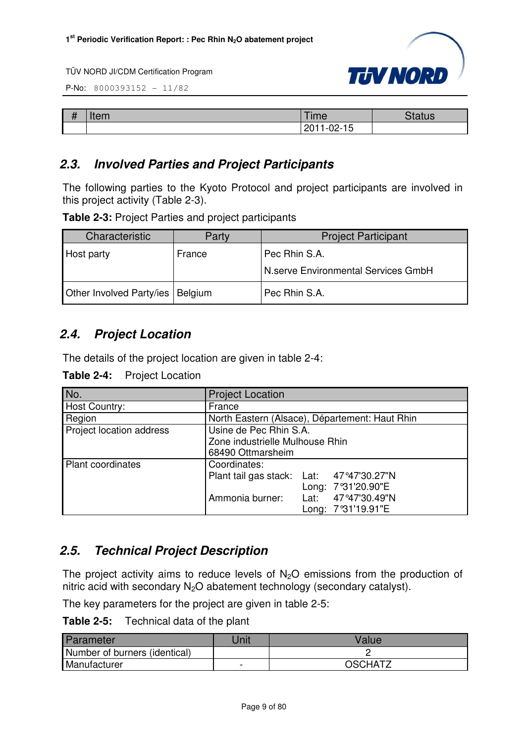

P-No: 8000393152 - 11/82

| п<br>m<br>$\boldsymbol{\pi}$ | $+22$<br>ченг | 「ime                                 | $\sim$<br>itatus |
|------------------------------|---------------|--------------------------------------|------------------|
|                              |               | <sup>11-02-</sup> 1ป<br>0011<br>∴ ∠∪ |                  |

# **2.3. Involved Parties and Project Participants**

The following parties to the Kyoto Protocol and project participants are involved in this project activity (Table 2-3).

**Table 2-3:** Project Parties and project participants

| Characteristic           | Party   | <b>Project Participant</b>          |
|--------------------------|---------|-------------------------------------|
| Host party               | France  | Pec Rhin S.A.                       |
|                          |         | N.serve Environmental Services GmbH |
| Other Involved Party/ies | Belgium | Pec Rhin S.A.                       |

# **2.4. Project Location**

The details of the project location are given in table 2-4:

| Table 2-4: | <b>Project Location</b> |
|------------|-------------------------|
|------------|-------------------------|

| No.                      | <b>Project Location</b>                                                                                                                       |
|--------------------------|-----------------------------------------------------------------------------------------------------------------------------------------------|
| Host Country:            | France                                                                                                                                        |
| Region                   | North Eastern (Alsace), Département: Haut Rhin                                                                                                |
| Project location address | Usine de Pec Rhin S.A.<br>Zone industrielle Mulhouse Rhin<br>68490 Ottmarsheim                                                                |
| <b>Plant coordinates</b> | Coordinates:<br>Plant tail gas stack: Lat: 47°47'30.27"N<br>Long: 7°31'20.90"E<br>Ammonia burner:<br>Lat: 47°47'30.49"N<br>Long: 7°31'19.91"E |

# **2.5. Technical Project Description**

The project activity aims to reduce levels of  $N_2O$  emissions from the production of nitric acid with secondary  $N_2O$  abatement technology (secondary catalyst).

The key parameters for the project are given in table 2-5:

**Table 2-5:** Technical data of the plant

| <b>Parameter</b>              | <b>Init</b> | Value   |
|-------------------------------|-------------|---------|
| Number of burners (identical) |             |         |
| Manufacturer                  | -           | OSCHATZ |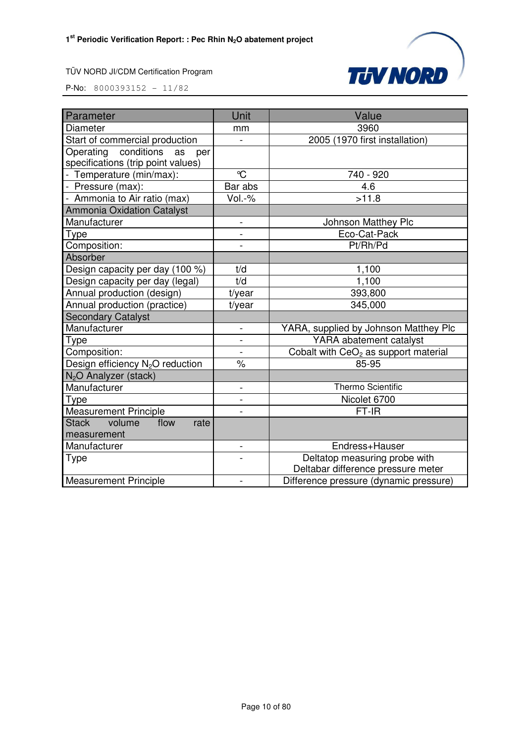

| Parameter                                    | Unit                     | Value                                  |
|----------------------------------------------|--------------------------|----------------------------------------|
| <b>Diameter</b>                              | mm                       | 3960                                   |
| Start of commercial production               |                          | 2005 (1970 first installation)         |
| Operating conditions<br>as<br>per            |                          |                                        |
| specifications (trip point values)           |                          |                                        |
| - Temperature (min/max):                     | $\mathrm{C}$             | 740 - 920                              |
| - Pressure (max):                            | Bar abs                  | 4.6                                    |
| - Ammonia to Air ratio (max)                 | Vol.-%                   | >11.8                                  |
| <b>Ammonia Oxidation Catalyst</b>            |                          |                                        |
| Manufacturer                                 | $\overline{a}$           | <b>Johnson Matthey Plc</b>             |
| <b>Type</b>                                  |                          | Eco-Cat-Pack                           |
| Composition:                                 | $\overline{a}$           | Pt/Rh/Pd                               |
| Absorber                                     |                          |                                        |
| Design capacity per day (100 %)              | t/d                      | 1,100                                  |
| Design capacity per day (legal)              | t/d                      | 1,100                                  |
| Annual production (design)                   | t/year                   | 393,800                                |
| Annual production (practice)                 | t/year                   | 345,000                                |
| <b>Secondary Catalyst</b>                    |                          |                                        |
| Manufacturer                                 | $\overline{\phantom{0}}$ | YARA, supplied by Johnson Matthey Plc  |
| Type                                         |                          | YARA abatement catalyst                |
| Composition:                                 | $\overline{\phantom{0}}$ | Cobalt with $CeO2$ as support material |
| Design efficiency N <sub>2</sub> O reduction | $\frac{1}{2}$            | 85-95                                  |
| N <sub>2</sub> O Analyzer (stack)            |                          |                                        |
| Manufacturer                                 | $\overline{\phantom{0}}$ | <b>Thermo Scientific</b>               |
| Type                                         |                          | Nicolet 6700                           |
| <b>Measurement Principle</b>                 |                          | FT-IR                                  |
| <b>Stack</b><br>volume<br>flow<br>rate       |                          |                                        |
| measurement                                  |                          |                                        |
| Manufacturer                                 | $\overline{a}$           | Endress+Hauser                         |
| <b>Type</b>                                  |                          | Deltatop measuring probe with          |
|                                              |                          | Deltabar difference pressure meter     |
| <b>Measurement Principle</b>                 |                          | Difference pressure (dynamic pressure) |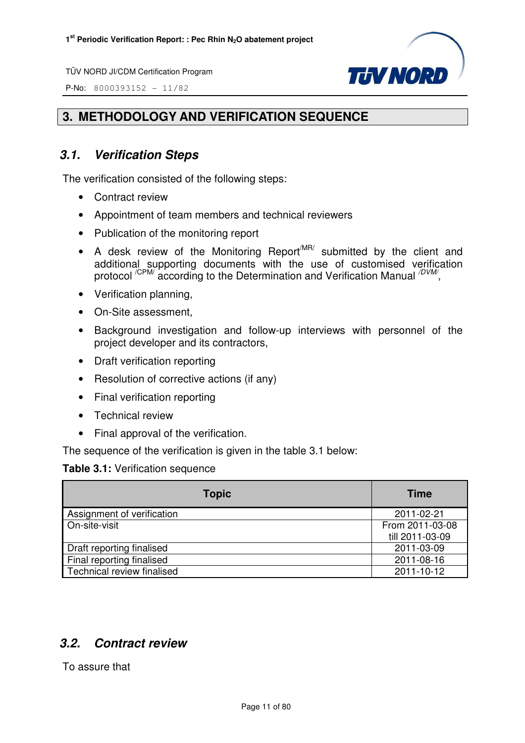P-No: 8000393152 - 11/82



# **3. METHODOLOGY AND VERIFICATION SEQUENCE**

# **3.1. Verification Steps**

The verification consisted of the following steps:

- Contract review
- Appointment of team members and technical reviewers
- Publication of the monitoring report
- A desk review of the Monitoring Report<sup>MR/</sup> submitted by the client and additional supporting documents with the use of customised verification protocol <sup>/CPM/</sup> according to the Determination and Verification Manual <sup>/DVM/</sup>,
- Verification planning,
- On-Site assessment,
- Background investigation and follow-up interviews with personnel of the project developer and its contractors,
- Draft verification reporting
- Resolution of corrective actions (if any)
- Final verification reporting
- Technical review
- Final approval of the verification.

The sequence of the verification is given in the table 3.1 below:

### **Table 3.1:** Verification sequence

| <b>Topic</b>               | <b>Time</b>     |
|----------------------------|-----------------|
| Assignment of verification | 2011-02-21      |
| On-site-visit              | From 2011-03-08 |
|                            | till 2011-03-09 |
| Draft reporting finalised  | 2011-03-09      |
| Final reporting finalised  | 2011-08-16      |
| Technical review finalised | 2011-10-12      |

# **3.2. Contract review**

To assure that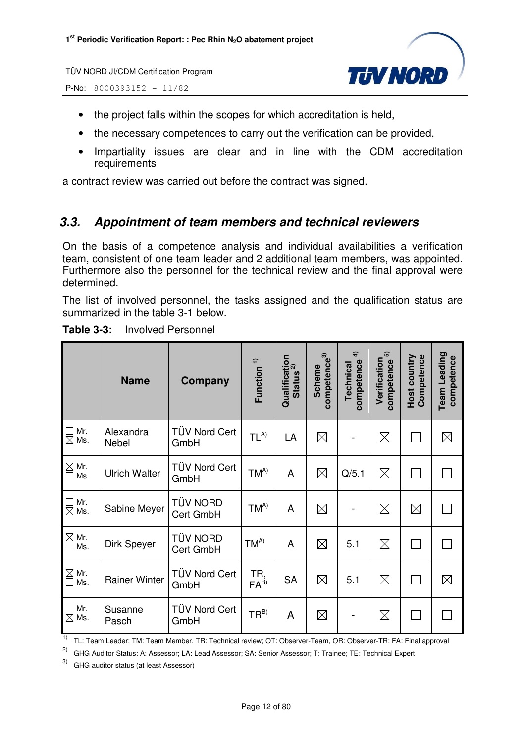P-No: 8000393152 - 11/82



- the project falls within the scopes for which accreditation is held,
- the necessary competences to carry out the verification can be provided,
- Impartiality issues are clear and in line with the CDM accreditation requirements

a contract review was carried out before the contract was signed.

# **3.3. Appointment of team members and technical reviewers**

On the basis of a competence analysis and individual availabilities a verification team, consistent of one team leader and 2 additional team members, was appointed. Furthermore also the personnel for the technical review and the final approval were determined.

The list of involved personnel, the tasks assigned and the qualification status are summarized in the table 3-1 below.

|                                           | <b>Name</b>          | Company                      | Function <sup>1)</sup>  | Qualification<br>Ctatus <sup>2)</sup><br><b>Status</b> | competence <sup>3)</sup><br><b>Scheme</b> | $\hat{\boldsymbol{r}}$<br>competence<br>Technical | 6<br>Verification<br>competence | <b>Host country</b><br>Competence | Team Leading<br>competence |
|-------------------------------------------|----------------------|------------------------------|-------------------------|--------------------------------------------------------|-------------------------------------------|---------------------------------------------------|---------------------------------|-----------------------------------|----------------------------|
| Mr.<br>$\mathbf{L}$<br>$\boxtimes$<br>Ms. | Alexandra<br>Nebel   | TÜV Nord Cert<br>GmbH        | $TL^{A)}$               | LA                                                     | $\boxtimes$                               |                                                   | $\boxtimes$                     |                                   | $\boxtimes$                |
| $\boxtimes$ Mr.<br>Ms.<br>$\Box$          | <b>Ulrich Walter</b> | TÜV Nord Cert<br>GmbH        | $TM^{A)}$               | A                                                      | $\boxtimes$                               | Q/5.1                                             | $\boxtimes$                     |                                   |                            |
| Mr.<br>$\boxtimes$ Ms.                    | Sabine Meyer         | <b>TÜV NORD</b><br>Cert GmbH | $TM^{A)}$               | $\overline{A}$                                         | $\boxtimes$                               |                                                   | $\boxtimes$                     | $\boxtimes$                       |                            |
| $\boxtimes$<br>Mr.<br>Ms.                 | Dirk Speyer          | <b>TÜV NORD</b><br>Cert GmbH | $TM^{A)}$               | A                                                      | $\boxtimes$                               | 5.1                                               | $\boxtimes$                     |                                   |                            |
| $\boxtimes$ Mr.<br>Ms.<br>$\mathbf{L}$    | <b>Rainer Winter</b> | <b>TÜV Nord Cert</b><br>GmbH | TR,<br>FA <sup>B)</sup> | <b>SA</b>                                              | $\boxtimes$                               | 5.1                                               | $\boxtimes$                     |                                   | $\boxtimes$                |
| Mr.<br>$\mathbf{I}$<br>$\boxtimes$<br>Ms. | Susanne<br>Pasch     | TÜV Nord Cert<br>GmbH        | $TR^{B}$                | A                                                      | $\boxtimes$                               |                                                   | $\boxtimes$                     |                                   |                            |

| <b>Table 3-3:</b> | <b>Involved Personnel</b> |
|-------------------|---------------------------|
|                   |                           |

<sup>1)</sup> TL: Team Leader; TM: Team Member, TR: Technical review; OT: Observer-Team, OR: Observer-TR; FA: Final approval

2) GHG Auditor Status: A: Assessor; LA: Lead Assessor; SA: Senior Assessor; T: Trainee; TE: Technical Expert

3) GHG auditor status (at least Assessor)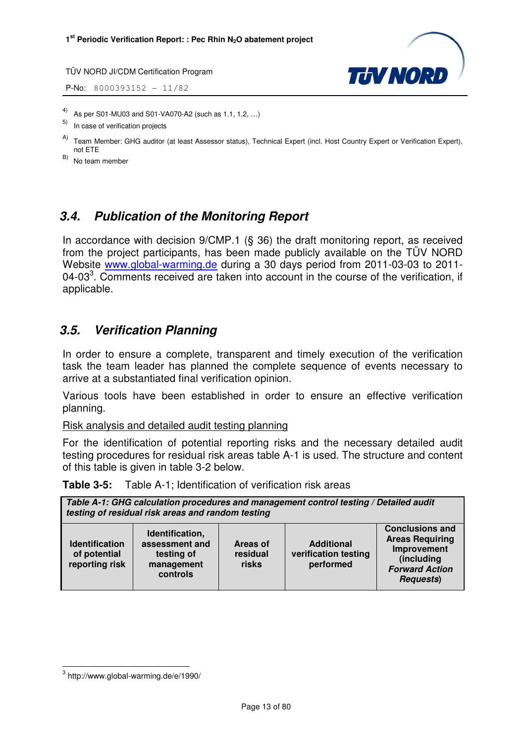**P-No:** 8000393152 - 11/82



- 4) As per S01-MU03 and S01-VA070-A2 (such as 1.1, 1.2, …)
- In case of verification projects
- A) Team Member: GHG auditor (at least Assessor status), Technical Expert (incl. Host Country Expert or Verification Expert), not ETE

B) No team member

# **3.4. Publication of the Monitoring Report**

In accordance with decision 9/CMP.1 (§ 36) the draft monitoring report, as received from the project participants, has been made publicly available on the TÜV NORD Website www.global-warming.de during a 30 days period from 2011-03-03 to 2011- 04-03<sup>3</sup>. Comments received are taken into account in the course of the verification, if applicable.

# **3.5. Verification Planning**

In order to ensure a complete, transparent and timely execution of the verification task the team leader has planned the complete sequence of events necessary to arrive at a substantiated final verification opinion.

Various tools have been established in order to ensure an effective verification planning.

Risk analysis and detailed audit testing planning

For the identification of potential reporting risks and the necessary detailed audit testing procedures for residual risk areas table A-1 is used. The structure and content of this table is given in table 3-2 below.

**Table 3-5:** Table A-1; Identification of verification risk areas

| Table A-1: GHG calculation procedures and management control testing / Detailed audit<br>testing of residual risk areas and random testing |                                                                           |                               |                                                        |                                                                                                                             |  |
|--------------------------------------------------------------------------------------------------------------------------------------------|---------------------------------------------------------------------------|-------------------------------|--------------------------------------------------------|-----------------------------------------------------------------------------------------------------------------------------|--|
| <b>Identification</b><br>of potential<br>reporting risk                                                                                    | Identification,<br>assessment and<br>testing of<br>management<br>controls | Areas of<br>residual<br>risks | <b>Additional</b><br>verification testing<br>performed | <b>Conclusions and</b><br><b>Areas Requiring</b><br>Improvement<br>(including<br><b>Forward Action</b><br><b>Requests</b> ) |  |

l

 $^3$  http://www.global-warming.de/e/1990/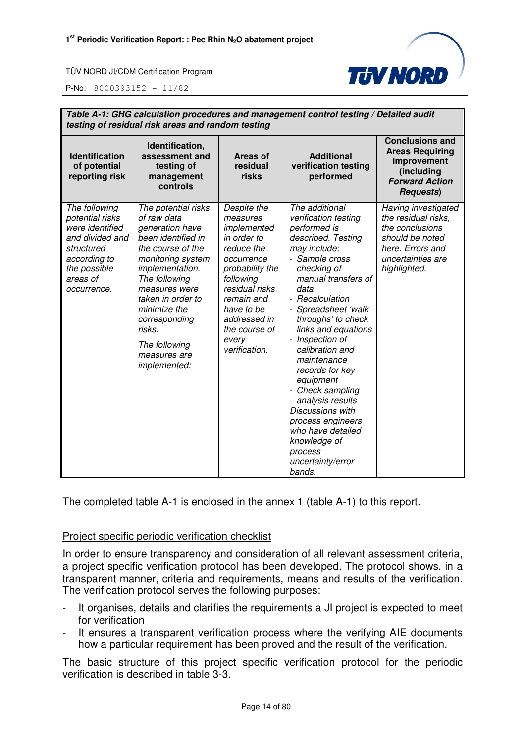

P-No: 8000393152 - 11/82

| Table A-1: GHG calculation procedures and management control testing / Detailed audit<br>testing of residual risk areas and random testing      |                                                                                                                                                                                                                                                                                             |                                                                                                                                                                                                                            |                                                                                                                                                                                                                                                                                                                                                                                                                                                                                                          |                                                                                                                                           |  |  |
|-------------------------------------------------------------------------------------------------------------------------------------------------|---------------------------------------------------------------------------------------------------------------------------------------------------------------------------------------------------------------------------------------------------------------------------------------------|----------------------------------------------------------------------------------------------------------------------------------------------------------------------------------------------------------------------------|----------------------------------------------------------------------------------------------------------------------------------------------------------------------------------------------------------------------------------------------------------------------------------------------------------------------------------------------------------------------------------------------------------------------------------------------------------------------------------------------------------|-------------------------------------------------------------------------------------------------------------------------------------------|--|--|
| <b>Identification</b><br>of potential<br>reporting risk                                                                                         | Identification,<br>assessment and<br>testing of<br>management<br>controls                                                                                                                                                                                                                   | Areas of<br>residual<br>risks                                                                                                                                                                                              | <b>Additional</b><br>verification testing<br>performed                                                                                                                                                                                                                                                                                                                                                                                                                                                   | <b>Conclusions and</b><br><b>Areas Requiring</b><br>Improvement<br>(including<br><b>Forward Action</b><br><b>Requests</b> )               |  |  |
| The following<br>potential risks<br>were identified<br>and divided and<br>structured<br>according to<br>the possible<br>areas of<br>occurrence. | The potential risks<br>of raw data<br>generation have<br>been identified in<br>the course of the<br>monitoring system<br>implementation.<br>The following<br>measures were<br>taken in order to<br>minimize the<br>corresponding<br>risks.<br>The following<br>measures are<br>implemented: | Despite the<br>measures<br>implemented<br>in order to<br>reduce the<br>occurrence<br>probability the<br>following<br>residual risks<br>remain and<br>have to be<br>addressed in<br>the course of<br>every<br>verification. | The additional<br>verification testing<br>performed is<br>described. Testing<br>may include:<br>- Sample cross<br>checking of<br>manual transfers of<br>data<br>- Recalculation<br>- Spreadsheet 'walk<br>throughs' to check<br>links and equations<br>- Inspection of<br>calibration and<br>maintenance<br>records for key<br>equipment<br>- Check sampling<br>analysis results<br>Discussions with<br>process engineers<br>who have detailed<br>knowledge of<br>process<br>uncertainty/error<br>bands. | Having investigated<br>the residual risks,<br>the conclusions<br>should be noted<br>here. Errors and<br>uncertainties are<br>highlighted. |  |  |

The completed table A-1 is enclosed in the annex 1 (table A-1) to this report.

#### Project specific periodic verification checklist

In order to ensure transparency and consideration of all relevant assessment criteria, a project specific verification protocol has been developed. The protocol shows, in a transparent manner, criteria and requirements, means and results of the verification. The verification protocol serves the following purposes:

- It organises, details and clarifies the requirements a JI project is expected to meet for verification
- It ensures a transparent verification process where the verifying AIE documents how a particular requirement has been proved and the result of the verification.

The basic structure of this project specific verification protocol for the periodic verification is described in table 3-3.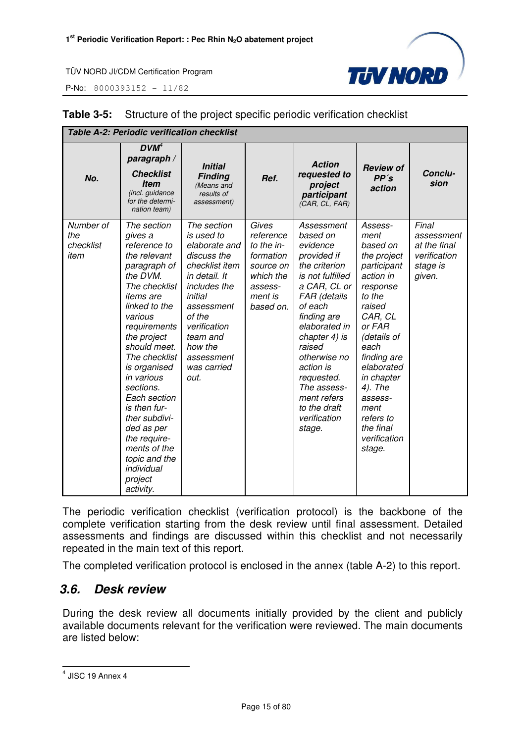P-No: 8000393152 - 11/82



| <b>Table A-2: Periodic verification checklist</b> |                                                                                                                                                                                                                                                                                                                                                                                                               |                                                                                                                                                                                                                             |                                                                                                            |                                                                                                                                                                                                                                                                                                                 |                                                                                                                                                                                                                                                                                 |                                                                           |  |
|---------------------------------------------------|---------------------------------------------------------------------------------------------------------------------------------------------------------------------------------------------------------------------------------------------------------------------------------------------------------------------------------------------------------------------------------------------------------------|-----------------------------------------------------------------------------------------------------------------------------------------------------------------------------------------------------------------------------|------------------------------------------------------------------------------------------------------------|-----------------------------------------------------------------------------------------------------------------------------------------------------------------------------------------------------------------------------------------------------------------------------------------------------------------|---------------------------------------------------------------------------------------------------------------------------------------------------------------------------------------------------------------------------------------------------------------------------------|---------------------------------------------------------------------------|--|
| No.                                               | DVM <sup>4</sup><br>paragraph /<br><b>Checklist</b><br><b>Item</b><br>(incl. guidance<br>for the determi-<br>nation team)                                                                                                                                                                                                                                                                                     | <b>Initial</b><br><b>Finding</b><br>(Means and<br>results of<br>assessment)                                                                                                                                                 | Ref.                                                                                                       | <b>Action</b><br>requested to<br>project<br>participant<br>(CAR, CL, FAR)                                                                                                                                                                                                                                       | <b>Review of</b><br>PP's<br>action                                                                                                                                                                                                                                              | Conclu-<br>sion                                                           |  |
| Number of<br>the<br>checklist<br>item             | The section<br>gives a<br>reference to<br>the relevant<br>paragraph of<br>the DVM.<br>The checklist<br>items are<br>linked to the<br>various<br>requirements<br>the project<br>should meet.<br>The checklist<br>is organised<br>in various<br>sections.<br>Each section<br>is then fur-<br>ther subdivi-<br>ded as per<br>the require-<br>ments of the<br>topic and the<br>individual<br>project<br>activity. | The section<br>is used to<br>elaborate and<br>discuss the<br>checklist item<br>in detail. It<br>includes the<br>initial<br>assessment<br>of the<br>verification<br>team and<br>how the<br>assessment<br>was carried<br>out. | Gives<br>reference<br>to the in-<br>formation<br>source on<br>which the<br>assess-<br>ment is<br>based on. | Assessment<br>based on<br>evidence<br>provided if<br>the criterion<br>is not fulfilled<br>a CAR, CL or<br>FAR (details<br>of each<br>finding are<br>elaborated in<br>chapter 4) is<br>raised<br>otherwise no<br>action is<br>requested.<br>The assess-<br>ment refers<br>to the draft<br>verification<br>stage. | Assess-<br>ment<br>based on<br>the project<br>participant<br>action in<br>response<br>to the<br>raised<br>CAR, CL<br>or FAR<br>(details of<br>each<br>finding are<br>elaborated<br>in chapter<br>4). The<br>assess-<br>ment<br>refers to<br>the final<br>verification<br>stage. | Final<br>assessment<br>at the final<br>verification<br>stage is<br>given. |  |

### **Table 3-5:** Structure of the project specific periodic verification checklist

The periodic verification checklist (verification protocol) is the backbone of the complete verification starting from the desk review until final assessment. Detailed assessments and findings are discussed within this checklist and not necessarily repeated in the main text of this report.

The completed verification protocol is enclosed in the annex (table A-2) to this report.

# **3.6. Desk review**

During the desk review all documents initially provided by the client and publicly available documents relevant for the verification were reviewed. The main documents are listed below:

 4 JISC 19 Annex 4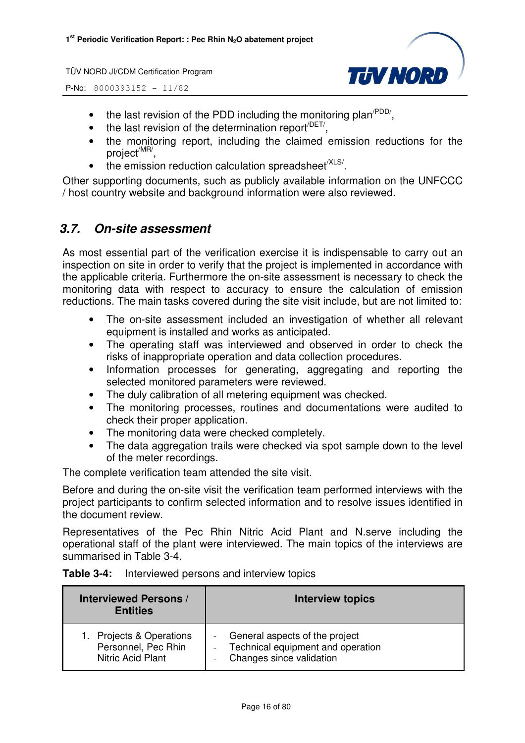P-No: 8000393152 - 11/82



- the last revision of the PDD including the monitoring plan<sup> $PDD/$ </sup>,
- $\bullet$  the last revision of the determination report<sup> $/$ DET/</sup>,
- the monitoring report, including the claimed emission reductions for the project<sup>/MR/</sup>,
- $\bullet$  the emission reduction calculation spreadsheet<sup>/XLS/</sup>.

Other supporting documents, such as publicly available information on the UNFCCC / host country website and background information were also reviewed.

# **3.7. On-site assessment**

As most essential part of the verification exercise it is indispensable to carry out an inspection on site in order to verify that the project is implemented in accordance with the applicable criteria. Furthermore the on-site assessment is necessary to check the monitoring data with respect to accuracy to ensure the calculation of emission reductions. The main tasks covered during the site visit include, but are not limited to:

- The on-site assessment included an investigation of whether all relevant equipment is installed and works as anticipated.
- The operating staff was interviewed and observed in order to check the risks of inappropriate operation and data collection procedures.
- Information processes for generating, aggregating and reporting the selected monitored parameters were reviewed.
- The duly calibration of all metering equipment was checked.
- The monitoring processes, routines and documentations were audited to check their proper application.
- The monitoring data were checked completely.
- The data aggregation trails were checked via spot sample down to the level of the meter recordings.

The complete verification team attended the site visit.

Before and during the on-site visit the verification team performed interviews with the project participants to confirm selected information and to resolve issues identified in the document review.

Representatives of the Pec Rhin Nitric Acid Plant and N.serve including the operational staff of the plant were interviewed. The main topics of the interviews are summarised in Table 3-4.

| Table 3-4: | Interviewed persons and interview topics |  |
|------------|------------------------------------------|--|
|------------|------------------------------------------|--|

| <b>Interviewed Persons /</b><br><b>Entities</b> | <b>Interview topics</b>             |
|-------------------------------------------------|-------------------------------------|
| 1. Projects & Operations                        | General aspects of the project      |
| Personnel, Pec Rhin                             | - Technical equipment and operation |
| Nitric Acid Plant                               | Changes since validation            |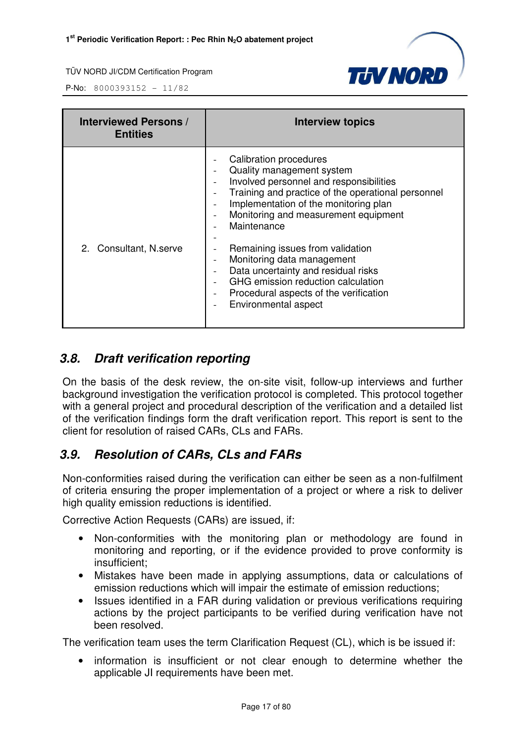

P-No: 8000393152 - 11/82

| <b>Interviewed Persons /</b><br><b>Entities</b> | <b>Interview topics</b>                                                                                                                                                                                                                                                                                                                                                                                                                                                                                                       |
|-------------------------------------------------|-------------------------------------------------------------------------------------------------------------------------------------------------------------------------------------------------------------------------------------------------------------------------------------------------------------------------------------------------------------------------------------------------------------------------------------------------------------------------------------------------------------------------------|
| 2. Consultant, N.serve                          | Calibration procedures<br>Quality management system<br>Involved personnel and responsibilities<br>Training and practice of the operational personnel<br>Implementation of the monitoring plan<br>Monitoring and measurement equipment<br>$\overline{\phantom{0}}$<br>Maintenance<br>Remaining issues from validation<br>Monitoring data management<br>$\overline{\phantom{a}}$<br>Data uncertainty and residual risks<br>GHG emission reduction calculation<br>Procedural aspects of the verification<br>Environmental aspect |

# **3.8. Draft verification reporting**

On the basis of the desk review, the on-site visit, follow-up interviews and further background investigation the verification protocol is completed. This protocol together with a general project and procedural description of the verification and a detailed list of the verification findings form the draft verification report. This report is sent to the client for resolution of raised CARs, CLs and FARs.

# **3.9. Resolution of CARs, CLs and FARs**

Non-conformities raised during the verification can either be seen as a non-fulfilment of criteria ensuring the proper implementation of a project or where a risk to deliver high quality emission reductions is identified.

Corrective Action Requests (CARs) are issued, if:

- Non-conformities with the monitoring plan or methodology are found in monitoring and reporting, or if the evidence provided to prove conformity is insufficient;
- Mistakes have been made in applying assumptions, data or calculations of emission reductions which will impair the estimate of emission reductions;
- Issues identified in a FAR during validation or previous verifications requiring actions by the project participants to be verified during verification have not been resolved.

The verification team uses the term Clarification Request (CL), which is be issued if:

• information is insufficient or not clear enough to determine whether the applicable JI requirements have been met.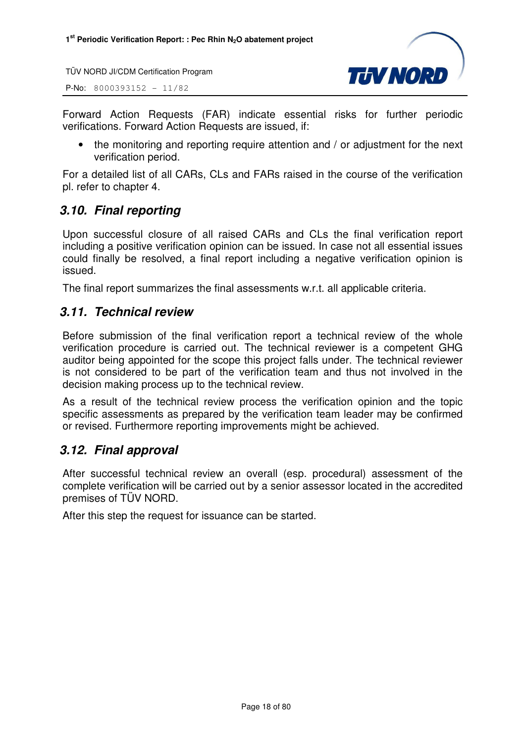P-No: 8000393152 - 11/82



Forward Action Requests (FAR) indicate essential risks for further periodic verifications. Forward Action Requests are issued, if:

• the monitoring and reporting require attention and / or adjustment for the next verification period.

For a detailed list of all CARs, CLs and FARs raised in the course of the verification pl. refer to chapter 4.

# **3.10. Final reporting**

Upon successful closure of all raised CARs and CLs the final verification report including a positive verification opinion can be issued. In case not all essential issues could finally be resolved, a final report including a negative verification opinion is issued.

The final report summarizes the final assessments w.r.t. all applicable criteria.

# **3.11. Technical review**

Before submission of the final verification report a technical review of the whole verification procedure is carried out. The technical reviewer is a competent GHG auditor being appointed for the scope this project falls under. The technical reviewer is not considered to be part of the verification team and thus not involved in the decision making process up to the technical review.

As a result of the technical review process the verification opinion and the topic specific assessments as prepared by the verification team leader may be confirmed or revised. Furthermore reporting improvements might be achieved.

# **3.12. Final approval**

After successful technical review an overall (esp. procedural) assessment of the complete verification will be carried out by a senior assessor located in the accredited premises of TÜV NORD.

After this step the request for issuance can be started.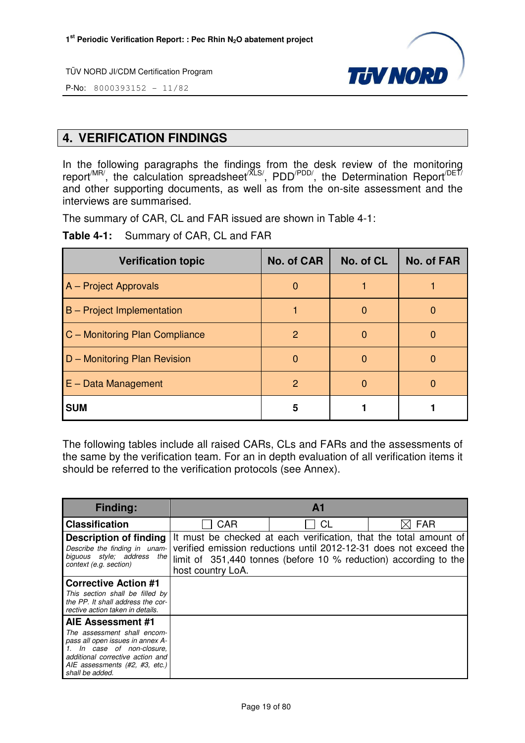

P-No: 8000393152 - 11/82

# **4. VERIFICATION FINDINGS**

In the following paragraphs the findings from the desk review of the monitoring report<sup>/MR/</sup>, the calculation spreadsheet<sup>/XLS/</sup>, PDD<sup>/PDD/</sup>, the Determination Report<sup>/DET/</sup> and other supporting documents, as well as from the on-site assessment and the interviews are summarised.

The summary of CAR, CL and FAR issued are shown in Table 4-1:

**Table 4-1:** Summary of CAR, CL and FAR

| <b>Verification topic</b>         | No. of CAR    | No. of CL | <b>No. of FAR</b> |
|-----------------------------------|---------------|-----------|-------------------|
| A – Project Approvals             | $\Omega$      |           |                   |
| <b>B</b> – Project Implementation |               | O         |                   |
| C - Monitoring Plan Compliance    | 2             |           |                   |
| D - Monitoring Plan Revision      | $\Omega$      | O         |                   |
| $E - Data Management$             | $\mathcal{P}$ | O         |                   |
| <b>SUM</b>                        | 5             |           |                   |

The following tables include all raised CARs, CLs and FARs and the assessments of the same by the verification team. For an in depth evaluation of all verification items it should be referred to the verification protocols (see Annex).

| <b>Finding:</b>                                                                                                                                                                        |                   | ${\bf A}$ 1                                                                                                                                                                                                |            |
|----------------------------------------------------------------------------------------------------------------------------------------------------------------------------------------|-------------------|------------------------------------------------------------------------------------------------------------------------------------------------------------------------------------------------------------|------------|
| <b>Classification</b>                                                                                                                                                                  | CAR               | СL                                                                                                                                                                                                         | <b>FAR</b> |
| <b>Description of finding</b><br>Describe the finding in unam-<br>biguous style; address the<br>context (e.g. section)                                                                 | host country LoA. | It must be checked at each verification, that the total amount of<br>verified emission reductions until 2012-12-31 does not exceed the<br>limit of 351,440 tonnes (before 10 % reduction) according to the |            |
| <b>Corrective Action #1</b>                                                                                                                                                            |                   |                                                                                                                                                                                                            |            |
| This section shall be filled by<br>the PP. It shall address the cor-<br>rective action taken in details.                                                                               |                   |                                                                                                                                                                                                            |            |
| AIE Assessment #1                                                                                                                                                                      |                   |                                                                                                                                                                                                            |            |
| The assessment shall encom-<br>pass all open issues in annex A-<br>1. In case of non-closure,<br>additional corrective action and<br>AIE assessments (#2, #3, etc.)<br>shall be added. |                   |                                                                                                                                                                                                            |            |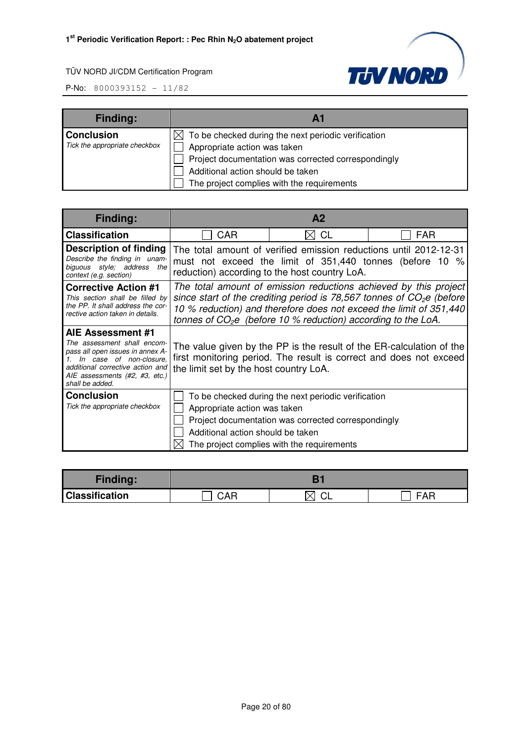

| <b>Finding:</b>               |                                                                 |
|-------------------------------|-----------------------------------------------------------------|
| <b>Conclusion</b>             | $\boxtimes$ To be checked during the next periodic verification |
| Tick the appropriate checkbox | Appropriate action was taken                                    |
|                               | Project documentation was corrected correspondingly             |
|                               | Additional action should be taken                               |
|                               | The project complies with the requirements                      |

| <b>Finding:</b>                                                                                                                                                                                          |                                                                                                                                                                                      | A <sub>2</sub>                                                                                                                                                                                                 |                                                                  |
|----------------------------------------------------------------------------------------------------------------------------------------------------------------------------------------------------------|--------------------------------------------------------------------------------------------------------------------------------------------------------------------------------------|----------------------------------------------------------------------------------------------------------------------------------------------------------------------------------------------------------------|------------------------------------------------------------------|
| <b>Classification</b>                                                                                                                                                                                    | <b>CAR</b>                                                                                                                                                                           | <b>CL</b>                                                                                                                                                                                                      | <b>FAR</b>                                                       |
| Description of finding<br>Describe the finding in unam-<br>biguous style; address<br>the<br>context (e.g. section)                                                                                       |                                                                                                                                                                                      | The total amount of verified emission reductions until 2012-12-31<br>must not exceed the limit of 351,440 tonnes (before 10 %<br>reduction) according to the host country LoA.                                 |                                                                  |
| <b>Corrective Action #1</b><br>This section shall be filled by<br>the PP. It shall address the cor-<br>rective action taken in details.                                                                  |                                                                                                                                                                                      | since start of the crediting period is 78,567 tonnes of $CO2e$ (before<br>10 % reduction) and therefore does not exceed the limit of 351,440<br>tonnes of $CO2e$ (before 10 % reduction) according to the LoA. | The total amount of emission reductions achieved by this project |
| AIE Assessment #1<br>The assessment shall encom-<br>pass all open issues in annex A-<br>In case of non-closure.<br>additional corrective action and<br>AIE assessments (#2, #3, etc.)<br>shall be added. | The value given by the PP is the result of the ER-calculation of the<br>first monitoring period. The result is correct and does not exceed<br>the limit set by the host country LoA. |                                                                                                                                                                                                                |                                                                  |
| <b>Conclusion</b><br>Tick the appropriate checkbox                                                                                                                                                       | Appropriate action was taken<br>Additional action should be taken                                                                                                                    | To be checked during the next periodic verification<br>Project documentation was corrected correspondingly<br>The project complies with the requirements                                                       |                                                                  |

| <b>Finding:</b>       |     |              |                     |
|-----------------------|-----|--------------|---------------------|
| <b>Classification</b> | CAR | $\vee$<br>◡∟ | $\mathbf{A}$<br>⊢△⊢ |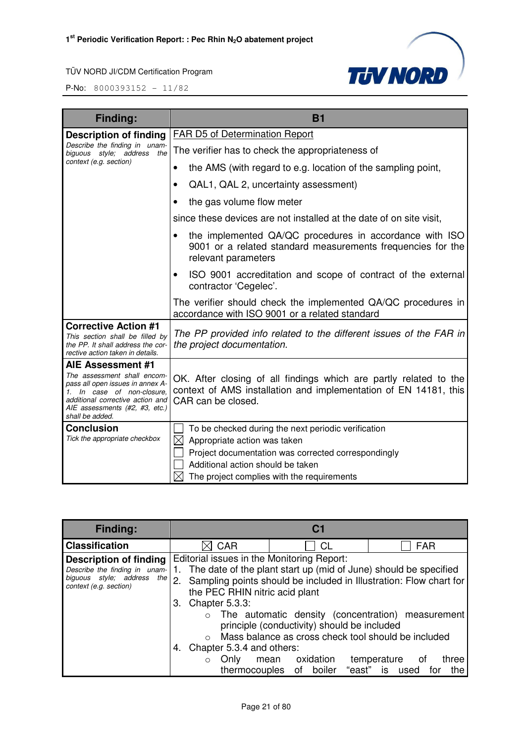**TJV NORD** 

| <b>Finding:</b>                                                                                                                                                                        | <b>B1</b>                                                                                                                                                   |
|----------------------------------------------------------------------------------------------------------------------------------------------------------------------------------------|-------------------------------------------------------------------------------------------------------------------------------------------------------------|
| <b>Description of finding</b>                                                                                                                                                          | <b>FAR D5 of Determination Report</b>                                                                                                                       |
| Describe the finding in unam-<br>the<br>biguous style; address                                                                                                                         | The verifier has to check the appropriateness of                                                                                                            |
| context (e.g. section)                                                                                                                                                                 | the AMS (with regard to e.g. location of the sampling point,<br>$\bullet$                                                                                   |
|                                                                                                                                                                                        | QAL1, QAL 2, uncertainty assessment)                                                                                                                        |
|                                                                                                                                                                                        | the gas volume flow meter                                                                                                                                   |
|                                                                                                                                                                                        | since these devices are not installed at the date of on site visit,                                                                                         |
|                                                                                                                                                                                        | the implemented QA/QC procedures in accordance with ISO<br>9001 or a related standard measurements frequencies for the<br>relevant parameters               |
|                                                                                                                                                                                        | ISO 9001 accreditation and scope of contract of the external<br>$\bullet$<br>contractor 'Cegelec'.                                                          |
|                                                                                                                                                                                        | The verifier should check the implemented QA/QC procedures in<br>accordance with ISO 9001 or a related standard                                             |
| <b>Corrective Action #1</b><br>This section shall be filled by<br>the PP. It shall address the cor-<br>rective action taken in details.                                                | The PP provided info related to the different issues of the FAR in<br>the project documentation.                                                            |
| AIE Assessment #1                                                                                                                                                                      |                                                                                                                                                             |
| The assessment shall encom-<br>pass all open issues in annex A-<br>1. In case of non-closure,<br>additional corrective action and<br>AIE assessments (#2, #3, etc.)<br>shall be added. | OK. After closing of all findings which are partly related to the<br>context of AMS installation and implementation of EN 14181, this<br>CAR can be closed. |
| <b>Conclusion</b>                                                                                                                                                                      | To be checked during the next periodic verification                                                                                                         |
| Tick the appropriate checkbox                                                                                                                                                          | $\boxtimes$<br>Appropriate action was taken                                                                                                                 |
|                                                                                                                                                                                        | Project documentation was corrected correspondingly                                                                                                         |
|                                                                                                                                                                                        | Additional action should be taken                                                                                                                           |
|                                                                                                                                                                                        | The project complies with the requirements                                                                                                                  |

| <b>Finding:</b>                                                                                                                                                                       | C <sub>1</sub>                                                                                                                                                            |                                                                                                                                                                                                                    |                                                                                                                       |
|---------------------------------------------------------------------------------------------------------------------------------------------------------------------------------------|---------------------------------------------------------------------------------------------------------------------------------------------------------------------------|--------------------------------------------------------------------------------------------------------------------------------------------------------------------------------------------------------------------|-----------------------------------------------------------------------------------------------------------------------|
| <b>Classification</b>                                                                                                                                                                 | <b>CAR</b>                                                                                                                                                                | CL                                                                                                                                                                                                                 | <b>FAR</b>                                                                                                            |
| Description of finding<br>Describe the finding in unam-<br>biguous style; address the 2. Sampling points should be included in Illustration: Flow chart for<br>context (e.g. section) | Editorial issues in the Monitoring Report:<br>the PEC RHIN nitric acid plant<br>Chapter 5.3.3:<br>З.<br>Chapter 5.3.4 and others:<br>Only<br>$\Omega$<br>thermocouples of | 1. The date of the plant start up (mid of June) should be specified<br>principle (conductivity) should be included<br>Mass balance as cross check tool should be included<br>oxidation<br>mean<br>boiler<br>"east" | $\circ$ The automatic density (concentration) measurement<br>temperature<br>three<br>ot o<br>is<br>for<br>used<br>the |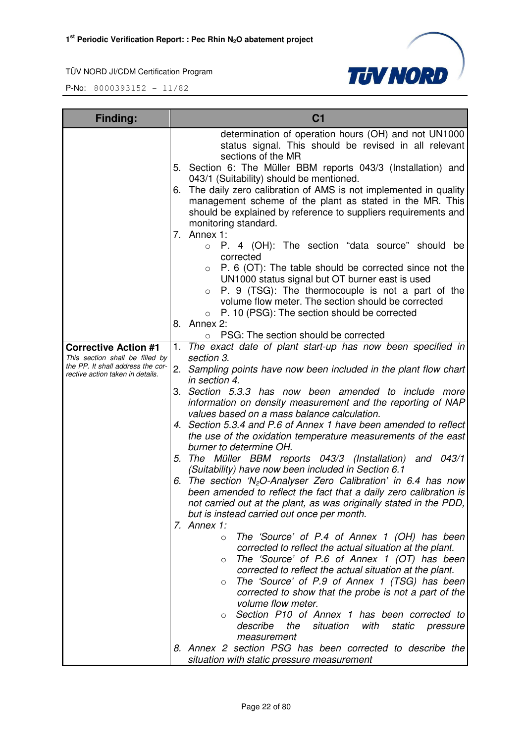

| Finding:                                                                                                                                | C <sub>1</sub>                                                                                                                                                                                                                                                                                                                                                                                                                                                                                                                                                                                                                                                                                                                                                                                                                                                                                                                                                                                                                                                                                                                                                                                                                                                                                                                                                                                                                                                                                                                                                                                                                                                                                                                                                                                                                                                                                                                                                                                                                                                                                                                                                                                                                                                                                                                                                                              |
|-----------------------------------------------------------------------------------------------------------------------------------------|---------------------------------------------------------------------------------------------------------------------------------------------------------------------------------------------------------------------------------------------------------------------------------------------------------------------------------------------------------------------------------------------------------------------------------------------------------------------------------------------------------------------------------------------------------------------------------------------------------------------------------------------------------------------------------------------------------------------------------------------------------------------------------------------------------------------------------------------------------------------------------------------------------------------------------------------------------------------------------------------------------------------------------------------------------------------------------------------------------------------------------------------------------------------------------------------------------------------------------------------------------------------------------------------------------------------------------------------------------------------------------------------------------------------------------------------------------------------------------------------------------------------------------------------------------------------------------------------------------------------------------------------------------------------------------------------------------------------------------------------------------------------------------------------------------------------------------------------------------------------------------------------------------------------------------------------------------------------------------------------------------------------------------------------------------------------------------------------------------------------------------------------------------------------------------------------------------------------------------------------------------------------------------------------------------------------------------------------------------------------------------------------|
| <b>Corrective Action #1</b><br>This section shall be filled by<br>the PP. It shall address the cor-<br>rective action taken in details. | determination of operation hours (OH) and not UN1000<br>status signal. This should be revised in all relevant<br>sections of the MR<br>5. Section 6: The Müller BBM reports 043/3 (Installation) and<br>043/1 (Suitability) should be mentioned.<br>6. The daily zero calibration of AMS is not implemented in quality<br>management scheme of the plant as stated in the MR. This<br>should be explained by reference to suppliers requirements and<br>monitoring standard.<br>7. Annex $1$ :<br>P. 4 (OH): The section "data source" should be<br>$\circ$<br>corrected<br>P. 6 (OT): The table should be corrected since not the<br>$\circ$<br>UN1000 status signal but OT burner east is used<br>P. 9 (TSG): The thermocouple is not a part of the<br>$\circ$<br>volume flow meter. The section should be corrected<br>P. 10 (PSG): The section should be corrected<br>$\circ$<br>8. Annex 2:<br>PSG: The section should be corrected<br>$\circ$<br>1. The exact date of plant start-up has now been specified in<br>section 3.<br>2. Sampling points have now been included in the plant flow chart<br>in section 4.<br>3. Section 5.3.3 has now been amended to include more<br>information on density measurement and the reporting of NAP<br>values based on a mass balance calculation.<br>4. Section 5.3.4 and P.6 of Annex 1 have been amended to reflect<br>the use of the oxidation temperature measurements of the east<br>burner to determine OH.<br>5. The Müller BBM reports 043/3 (Installation) and 043/1<br>(Suitability) have now been included in Section 6.1<br>6. The section 'N <sub>2</sub> O-Analyser Zero Calibration' in 6.4 has now<br>been amended to reflect the fact that a daily zero calibration is<br>not carried out at the plant, as was originally stated in the PDD,<br>but is instead carried out once per month.<br>7. Annex $1$ :<br>The 'Source' of P.4 of Annex 1 (OH) has been<br>$\circ$<br>corrected to reflect the actual situation at the plant.<br>The 'Source' of P.6 of Annex 1 (OT) has been<br>$\circ$<br>corrected to reflect the actual situation at the plant.<br>The 'Source' of P.9 of Annex 1 (TSG) has been<br>$\circ$<br>corrected to show that the probe is not a part of the<br>volume flow meter.<br>Section P10 of Annex 1 has been corrected to<br>$\circ$<br>describe<br>the<br>situation<br>with<br>static<br>pressure |
|                                                                                                                                         | measurement<br>8. Annex 2 section PSG has been corrected to describe the                                                                                                                                                                                                                                                                                                                                                                                                                                                                                                                                                                                                                                                                                                                                                                                                                                                                                                                                                                                                                                                                                                                                                                                                                                                                                                                                                                                                                                                                                                                                                                                                                                                                                                                                                                                                                                                                                                                                                                                                                                                                                                                                                                                                                                                                                                                    |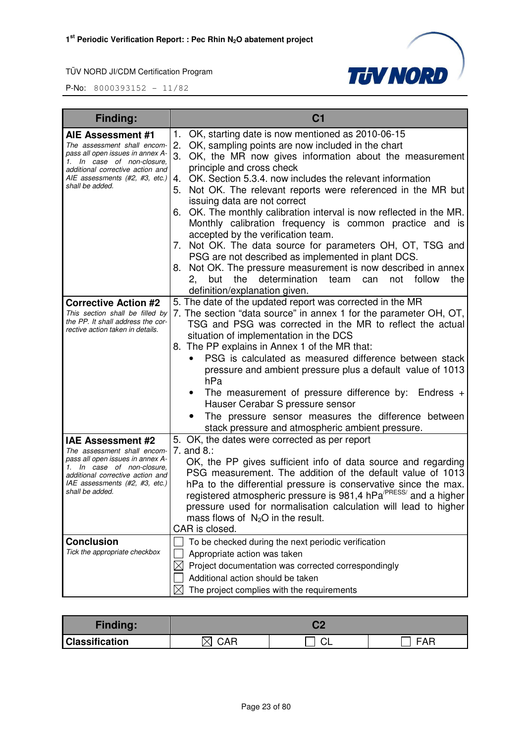

| <b>Finding:</b>                                                                                                                                                                                                    | C <sub>1</sub>                                                                                                                                                                                                                                                                                                                                                                                                                                                                                                                                                                                                                                                                                                                                                                                                                                                |
|--------------------------------------------------------------------------------------------------------------------------------------------------------------------------------------------------------------------|---------------------------------------------------------------------------------------------------------------------------------------------------------------------------------------------------------------------------------------------------------------------------------------------------------------------------------------------------------------------------------------------------------------------------------------------------------------------------------------------------------------------------------------------------------------------------------------------------------------------------------------------------------------------------------------------------------------------------------------------------------------------------------------------------------------------------------------------------------------|
| AIE Assessment #1<br>The assessment shall encom-<br>pass all open issues in annex A-<br>1. In case of non-closure,<br>additional corrective action and<br>AIE assessments (#2, #3, etc.)<br>shall be added.        | OK, starting date is now mentioned as 2010-06-15<br>1.<br>OK, sampling points are now included in the chart<br>2.<br>3.<br>OK, the MR now gives information about the measurement<br>principle and cross check<br>OK. Section 5.3.4. now includes the relevant information<br>4.<br>Not OK. The relevant reports were referenced in the MR but<br>5.<br>issuing data are not correct<br>6. OK. The monthly calibration interval is now reflected in the MR.<br>Monthly calibration frequency is common practice and is<br>accepted by the verification team.<br>7. Not OK. The data source for parameters OH, OT, TSG and<br>PSG are not described as implemented in plant DCS.<br>8. Not OK. The pressure measurement is now described in annex<br>determination<br>team<br>follow<br>2,<br>but<br>the<br>can<br>not<br>the<br>definition/explanation given. |
| <b>Corrective Action #2</b><br>This section shall be filled by<br>the PP. It shall address the cor-<br>rective action taken in details.                                                                            | 5. The date of the updated report was corrected in the MR<br>7. The section "data source" in annex 1 for the parameter OH, OT,<br>TSG and PSG was corrected in the MR to reflect the actual<br>situation of implementation in the DCS<br>8. The PP explains in Annex 1 of the MR that:<br>PSG is calculated as measured difference between stack<br>pressure and ambient pressure plus a default value of 1013<br>hPa<br>The measurement of pressure difference by: Endress $+$<br>Hauser Cerabar S pressure sensor<br>The pressure sensor measures the difference between<br>stack pressure and atmospheric ambient pressure.                                                                                                                                                                                                                                |
| <b>IAE Assessment #2</b><br>The assessment shall encom-<br>pass all open issues in annex A-<br>1. In case of non-closure,<br>additional corrective action and<br>IAE assessments (#2, #3, etc.)<br>shall be added. | 5. OK, the dates were corrected as per report<br>7. and $8$ .:<br>OK, the PP gives sufficient info of data source and regarding<br>PSG measurement. The addition of the default value of 1013<br>hPa to the differential pressure is conservative since the max.<br>registered atmospheric pressure is 981,4 hPa <sup>/PRESS/</sup> and a higher<br>pressure used for normalisation calculation will lead to higher<br>mass flows of $N_2O$ in the result.<br>CAR is closed.                                                                                                                                                                                                                                                                                                                                                                                  |
| <b>Conclusion</b><br>Tick the appropriate checkbox                                                                                                                                                                 | To be checked during the next periodic verification<br>Appropriate action was taken<br>Project documentation was corrected correspondingly<br>$\boxtimes$<br>Additional action should be taken<br>$\boxtimes$<br>The project complies with the requirements                                                                                                                                                                                                                                                                                                                                                                                                                                                                                                                                                                                                   |

| <b>Finding:</b>       |                 |    |     |
|-----------------------|-----------------|----|-----|
| <b>Classification</b> | <b>CAR</b><br>⌒ | ◡∟ | FAR |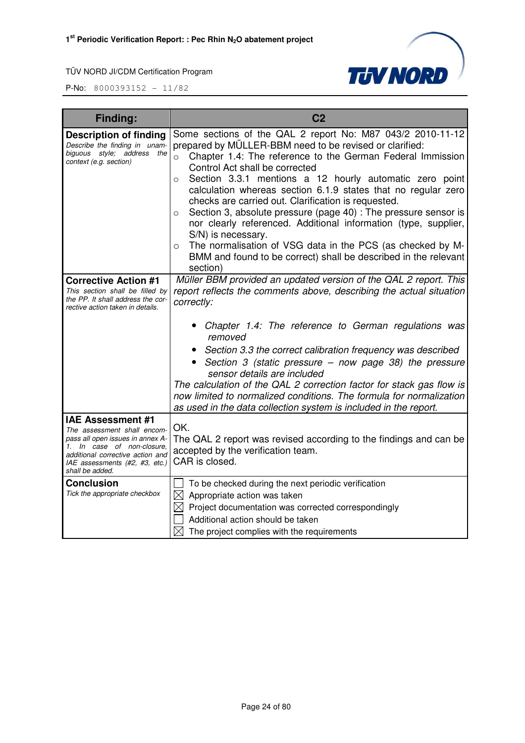



| Finding:                                                                                                                                                                                                              | C <sub>2</sub>                                                                                                                                                                                                                                                                                                                                                                                                                                                                                                                                                                                                                                                                                                                                             |
|-----------------------------------------------------------------------------------------------------------------------------------------------------------------------------------------------------------------------|------------------------------------------------------------------------------------------------------------------------------------------------------------------------------------------------------------------------------------------------------------------------------------------------------------------------------------------------------------------------------------------------------------------------------------------------------------------------------------------------------------------------------------------------------------------------------------------------------------------------------------------------------------------------------------------------------------------------------------------------------------|
| <b>Description of finding</b><br>Describe the finding in unam-<br>biguous style; address the<br>context (e.g. section)                                                                                                | Some sections of the QAL 2 report No: M87 043/2 2010-11-12<br>prepared by MÜLLER-BBM need to be revised or clarified:<br>$\circ$ Chapter 1.4: The reference to the German Federal Immission<br>Control Act shall be corrected<br>Section 3.3.1 mentions a 12 hourly automatic zero point<br>$\circ$<br>calculation whereas section 6.1.9 states that no regular zero<br>checks are carried out. Clarification is requested.<br>Section 3, absolute pressure (page 40) : The pressure sensor is<br>$\circ$<br>nor clearly referenced. Additional information (type, supplier,<br>S/N) is necessary.<br>The normalisation of VSG data in the PCS (as checked by M-<br>$\circ$<br>BMM and found to be correct) shall be described in the relevant<br>section) |
| <b>Corrective Action #1</b><br>This section shall be filled by<br>the PP. It shall address the cor-<br>rective action taken in details.                                                                               | Müller BBM provided an updated version of the QAL 2 report. This<br>report reflects the comments above, describing the actual situation<br>correctly:                                                                                                                                                                                                                                                                                                                                                                                                                                                                                                                                                                                                      |
|                                                                                                                                                                                                                       | Chapter 1.4: The reference to German regulations was<br>removed<br>Section 3.3 the correct calibration frequency was described<br>Section 3 (static pressure - now page 38) the pressure<br>sensor details are included<br>The calculation of the QAL 2 correction factor for stack gas flow is<br>now limited to normalized conditions. The formula for normalization<br>as used in the data collection system is included in the report.                                                                                                                                                                                                                                                                                                                 |
| <b>IAE Assessment #1</b><br>The assessment shall encom-<br>pass all open issues in annex A-<br>In case of non-closure,<br>1.<br>additional corrective action and<br>IAE assessments (#2, #3, etc.)<br>shall be added. | OK.<br>The QAL 2 report was revised according to the findings and can be<br>accepted by the verification team.<br>CAR is closed.                                                                                                                                                                                                                                                                                                                                                                                                                                                                                                                                                                                                                           |
| <b>Conclusion</b><br>Tick the appropriate checkbox                                                                                                                                                                    | To be checked during the next periodic verification<br>$\boxtimes$ Appropriate action was taken<br>$\boxtimes$ Project documentation was corrected correspondingly<br>Additional action should be taken<br>$\boxtimes$ The project complies with the requirements                                                                                                                                                                                                                                                                                                                                                                                                                                                                                          |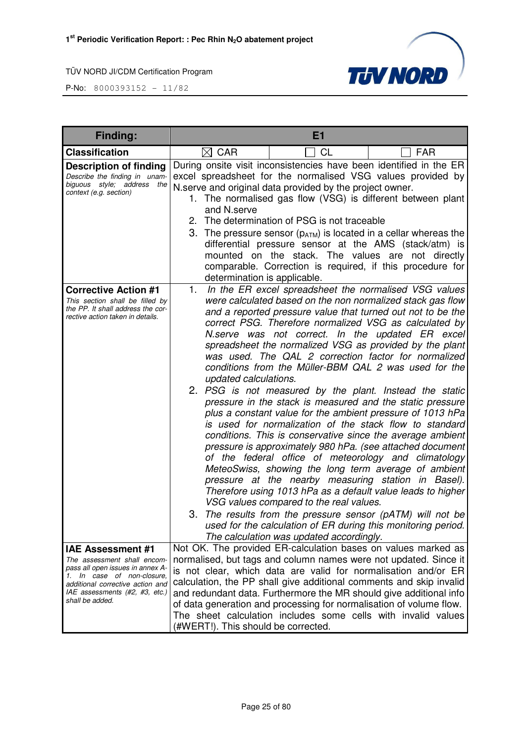

| <b>Finding:</b>                                                                                                                                                                        | E1                                                                                                                                                                                                                                                                                                                                                                                                                                                                                                                                                                                                                                                                                                                                                                                                                                                                                                                                                                                                                                                                                                                                                                                                                                                                                                                                                     |
|----------------------------------------------------------------------------------------------------------------------------------------------------------------------------------------|--------------------------------------------------------------------------------------------------------------------------------------------------------------------------------------------------------------------------------------------------------------------------------------------------------------------------------------------------------------------------------------------------------------------------------------------------------------------------------------------------------------------------------------------------------------------------------------------------------------------------------------------------------------------------------------------------------------------------------------------------------------------------------------------------------------------------------------------------------------------------------------------------------------------------------------------------------------------------------------------------------------------------------------------------------------------------------------------------------------------------------------------------------------------------------------------------------------------------------------------------------------------------------------------------------------------------------------------------------|
| <b>Classification</b>                                                                                                                                                                  | <b>CL</b><br>$\boxtimes$ CAR<br><b>FAR</b>                                                                                                                                                                                                                                                                                                                                                                                                                                                                                                                                                                                                                                                                                                                                                                                                                                                                                                                                                                                                                                                                                                                                                                                                                                                                                                             |
| <b>Description of finding</b><br>Describe the finding in unam-<br>biguous style; address the<br>context (e.g. section)                                                                 | During onsite visit inconsistencies have been identified in the ER<br>excel spreadsheet for the normalised VSG values provided by<br>N.serve and original data provided by the project owner.<br>1. The normalised gas flow (VSG) is different between plant<br>and N.serve<br>2. The determination of PSG is not traceable<br>3. The pressure sensor $(p_{ATM})$ is located in a cellar whereas the<br>differential pressure sensor at the AMS (stack/atm) is<br>mounted on the stack. The values are not directly<br>comparable. Correction is required, if this procedure for<br>determination is applicable.                                                                                                                                                                                                                                                                                                                                                                                                                                                                                                                                                                                                                                                                                                                                       |
| <b>Corrective Action #1</b><br>This section shall be filled by<br>the PP. It shall address the cor-<br>rective action taken in details.                                                | In the ER excel spreadsheet the normalised VSG values<br>1.<br>were calculated based on the non normalized stack gas flow<br>and a reported pressure value that turned out not to be the<br>correct PSG. Therefore normalized VSG as calculated by<br>N.serve was not correct. In the updated ER excel<br>spreadsheet the normalized VSG as provided by the plant<br>was used. The QAL 2 correction factor for normalized<br>conditions from the Müller-BBM QAL 2 was used for the<br>updated calculations.<br>2. PSG is not measured by the plant. Instead the static<br>pressure in the stack is measured and the static pressure<br>plus a constant value for the ambient pressure of 1013 hPa<br>is used for normalization of the stack flow to standard<br>conditions. This is conservative since the average ambient<br>pressure is approximately 980 hPa. (see attached document<br>of the federal office of meteorology and climatology<br>MeteoSwiss, showing the long term average of ambient<br>pressure at the nearby measuring station in Basel).<br>Therefore using 1013 hPa as a default value leads to higher<br>VSG values compared to the real values.<br>The results from the pressure sensor (pATM) will not be<br>3.<br>used for the calculation of ER during this monitoring period.<br>The calculation was updated accordingly. |
| IAE Assessment #1                                                                                                                                                                      | Not OK. The provided ER-calculation bases on values marked as                                                                                                                                                                                                                                                                                                                                                                                                                                                                                                                                                                                                                                                                                                                                                                                                                                                                                                                                                                                                                                                                                                                                                                                                                                                                                          |
| The assessment shall encom-<br>pass all open issues in annex A-<br>1. In case of non-closure,<br>additional corrective action and<br>IAE assessments (#2, #3, etc.)<br>shall be added. | normalised, but tags and column names were not updated. Since it<br>is not clear, which data are valid for normalisation and/or ER<br>calculation, the PP shall give additional comments and skip invalid<br>and redundant data. Furthermore the MR should give additional info<br>of data generation and processing for normalisation of volume flow.<br>The sheet calculation includes some cells with invalid values<br>(#WERT!). This should be corrected.                                                                                                                                                                                                                                                                                                                                                                                                                                                                                                                                                                                                                                                                                                                                                                                                                                                                                         |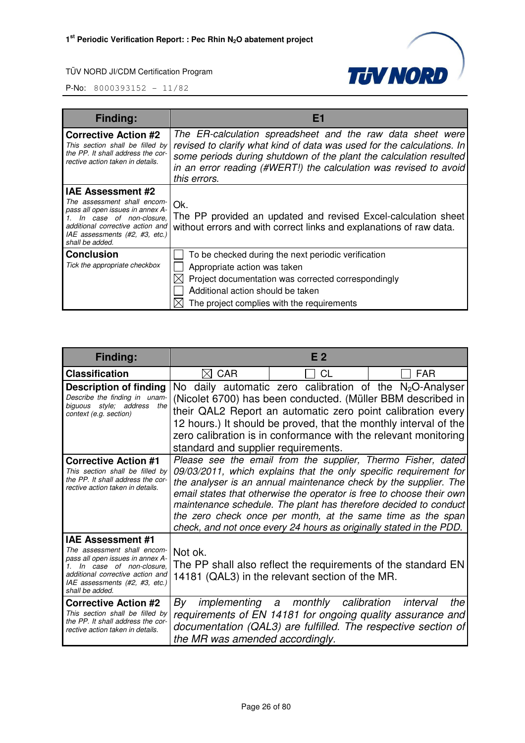

| <b>Finding:</b>                                                                                                                                                                                          | Ei                                                                                                                                                                                                                                                                                              |  |
|----------------------------------------------------------------------------------------------------------------------------------------------------------------------------------------------------------|-------------------------------------------------------------------------------------------------------------------------------------------------------------------------------------------------------------------------------------------------------------------------------------------------|--|
| <b>Corrective Action #2</b><br>This section shall be filled by<br>the PP. It shall address the cor-<br>rective action taken in details.                                                                  | The ER-calculation spreadsheet and the raw data sheet were<br>revised to clarify what kind of data was used for the calculations. In<br>some periods during shutdown of the plant the calculation resulted<br>in an error reading (#WERT!) the calculation was revised to avoid<br>this errors. |  |
| IAE Assessment #2<br>The assessment shall encom-<br>pass all open issues in annex A-<br>In case of non-closure,<br>additional corrective action and<br>IAE assessments (#2, #3, etc.)<br>shall be added. | Ok.<br>The PP provided an updated and revised Excel-calculation sheet<br>without errors and with correct links and explanations of raw data.                                                                                                                                                    |  |
| <b>Conclusion</b><br>Tick the appropriate checkbox                                                                                                                                                       | To be checked during the next periodic verification<br>Appropriate action was taken<br>Project documentation was corrected correspondingly<br>Additional action should be taken<br>The project complies with the requirements                                                                   |  |

| Finding:                                                                                                                                                                                                        |                                                                                                                             | F <sub>2</sub>                                                                                                                                                                                                                                                                                                                                                                                                                                                                          |                 |
|-----------------------------------------------------------------------------------------------------------------------------------------------------------------------------------------------------------------|-----------------------------------------------------------------------------------------------------------------------------|-----------------------------------------------------------------------------------------------------------------------------------------------------------------------------------------------------------------------------------------------------------------------------------------------------------------------------------------------------------------------------------------------------------------------------------------------------------------------------------------|-----------------|
| <b>Classification</b>                                                                                                                                                                                           | CAR<br>IXI                                                                                                                  | CL                                                                                                                                                                                                                                                                                                                                                                                                                                                                                      | <b>FAR</b>      |
| <b>Description of finding</b><br>Describe the finding in unam-<br>biguous style; address<br>the<br>context (e.g. section)                                                                                       |                                                                                                                             | No daily automatic zero calibration of the $N_2O$ -Analyser<br>(Nicolet 6700) has been conducted. (Müller BBM described in<br>their QAL2 Report an automatic zero point calibration every<br>12 hours.) It should be proved, that the monthly interval of the<br>zero calibration is in conformance with the relevant monitoring                                                                                                                                                        |                 |
| <b>Corrective Action #1</b><br>This section shall be filled by<br>the PP. It shall address the cor-<br>rective action taken in details.                                                                         | standard and supplier requirements.                                                                                         | Please see the email from the supplier, Thermo Fisher, dated<br>09/03/2011, which explains that the only specific requirement for<br>the analyser is an annual maintenance check by the supplier. The<br>email states that otherwise the operator is free to choose their own<br>maintenance schedule. The plant has therefore decided to conduct<br>the zero check once per month, at the same time as the span<br>check, and not once every 24 hours as originally stated in the PDD. |                 |
| <b>IAE Assessment #1</b><br>The assessment shall encom-<br>pass all open issues in annex A-<br>In case of non-closure,<br>additional corrective action and<br>IAE assessments (#2, #3, etc.)<br>shall be added. | Not ok.<br>The PP shall also reflect the requirements of the standard EN<br>14181 (QAL3) in the relevant section of the MR. |                                                                                                                                                                                                                                                                                                                                                                                                                                                                                         |                 |
| <b>Corrective Action #2</b><br>This section shall be filled by<br>the PP. It shall address the cor-<br>rective action taken in details.                                                                         | By<br>the MR was amended accordingly.                                                                                       | implementing a monthly calibration<br>requirements of EN 14181 for ongoing quality assurance and<br>documentation (QAL3) are fulfilled. The respective section of                                                                                                                                                                                                                                                                                                                       | the<br>interval |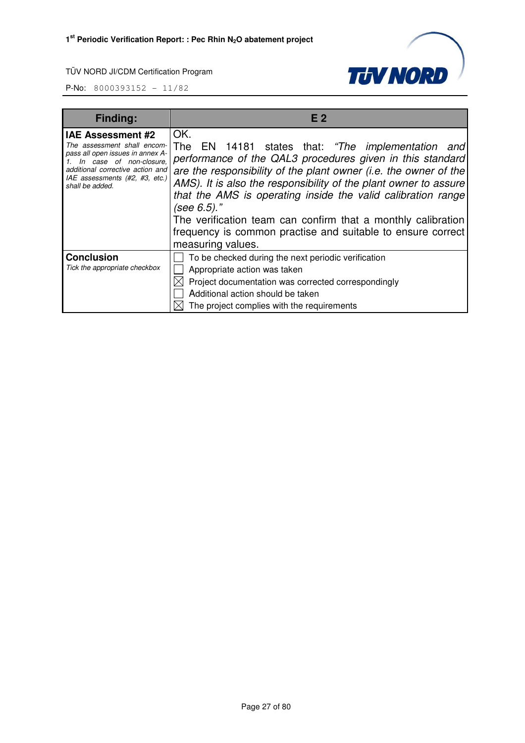

| Finding:                                                                                                                                                                                                        | E 2                                                                                                                                                                                                                                                                                                                                                                                                                                                                                                 |  |
|-----------------------------------------------------------------------------------------------------------------------------------------------------------------------------------------------------------------|-----------------------------------------------------------------------------------------------------------------------------------------------------------------------------------------------------------------------------------------------------------------------------------------------------------------------------------------------------------------------------------------------------------------------------------------------------------------------------------------------------|--|
| <b>IAE Assessment #2</b><br>The assessment shall encom-<br>pass all open issues in annex A-<br>In case of non-closure.<br>additional corrective action and<br>IAE assessments (#2, #3, etc.)<br>shall be added. | OK.<br>The EN 14181 states that: "The implementation and<br>performance of the QAL3 procedures given in this standard<br>are the responsibility of the plant owner (i.e. the owner of the<br>AMS). It is also the responsibility of the plant owner to assure<br>that the AMS is operating inside the valid calibration range<br>(see $6.5$ )."<br>The verification team can confirm that a monthly calibration<br>frequency is common practise and suitable to ensure correct<br>measuring values. |  |
| <b>Conclusion</b><br>Tick the appropriate checkbox                                                                                                                                                              | To be checked during the next periodic verification<br>Appropriate action was taken<br>Project documentation was corrected correspondingly<br>Additional action should be taken<br>The project complies with the requirements                                                                                                                                                                                                                                                                       |  |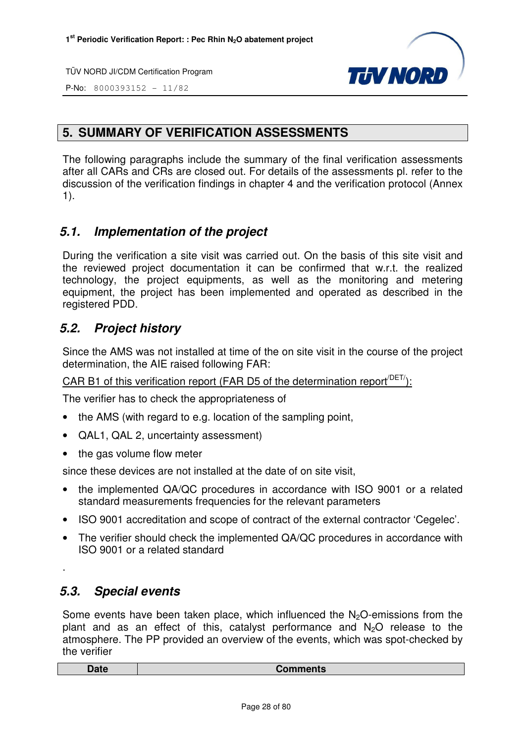

P-No: 8000393152 - 11/82

# **5. SUMMARY OF VERIFICATION ASSESSMENTS**

The following paragraphs include the summary of the final verification assessments after all CARs and CRs are closed out. For details of the assessments pl. refer to the discussion of the verification findings in chapter 4 and the verification protocol (Annex 1).

# **5.1. Implementation of the project**

During the verification a site visit was carried out. On the basis of this site visit and the reviewed project documentation it can be confirmed that w.r.t. the realized technology, the project equipments, as well as the monitoring and metering equipment, the project has been implemented and operated as described in the registered PDD.

# **5.2. Project history**

Since the AMS was not installed at time of the on site visit in the course of the project determination, the AIE raised following FAR:

CAR B1 of this verification report (FAR D5 of the determination report<sup> $/$ DET</sup>):

The verifier has to check the appropriateness of

- the AMS (with regard to e.g. location of the sampling point,
- QAL1, QAL 2, uncertainty assessment)
- the gas volume flow meter

since these devices are not installed at the date of on site visit,

- the implemented QA/QC procedures in accordance with ISO 9001 or a related standard measurements frequencies for the relevant parameters
- ISO 9001 accreditation and scope of contract of the external contractor 'Cegelec'.
- The verifier should check the implemented QA/QC procedures in accordance with ISO 9001 or a related standard

# **5.3. Special events**

.

Some events have been taken place, which influenced the  $N<sub>2</sub>O$ -emissions from the plant and as an effect of this, catalyst performance and  $N<sub>2</sub>O$  release to the atmosphere. The PP provided an overview of the events, which was spot-checked by the verifier

| <b>Pate</b> | omments<br>vυ |
|-------------|---------------|
|             |               |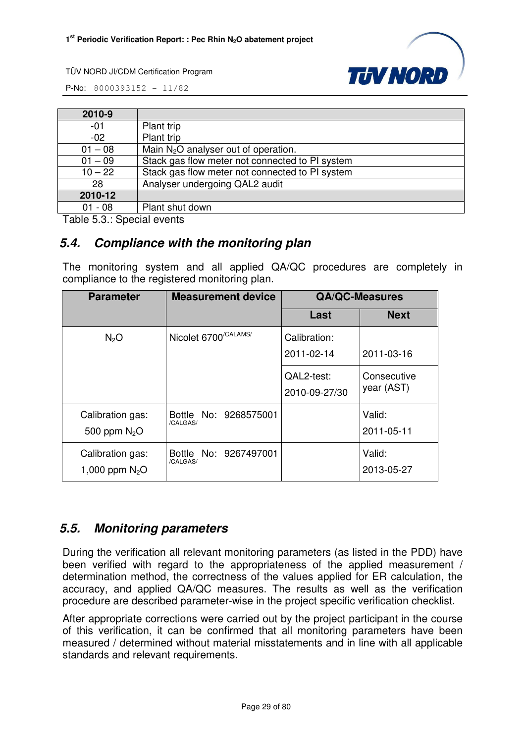

P-No: 8000393152 - 11/82



| 2010-9    |                                                 |
|-----------|-------------------------------------------------|
| $-01$     | Plant trip                                      |
| $-02$     | Plant trip                                      |
| $01 - 08$ | Main $N_2O$ analyser out of operation.          |
| $01 - 09$ | Stack gas flow meter not connected to PI system |
| $10 - 22$ | Stack gas flow meter not connected to PI system |
| 28        | Analyser undergoing QAL2 audit                  |
| 2010-12   |                                                 |
| $01 - 08$ | Plant shut down                                 |

Table 5.3.: Special events

# **5.4. Compliance with the monitoring plan**

The monitoring system and all applied QA/QC procedures are completely in compliance to the registered monitoring plan.

| <b>Parameter</b>                     | <b>Measurement device</b>         |                             | <b>QA/QC-Measures</b>     |
|--------------------------------------|-----------------------------------|-----------------------------|---------------------------|
|                                      |                                   | Last                        | <b>Next</b>               |
| N <sub>2</sub> O                     | Nicolet 6700 <sup>/CALAMS/</sup>  | Calibration:<br>2011-02-14  | 2011-03-16                |
|                                      |                                   | QAL2-test:<br>2010-09-27/30 | Consecutive<br>year (AST) |
| Calibration gas:<br>500 ppm $N_2O$   | Bottle No: 9268575001<br>/CALGAS/ |                             | Valid:<br>2011-05-11      |
| Calibration gas:<br>1,000 ppm $N_2O$ | Bottle No: 9267497001<br>/CALGAS/ |                             | Valid:<br>2013-05-27      |

# **5.5. Monitoring parameters**

During the verification all relevant monitoring parameters (as listed in the PDD) have been verified with regard to the appropriateness of the applied measurement / determination method, the correctness of the values applied for ER calculation, the accuracy, and applied QA/QC measures. The results as well as the verification procedure are described parameter-wise in the project specific verification checklist.

After appropriate corrections were carried out by the project participant in the course of this verification, it can be confirmed that all monitoring parameters have been measured / determined without material misstatements and in line with all applicable standards and relevant requirements.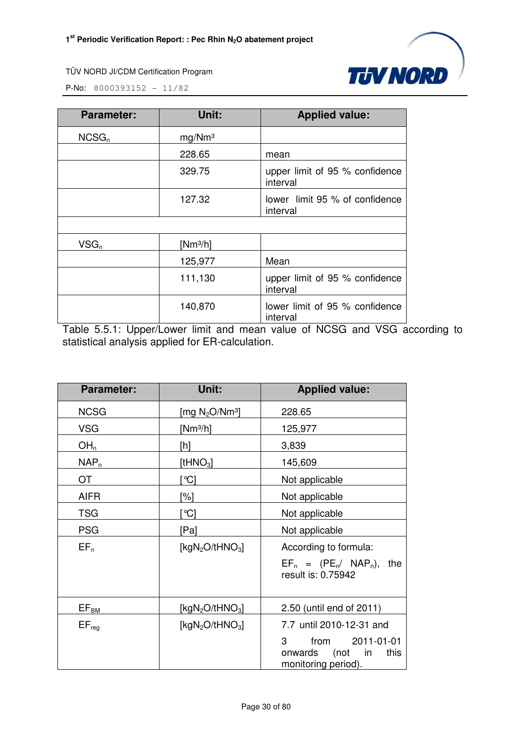

**P-No:** 8000393152 - 11/82

| <b>Parameter:</b> | Unit:              | <b>Applied value:</b>                      |
|-------------------|--------------------|--------------------------------------------|
| NCSG <sub>n</sub> | mg/Mm <sup>3</sup> |                                            |
|                   | 228.65             | mean                                       |
|                   | 329.75             | upper limit of 95 % confidence<br>interval |
|                   | 127.32             | lower limit 95 % of confidence<br>interval |
|                   |                    |                                            |
| $VSG_n$           | [ $Nm^3/h$ ]       |                                            |
|                   | 125,977            | Mean                                       |
|                   | 111,130            | upper limit of 95 % confidence<br>interval |
|                   | 140,870            | lower limit of 95 % confidence<br>interval |

Table 5.5.1: Upper/Lower limit and mean value of NCSG and VSG according to statistical analysis applied for ER-calculation.

| <b>Parameter:</b> | Unit:                                   | <b>Applied value:</b>                                                           |  |
|-------------------|-----------------------------------------|---------------------------------------------------------------------------------|--|
| <b>NCSG</b>       | [mg $N_2O/Nm^3$ ]                       | 228.65                                                                          |  |
| <b>VSG</b>        | [ $Nm^3/h$ ]                            | 125,977                                                                         |  |
| OH <sub>n</sub>   | [h]                                     | 3,839                                                                           |  |
| $NAP_n$           | [t $HNO3$ ]                             | 145,609                                                                         |  |
| <b>OT</b>         | ଂଠା                                     | Not applicable                                                                  |  |
| <b>AIFR</b>       | <sup>'%]</sup>                          | Not applicable                                                                  |  |
| <b>TSG</b>        | $^{\circ}$ C                            | Not applicable                                                                  |  |
| <b>PSG</b>        | [Pa]                                    | Not applicable                                                                  |  |
| $EF_n$            | [kgN <sub>2</sub> O/tHNO <sub>3</sub> ] | According to formula:                                                           |  |
|                   |                                         | $EF_n = (PE_n / NAP_n)$ ,<br>the<br>result is: 0.75942                          |  |
| $EF_{BM}$         | [kgN <sub>2</sub> O/tHNO <sub>3</sub> ] | 2.50 (until end of 2011)                                                        |  |
| $EF_{reg}$        | [kgN <sub>2</sub> O/tHNO <sub>3</sub> ] | 7.7 until 2010-12-31 and                                                        |  |
|                   |                                         | 3<br>2011-01-01<br>from<br>onwards<br>(not<br>in<br>this<br>monitoring period). |  |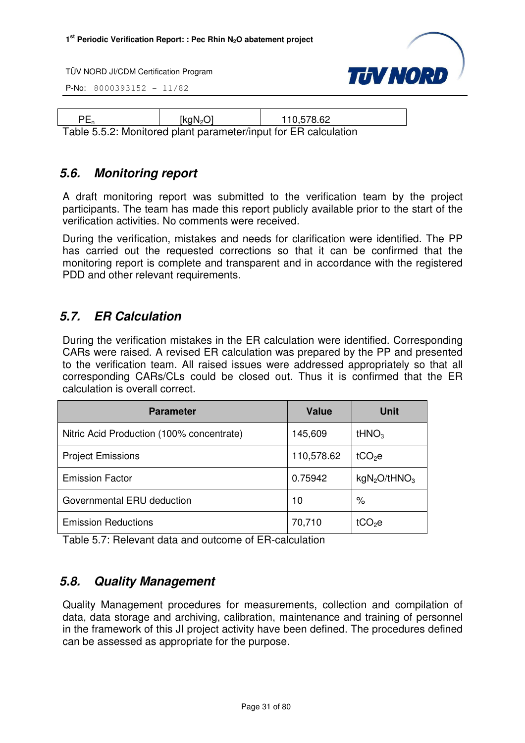P-No: 8000393152 - 11/82



| [kqN <sub>2</sub> O] | 110,578.62                                                      |
|----------------------|-----------------------------------------------------------------|
|                      | Table 5.5.2: Monitored plant parameter/input for ER calculation |

# **5.6. Monitoring report**

A draft monitoring report was submitted to the verification team by the project participants. The team has made this report publicly available prior to the start of the verification activities. No comments were received.

During the verification, mistakes and needs for clarification were identified. The PP has carried out the requested corrections so that it can be confirmed that the monitoring report is complete and transparent and in accordance with the registered PDD and other relevant requirements.

# **5.7. ER Calculation**

During the verification mistakes in the ER calculation were identified. Corresponding CARs were raised. A revised ER calculation was prepared by the PP and presented to the verification team. All raised issues were addressed appropriately so that all corresponding CARs/CLs could be closed out. Thus it is confirmed that the ER calculation is overall correct.

| <b>Parameter</b>                          | <b>Value</b> | <b>Unit</b>                          |
|-------------------------------------------|--------------|--------------------------------------|
| Nitric Acid Production (100% concentrate) | 145,609      | tHNO <sub>3</sub>                    |
| <b>Project Emissions</b>                  | 110,578.62   | tCO <sub>2</sub> e                   |
| <b>Emission Factor</b>                    | 0.75942      | kgN <sub>2</sub> O/tHNO <sub>3</sub> |
| Governmental ERU deduction                | 10           | $\%$                                 |
| <b>Emission Reductions</b>                | 70,710       | tCO <sub>2</sub> e                   |

Table 5.7: Relevant data and outcome of ER-calculation

# **5.8. Quality Management**

Quality Management procedures for measurements, collection and compilation of data, data storage and archiving, calibration, maintenance and training of personnel in the framework of this JI project activity have been defined. The procedures defined can be assessed as appropriate for the purpose.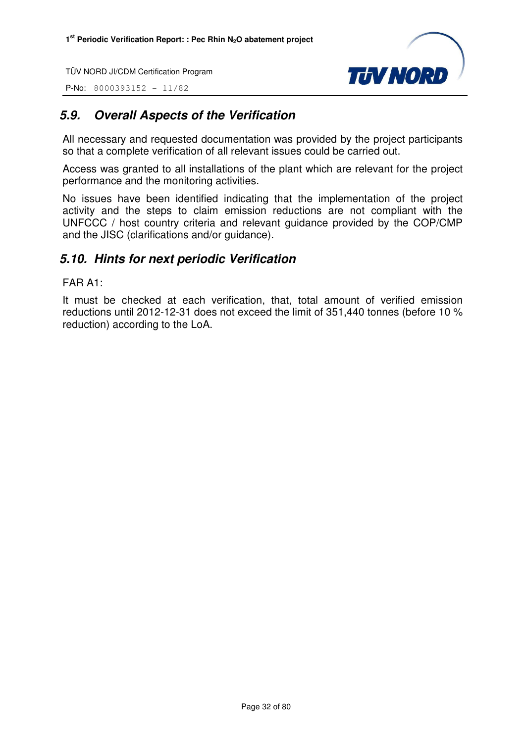P-No: 8000393152 - 11/82



# **5.9. Overall Aspects of the Verification**

All necessary and requested documentation was provided by the project participants so that a complete verification of all relevant issues could be carried out.

Access was granted to all installations of the plant which are relevant for the project performance and the monitoring activities.

No issues have been identified indicating that the implementation of the project activity and the steps to claim emission reductions are not compliant with the UNFCCC / host country criteria and relevant guidance provided by the COP/CMP and the JISC (clarifications and/or guidance).

# **5.10. Hints for next periodic Verification**

FAR A1:

It must be checked at each verification, that, total amount of verified emission reductions until 2012-12-31 does not exceed the limit of 351,440 tonnes (before 10 % reduction) according to the LoA.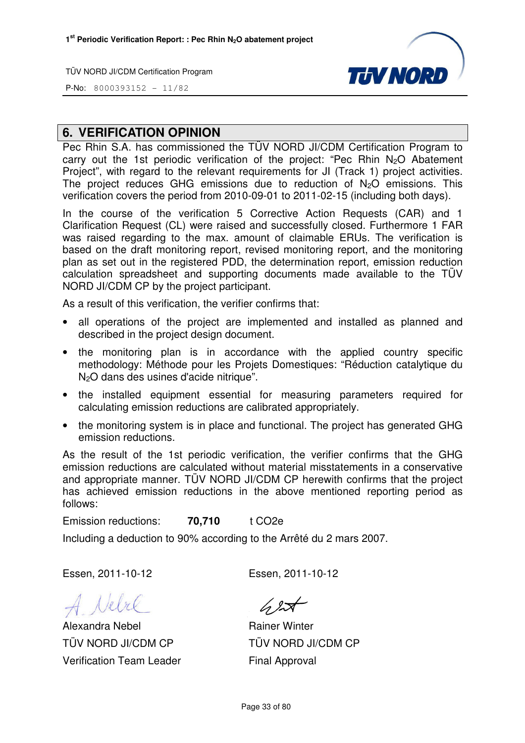

P-No: 8000393152 - 11/82

# **6. VERIFICATION OPINION**

Pec Rhin S.A. has commissioned the TÜV NORD JI/CDM Certification Program to carry out the 1st periodic verification of the project: "Pec Rhin N2O Abatement Project", with regard to the relevant requirements for JI (Track 1) project activities. The project reduces GHG emissions due to reduction of  $N_2O$  emissions. This verification covers the period from 2010-09-01 to 2011-02-15 (including both days).

In the course of the verification 5 Corrective Action Requests (CAR) and 1 Clarification Request (CL) were raised and successfully closed. Furthermore 1 FAR was raised regarding to the max. amount of claimable ERUs. The verification is based on the draft monitoring report, revised monitoring report, and the monitoring plan as set out in the registered PDD, the determination report, emission reduction calculation spreadsheet and supporting documents made available to the TÜV NORD JI/CDM CP by the project participant.

As a result of this verification, the verifier confirms that:

- all operations of the project are implemented and installed as planned and described in the project design document.
- the monitoring plan is in accordance with the applied country specific methodology: Méthode pour les Projets Domestiques: "Réduction catalytique du N2O dans des usines d'acide nitrique".
- the installed equipment essential for measuring parameters required for calculating emission reductions are calibrated appropriately.
- the monitoring system is in place and functional. The project has generated GHG emission reductions.

As the result of the 1st periodic verification, the verifier confirms that the GHG emission reductions are calculated without material misstatements in a conservative and appropriate manner. TÜV NORD JI/CDM CP herewith confirms that the project has achieved emission reductions in the above mentioned reporting period as follows:

Emission reductions: **70,710** t CO2e

Including a deduction to 90% according to the Arrêté du 2 mars 2007.

Essen, 2011-10-12 Essen, 2011-10-12

A Nebel

Alexandra Nebel TÜV NORD JI/CDM CP Verification Team Leader

 $62$ 

Rainer Winter TÜV NORD JI/CDM CP Final Approval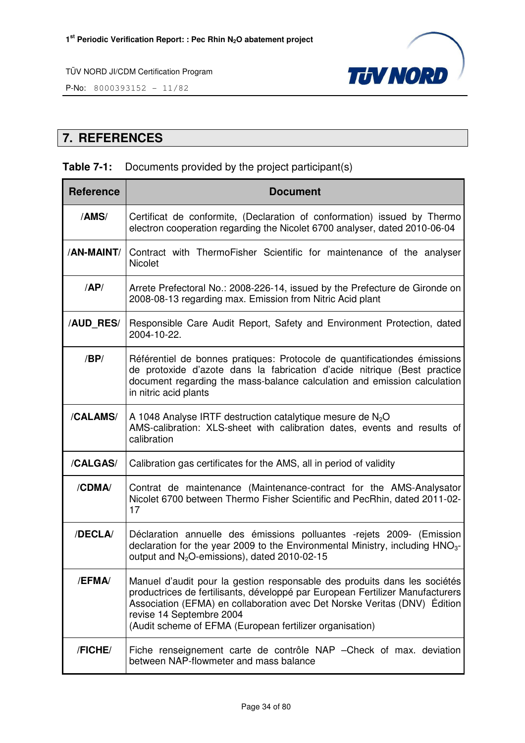

P-No: 8000393152 - 11/82

# **7. REFERENCES**

# **Table 7-1:** Documents provided by the project participant(s)

| <b>Reference</b> | <b>Document</b>                                                                                                                                                                                                                                                                                                                 |
|------------------|---------------------------------------------------------------------------------------------------------------------------------------------------------------------------------------------------------------------------------------------------------------------------------------------------------------------------------|
| /AMS/            | Certificat de conformite, (Declaration of conformation) issued by Thermo<br>electron cooperation regarding the Nicolet 6700 analyser, dated 2010-06-04                                                                                                                                                                          |
| /AN-MAINT/       | Contract with ThermoFisher Scientific for maintenance of the analyser<br>Nicolet                                                                                                                                                                                                                                                |
| AP/              | Arrete Prefectoral No.: 2008-226-14, issued by the Prefecture de Gironde on<br>2008-08-13 regarding max. Emission from Nitric Acid plant                                                                                                                                                                                        |
| <b>/AUD_RES/</b> | Responsible Care Audit Report, Safety and Environment Protection, dated<br>2004-10-22.                                                                                                                                                                                                                                          |
| /BP/             | Référentiel de bonnes pratiques: Protocole de quantificationdes émissions<br>de protoxide d'azote dans la fabrication d'acide nitrique (Best practice<br>document regarding the mass-balance calculation and emission calculation<br>in nitric acid plants                                                                      |
| /CALAMS/         | A 1048 Analyse IRTF destruction catalytique mesure de $N_2O$<br>AMS-calibration: XLS-sheet with calibration dates, events and results of<br>calibration                                                                                                                                                                         |
| /CALGAS/         | Calibration gas certificates for the AMS, all in period of validity                                                                                                                                                                                                                                                             |
| /CDMA/           | Contrat de maintenance (Maintenance-contract for the AMS-Analysator<br>Nicolet 6700 between Thermo Fisher Scientific and PecRhin, dated 2011-02-<br>17                                                                                                                                                                          |
| /DECLA/          | Déclaration annuelle des émissions polluantes -rejets 2009- (Emission<br>declaration for the year 2009 to the Environmental Ministry, including HNO <sub>3</sub> -<br>output and N <sub>2</sub> O-emissions), dated 2010-02-15                                                                                                  |
| /EFMA/           | Manuel d'audit pour la gestion responsable des produits dans les sociétés<br>productrices de fertilisants, développé par European Fertilizer Manufacturers<br>Association (EFMA) en collaboration avec Det Norske Veritas (DNV) Edition<br>revise 14 Septembre 2004<br>(Audit scheme of EFMA (European fertilizer organisation) |
| /FICHE/          | Fiche renseignement carte de contrôle NAP - Check of max. deviation<br>between NAP-flowmeter and mass balance                                                                                                                                                                                                                   |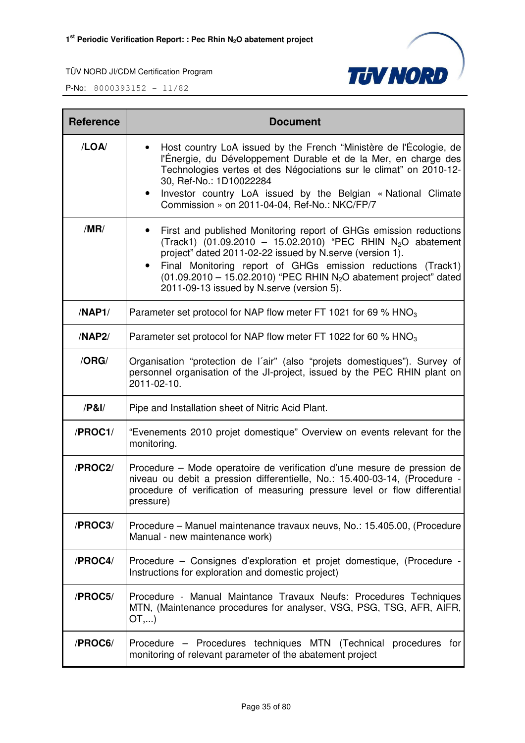



| <b>Reference</b> | <b>Document</b>                                                                                                                                                                                                                                                                                                                                                                                                       |
|------------------|-----------------------------------------------------------------------------------------------------------------------------------------------------------------------------------------------------------------------------------------------------------------------------------------------------------------------------------------------------------------------------------------------------------------------|
| /LOA/            | Host country LoA issued by the French "Ministère de l'Écologie, de<br>l'Énergie, du Développement Durable et de la Mer, en charge des<br>Technologies vertes et des Négociations sur le climat" on 2010-12-<br>30, Ref-No.: 1D10022284<br>Investor country LoA issued by the Belgian « National Climate<br>$\bullet$<br>Commission » on 2011-04-04, Ref-No.: NKC/FP/7                                                 |
| /MR/             | First and published Monitoring report of GHGs emission reductions<br>$\bullet$<br>(Track1) (01.09.2010 - 15.02.2010) "PEC RHIN N <sub>2</sub> O abatement<br>project" dated 2011-02-22 issued by N.serve (version 1).<br>Final Monitoring report of GHGs emission reductions (Track1)<br>$(01.09.2010 - 15.02.2010)$ "PEC RHIN N <sub>2</sub> O abatement project" dated<br>2011-09-13 issued by N.serve (version 5). |
| /NAP1/           | Parameter set protocol for NAP flow meter FT 1021 for 69 % $HNO3$                                                                                                                                                                                                                                                                                                                                                     |
| /NAP2/           | Parameter set protocol for NAP flow meter FT 1022 for 60 % HNO <sub>3</sub>                                                                                                                                                                                                                                                                                                                                           |
| /ORG/            | Organisation "protection de l'air" (also "projets domestiques"). Survey of<br>personnel organisation of the JI-project, issued by the PEC RHIN plant on<br>2011-02-10.                                                                                                                                                                                                                                                |
| /P&I/            | Pipe and Installation sheet of Nitric Acid Plant.                                                                                                                                                                                                                                                                                                                                                                     |
| /PROC1/          | "Evenements 2010 projet domestique" Overview on events relevant for the<br>monitoring.                                                                                                                                                                                                                                                                                                                                |
| /PROC2/          | Procedure – Mode operatoire de verification d'une mesure de pression de<br>niveau ou debit a pression differentielle, No.: 15.400-03-14, (Procedure -<br>procedure of verification of measuring pressure level or flow differential<br>pressure)                                                                                                                                                                      |
| /PROC3/          | Procedure – Manuel maintenance travaux neuvs, No.: 15.405.00, (Procedure<br>Manual - new maintenance work)                                                                                                                                                                                                                                                                                                            |
| /PROC4/          | Procedure – Consignes d'exploration et projet domestique, (Procedure -<br>Instructions for exploration and domestic project)                                                                                                                                                                                                                                                                                          |
| /PROC5/          | Procedure - Manual Maintance Travaux Neufs: Procedures Techniques<br>MTN, (Maintenance procedures for analyser, VSG, PSG, TSG, AFR, AIFR,<br>OT,)                                                                                                                                                                                                                                                                     |
| /PROC6/          | Procedure – Procedures techniques MTN (Technical procedures for<br>monitoring of relevant parameter of the abatement project                                                                                                                                                                                                                                                                                          |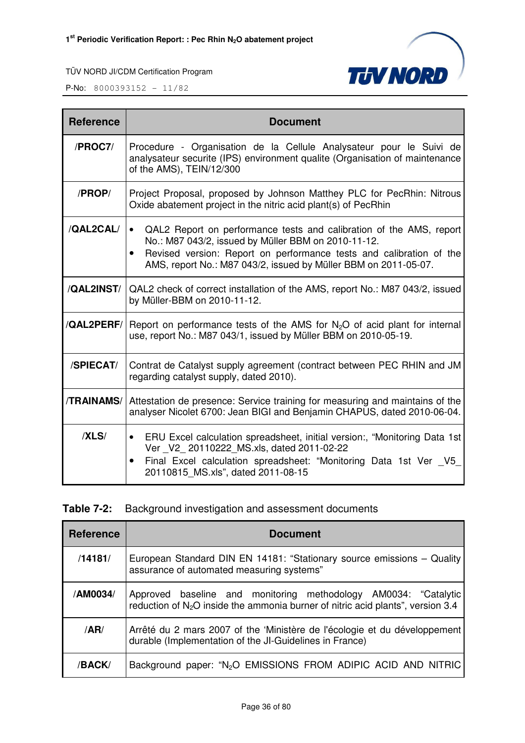

| <b>Reference</b>   | <b>Document</b>                                                                                                                                                                                                                                                                                |
|--------------------|------------------------------------------------------------------------------------------------------------------------------------------------------------------------------------------------------------------------------------------------------------------------------------------------|
| /PROC7/            | Procedure - Organisation de la Cellule Analysateur pour le Suivi de<br>analysateur securite (IPS) environment qualite (Organisation of maintenance<br>of the AMS), TEIN/12/300                                                                                                                 |
| /PROP/             | Project Proposal, proposed by Johnson Matthey PLC for PecRhin: Nitrous<br>Oxide abatement project in the nitric acid plant(s) of PecRhin                                                                                                                                                       |
| /QAL2CAL/          | QAL2 Report on performance tests and calibration of the AMS, report<br>$\bullet$<br>No.: M87 043/2, issued by Müller BBM on 2010-11-12.<br>Revised version: Report on performance tests and calibration of the<br>$\bullet$<br>AMS, report No.: M87 043/2, issued by Müller BBM on 2011-05-07. |
| /QAL2INST/         | QAL2 check of correct installation of the AMS, report No.: M87 043/2, issued<br>by Müller-BBM on 2010-11-12.                                                                                                                                                                                   |
| <b>/QAL2PERF/I</b> | Report on performance tests of the AMS for $N_2O$ of acid plant for internal<br>use, report No.: M87 043/1, issued by Müller BBM on 2010-05-19.                                                                                                                                                |
| /SPIECAT/          | Contrat de Catalyst supply agreement (contract between PEC RHIN and JM<br>regarding catalyst supply, dated 2010).                                                                                                                                                                              |
| <b>/TRAINAMS/</b>  | Attestation de presence: Service training for measuring and maintains of the<br>analyser Nicolet 6700: Jean BIGI and Benjamin CHAPUS, dated 2010-06-04.                                                                                                                                        |
| /XLS/              | ERU Excel calculation spreadsheet, initial version:, "Monitoring Data 1st<br>$\bullet$<br>Ver V2 20110222 MS.xls, dated 2011-02-22<br>Final Excel calculation spreadsheet: "Monitoring Data 1st Ver V5<br>$\bullet$<br>20110815 MS.xls", dated 2011-08-15                                      |

|  | <b>Table 7-2:</b> Background investigation and assessment documents |  |
|--|---------------------------------------------------------------------|--|
|  |                                                                     |  |

| <b>Reference</b> | <b>Document</b>                                                                                                                                      |  |  |
|------------------|------------------------------------------------------------------------------------------------------------------------------------------------------|--|--|
| /14181/          | European Standard DIN EN 14181: "Stationary source emissions - Quality<br>assurance of automated measuring systems"                                  |  |  |
| /AM0034/         | Approved baseline and monitoring methodology AM0034: "Catalytic<br>reduction of $N_2O$ inside the ammonia burner of nitric acid plants", version 3.4 |  |  |
| /AR/             | Arrêté du 2 mars 2007 of the 'Ministère de l'écologie et du développement<br>durable (Implementation of the JI-Guidelines in France)                 |  |  |
| /BACK/           | Background paper: "N <sub>2</sub> O EMISSIONS FROM ADIPIC ACID AND NITRIC                                                                            |  |  |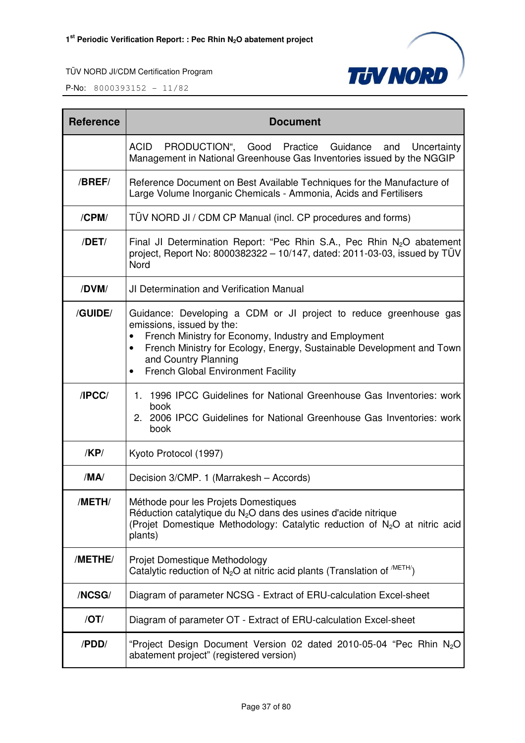



| <b>Reference</b> | <b>Document</b>                                                                                                                                                                                                                                                                                                                |  |  |
|------------------|--------------------------------------------------------------------------------------------------------------------------------------------------------------------------------------------------------------------------------------------------------------------------------------------------------------------------------|--|--|
|                  | PRODUCTION", Good Practice Guidance<br><b>ACID</b><br>Uncertainty<br>and<br>Management in National Greenhouse Gas Inventories issued by the NGGIP                                                                                                                                                                              |  |  |
| /BREF/           | Reference Document on Best Available Techniques for the Manufacture of<br>Large Volume Inorganic Chemicals - Ammonia, Acids and Fertilisers                                                                                                                                                                                    |  |  |
| /CPM/            | TÜV NORD JI / CDM CP Manual (incl. CP procedures and forms)                                                                                                                                                                                                                                                                    |  |  |
| /DET/            | Final JI Determination Report: "Pec Rhin S.A., Pec Rhin $N_2O$ abatement<br>project, Report No: 8000382322 - 10/147, dated: 2011-03-03, issued by TÜV<br>Nord                                                                                                                                                                  |  |  |
| /DVM/            | <b>JI Determination and Verification Manual</b>                                                                                                                                                                                                                                                                                |  |  |
| /GUIDE/          | Guidance: Developing a CDM or JI project to reduce greenhouse gas<br>emissions, issued by the:<br>French Ministry for Economy, Industry and Employment<br>French Ministry for Ecology, Energy, Sustainable Development and Town<br>$\bullet$<br>and Country Planning<br><b>French Global Environment Facility</b><br>$\bullet$ |  |  |
| /IPCC/           | 1. 1996 IPCC Guidelines for National Greenhouse Gas Inventories: work<br>book<br>2. 2006 IPCC Guidelines for National Greenhouse Gas Inventories: work<br>book                                                                                                                                                                 |  |  |
| /KP/             | Kyoto Protocol (1997)                                                                                                                                                                                                                                                                                                          |  |  |
| /MA/             | Decision 3/CMP. 1 (Marrakesh - Accords)                                                                                                                                                                                                                                                                                        |  |  |
| /METH/           | Méthode pour les Projets Domestiques<br>Réduction catalytique du N <sub>2</sub> O dans des usines d'acide nitrique<br>(Projet Domestique Methodology: Catalytic reduction of N <sub>2</sub> O at nitric acid<br>plants)                                                                                                        |  |  |
| /METHE/          | Projet Domestique Methodology<br>Catalytic reduction of $N_2O$ at nitric acid plants (Translation of $^{METH}$ )                                                                                                                                                                                                               |  |  |
| /NCSG/           | Diagram of parameter NCSG - Extract of ERU-calculation Excel-sheet                                                                                                                                                                                                                                                             |  |  |
| $\overline{OT}$  | Diagram of parameter OT - Extract of ERU-calculation Excel-sheet                                                                                                                                                                                                                                                               |  |  |
| /PDD/            | "Project Design Document Version 02 dated 2010-05-04 "Pec Rhin N <sub>2</sub> O<br>abatement project" (registered version)                                                                                                                                                                                                     |  |  |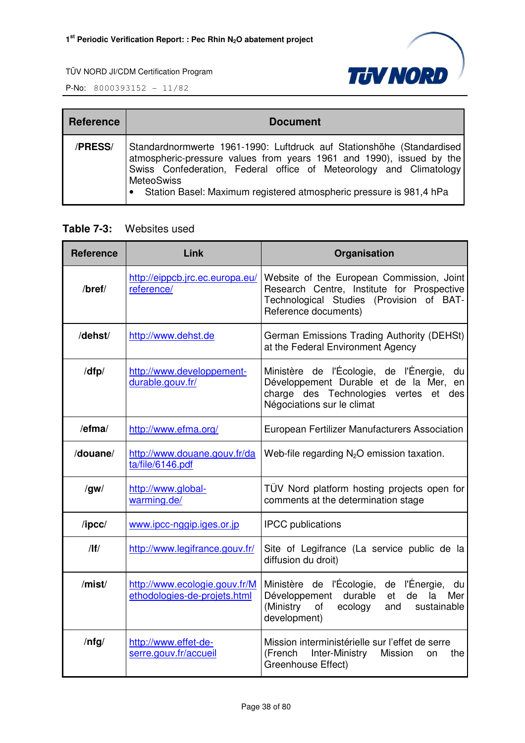

P-No: 8000393152 - 11/82

| <b>Reference</b> | <b>Document</b>                                                                                                                                                                                                                                                                                                    |
|------------------|--------------------------------------------------------------------------------------------------------------------------------------------------------------------------------------------------------------------------------------------------------------------------------------------------------------------|
| /PRESS/          | Standardnormwerte 1961-1990: Luftdruck auf Stationshöhe (Standardised)<br>atmospheric-pressure values from years 1961 and 1990), issued by the<br>Swiss Confederation, Federal office of Meteorology and Climatology<br><b>MeteoSwiss</b><br>• Station Basel: Maximum registered atmospheric pressure is 981,4 hPa |

## **Table 7-3:** Websites used

| <b>Reference</b> | Link                                                          | Organisation                                                                                                                                                        |
|------------------|---------------------------------------------------------------|---------------------------------------------------------------------------------------------------------------------------------------------------------------------|
| /bref/           | http://eippcb.jrc.ec.europa.eu/<br>reference/                 | Website of the European Commission, Joint<br>Research Centre, Institute for Prospective<br>Technological Studies (Provision of BAT-<br>Reference documents)         |
| /dehst/          | http://www.dehst.de                                           | German Emissions Trading Authority (DEHSt)<br>at the Federal Environment Agency                                                                                     |
| /dfp/            | http://www.developpement-<br>durable.gouv.fr/                 | Ministère de l'Écologie, de l'Énergie,<br>du<br>Développement Durable et de la Mer, en<br>charge des Technologies vertes<br>et<br>des<br>Négociations sur le climat |
| /efma/           | http://www.efma.org/                                          | European Fertilizer Manufacturers Association                                                                                                                       |
| /douane/         | http://www.douane.gouv.fr/da<br>ta/file/6146.pdf              | Web-file regarding $N_2O$ emission taxation.                                                                                                                        |
| /gw/             | http://www.global-<br>warming.de/                             | TÜV Nord platform hosting projects open for<br>comments at the determination stage                                                                                  |
| $/$ ipcc $/$     | www.ipcc-nggip.iges.or.jp                                     | <b>IPCC</b> publications                                                                                                                                            |
| /                | http://www.legifrance.gouv.fr/                                | Site of Legifrance (La service public de la<br>diffusion du droit)                                                                                                  |
| /mist/           | http://www.ecologie.gouv.fr/M<br>ethodologies-de-projets.html | Ministère de l'Écologie, de l'Énergie, du<br>durable<br>Développement<br>de<br>et<br>la<br>Mer<br>(Ministry<br>of<br>ecology<br>sustainable<br>and<br>development)  |
| $/$ nfg $/$      | http://www.effet-de-<br>serre.gouv.fr/accueil                 | Mission interministérielle sur l'effet de serre<br>Inter-Ministry<br>(French<br>Mission<br>the<br>on<br>Greenhouse Effect)                                          |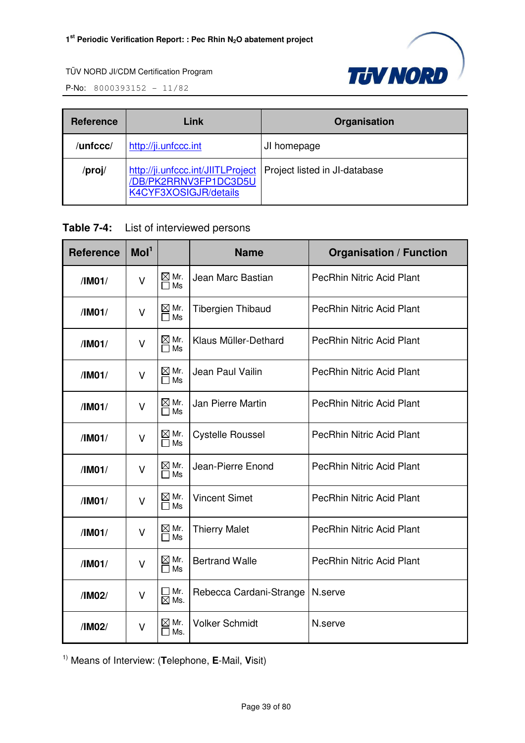

P-No: 8000393152 - 11/82

| <b>Reference</b> | Link                                                                               | Organisation                  |
|------------------|------------------------------------------------------------------------------------|-------------------------------|
| /unfccc/         | http://ji.unfccc.int                                                               | JI homepage                   |
| /proj/           | http://ji.unfccc.int/JIITLProject<br>DB/PK2RRNV3FP1DC3D5U<br>K4CYF3XOSIGJR/details | Project listed in JI-database |

#### **Table 7-4:** List of interviewed persons

| <b>Reference</b> | Mol <sup>1</sup> |                                 | <b>Name</b>              | <b>Organisation / Function</b>   |
|------------------|------------------|---------------------------------|--------------------------|----------------------------------|
| /IM01/           | $\vee$           | $\boxtimes$ Mr.<br>$\Box$ Ms    | Jean Marc Bastian        | <b>PecRhin Nitric Acid Plant</b> |
| /IM01/           | $\vee$           | $\boxtimes$ Mr.<br>$\Box$ Ms    | <b>Tibergien Thibaud</b> | <b>PecRhin Nitric Acid Plant</b> |
| /IM01/           | V                | $\boxtimes$ Mr.<br>$\Box$ Ms    | Klaus Müller-Dethard     | <b>PecRhin Nitric Acid Plant</b> |
| /IM01/           | $\vee$           | $\boxtimes$ Mr.<br>$\Box$ Ms    | Jean Paul Vailin         | <b>PecRhin Nitric Acid Plant</b> |
| /IM01/           | $\vee$           | $\boxtimes$ Mr.<br>$\Box$ Ms    | Jan Pierre Martin        | <b>PecRhin Nitric Acid Plant</b> |
| /IMO1/           | $\vee$           | $\boxtimes$ Mr.<br>∏ Ms         | <b>Cystelle Roussel</b>  | <b>PecRhin Nitric Acid Plant</b> |
| /IM01/           | $\vee$           | $\boxtimes$ Mr.<br>$\square$ Ms | Jean-Pierre Enond        | <b>PecRhin Nitric Acid Plant</b> |
| /IM01/           | V                | $\boxtimes$ Mr.<br>$\Box$ Ms    | <b>Vincent Simet</b>     | PecRhin Nitric Acid Plant        |
| /IM01/           | V                | $\boxtimes$ Mr.<br>$\Box$ Ms    | <b>Thierry Malet</b>     | <b>PecRhin Nitric Acid Plant</b> |
| /IM01/           | V                | $\boxtimes$ Mr.<br>$\Box$ Ms    | <b>Bertrand Walle</b>    | <b>PecRhin Nitric Acid Plant</b> |
| /IM02/           | V                | ∃ Mr.<br>$\boxtimes$ Ms.        | Rebecca Cardani-Strange  | N.serve                          |
| /IM02/           | $\vee$           | $\boxtimes$ Mr.<br>ヿMs.         | <b>Volker Schmidt</b>    | N.serve                          |

1) Means of Interview: (**T**elephone, **E**-Mail, **V**isit)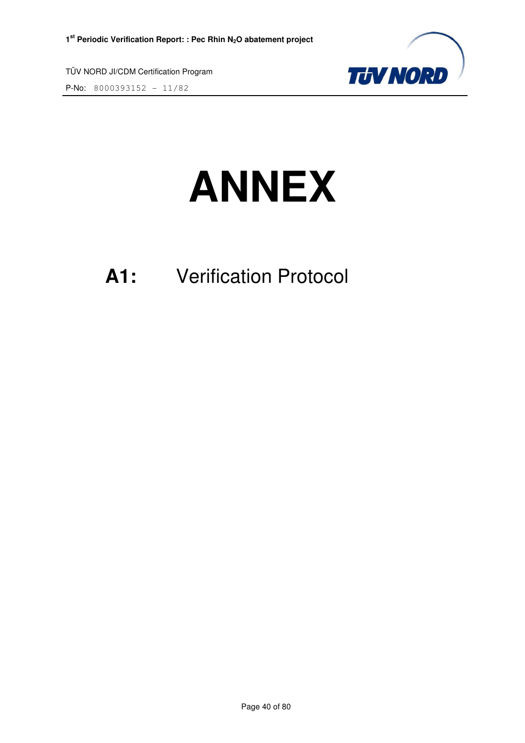P-No: 8000393152 - 11/82



# **ANNEX**

# **A1:** Verification Protocol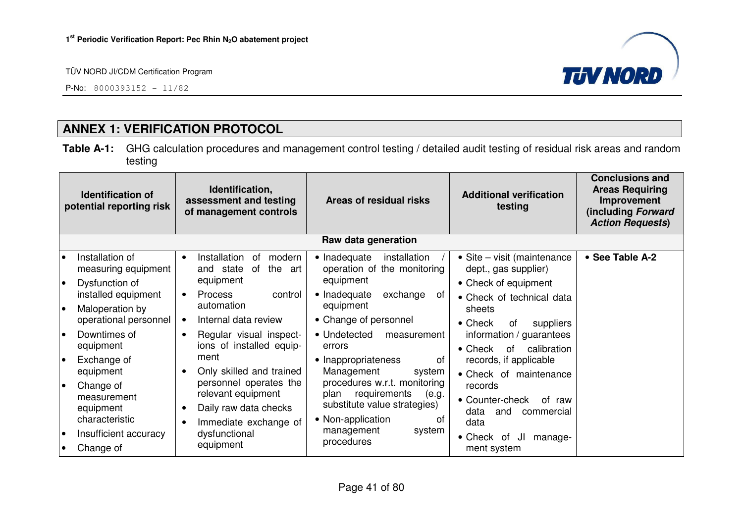P-No:  $8000393152 - 11/82$ 



# **ANNEX 1: VERIFICATION PROTOCOL**

**Table A-1:** GHG calculation procedures and management control testing / detailed audit testing of residual risk areas and random testing

|                 | <b>Identification of</b><br>potential reporting risk                              | Identification,<br>assessment and testing<br>Areas of residual risks<br>of management controls              |                                                                                                                          | <b>Additional verification</b><br>testing                                                         | <b>Conclusions and</b><br><b>Areas Requiring</b><br>Improvement<br>(including Forward<br><b>Action Requests)</b> |
|-----------------|-----------------------------------------------------------------------------------|-------------------------------------------------------------------------------------------------------------|--------------------------------------------------------------------------------------------------------------------------|---------------------------------------------------------------------------------------------------|------------------------------------------------------------------------------------------------------------------|
|                 |                                                                                   |                                                                                                             | Raw data generation                                                                                                      |                                                                                                   |                                                                                                                  |
| $\bullet$<br>I۰ | Installation of<br>measuring equipment                                            | Installation<br>οf<br>modern<br>$\bullet$<br>the<br>and state<br>of<br>art<br>equipment                     | • Inadequate<br>installation<br>operation of the monitoring<br>equipment                                                 | • Site – visit (maintenance<br>dept., gas supplier)                                               | • See Table A-2                                                                                                  |
| I۰              | Dysfunction of<br>installed equipment<br>Maloperation by<br>operational personnel | <b>Process</b><br>control<br>$\bullet$<br>automation<br>Internal data review                                | • Inadequate<br>exchange<br>of<br>equipment<br>• Change of personnel                                                     | • Check of equipment<br>• Check of technical data<br>sheets<br>$\bullet$ Check<br>suppliers<br>0f |                                                                                                                  |
| l o             | Downtimes of<br>equipment                                                         | Regular visual inspect-<br>$\bullet$<br>ions of installed equip-                                            | • Undetected<br>measurement<br>errors                                                                                    | information / guarantees<br>calibration<br>$\bullet$ Check<br>of                                  |                                                                                                                  |
| I۰              | Exchange of<br>equipment                                                          | ment<br>Only skilled and trained                                                                            | • Inappropriateness<br>0f<br>Management<br>system                                                                        | records, if applicable<br>• Check of maintenance                                                  |                                                                                                                  |
| le              | Change of<br>measurement<br>equipment<br>characteristic                           | personnel operates the<br>relevant equipment<br>Daily raw data checks<br>$\bullet$<br>Immediate exchange of | procedures w.r.t. monitoring<br>requirements<br>(e.g.<br>plan<br>substitute value strategies)<br>• Non-application<br>of | records<br>• Counter-check<br>of raw<br>data<br>and<br>commercial<br>data                         |                                                                                                                  |
| $\bullet$       | Insufficient accuracy<br>Change of                                                | dysfunctional<br>equipment                                                                                  | management<br>system<br>procedures                                                                                       | $\bullet$ Check<br>JI<br>manage-<br>of<br>ment system                                             |                                                                                                                  |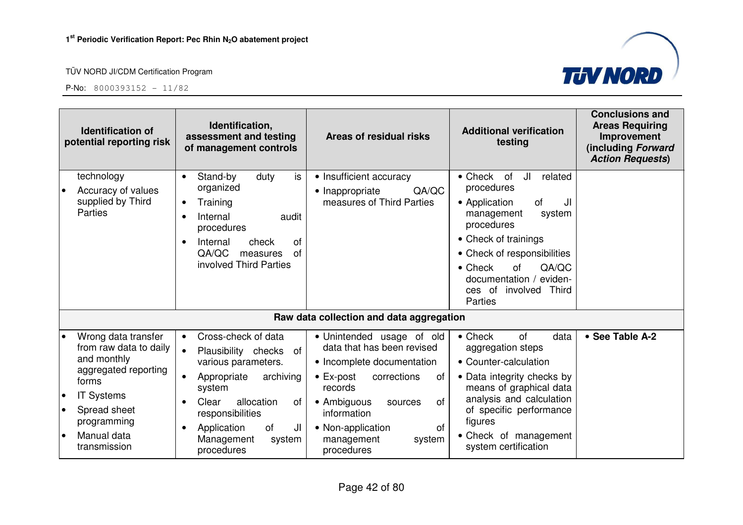

|                                     | <b>Identification of</b><br>potential reporting risk                                                                                                                             | Identification,<br>assessment and testing<br>of management controls                                                                                                                                                                                                                                                                | Areas of residual risks                                                                                                                                                        | <b>Additional verification</b><br>testing                                                                                                                                                                                                                                      | <b>Conclusions and</b><br><b>Areas Requiring</b><br>Improvement<br>(including Forward<br><b>Action Requests)</b> |
|-------------------------------------|----------------------------------------------------------------------------------------------------------------------------------------------------------------------------------|------------------------------------------------------------------------------------------------------------------------------------------------------------------------------------------------------------------------------------------------------------------------------------------------------------------------------------|--------------------------------------------------------------------------------------------------------------------------------------------------------------------------------|--------------------------------------------------------------------------------------------------------------------------------------------------------------------------------------------------------------------------------------------------------------------------------|------------------------------------------------------------------------------------------------------------------|
|                                     | technology<br>Accuracy of values<br>supplied by Third<br><b>Parties</b>                                                                                                          | is<br>Stand-by<br>duty<br>$\bullet$<br>organized<br>• Inappropriate<br>Training<br>$\bullet$<br>Internal<br>audit<br>procedures<br>Internal<br>check<br>of<br>$\bullet$<br>QA/QC<br>of<br>measures<br>involved Third Parties                                                                                                       | • Insufficient accuracy<br>QA/QC<br>measures of Third Parties                                                                                                                  | • Check of<br>JI<br>related<br>procedures<br>• Application<br><b>of</b><br>JI<br>system<br>management<br>procedures<br>• Check of trainings<br>• Check of responsibilities<br>QA/QC<br>$\bullet$ Check<br>of<br>documentation /<br>eviden-<br>ces of involved Third<br>Parties |                                                                                                                  |
|                                     |                                                                                                                                                                                  |                                                                                                                                                                                                                                                                                                                                    | Raw data collection and data aggregation                                                                                                                                       |                                                                                                                                                                                                                                                                                |                                                                                                                  |
| $\bullet$<br>$\bullet$<br>$\bullet$ | Wrong data transfer<br>from raw data to daily<br>and monthly<br>aggregated reporting<br>forms<br><b>IT Systems</b><br>Spread sheet<br>programming<br>Manual data<br>transmission | Cross-check of data<br>$\bullet$<br>$\bullet$<br>Plausibility checks of<br>various parameters.<br>archiving<br>$\bullet$ Ex-post<br>Appropriate<br>records<br>system<br>allocation<br>• Ambiguous<br>Clear<br>0f<br>responsibilities<br>information<br>of<br>Application<br>JI<br>Management<br>system<br>procedures<br>procedures | · Unintended usage of old<br>data that has been revised<br>• Incomplete documentation<br>corrections<br>of<br>0f<br>sources<br>• Non-application<br>of<br>management<br>system | $\bullet$ Check<br>of<br>data<br>aggregation steps<br>• Counter-calculation<br>• Data integrity checks by<br>means of graphical data<br>analysis and calculation<br>of specific performance<br>figures<br>• Check of management<br>system certification                        | • See Table A-2                                                                                                  |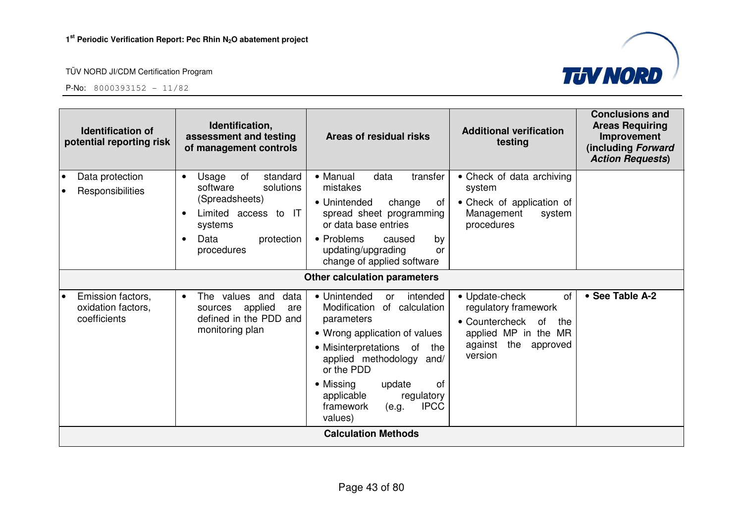

| <b>Identification of</b><br>potential reporting risk    | Identification,<br>assessment and testing<br>of management controls                                                                                                 | Areas of residual risks                                                                                                                                                                                                                                                                              | <b>Additional verification</b><br>testing                                                                                                    | <b>Conclusions and</b><br><b>Areas Requiring</b><br>Improvement<br>(including Forward<br><b>Action Requests)</b> |
|---------------------------------------------------------|---------------------------------------------------------------------------------------------------------------------------------------------------------------------|------------------------------------------------------------------------------------------------------------------------------------------------------------------------------------------------------------------------------------------------------------------------------------------------------|----------------------------------------------------------------------------------------------------------------------------------------------|------------------------------------------------------------------------------------------------------------------|
| Data protection<br>Responsibilities                     | of<br>Usage<br>standard<br>$\bullet$<br>solutions<br>software<br>(Spreadsheets)<br>Limited access to IT<br>systems<br>Data<br>protection<br>$\bullet$<br>procedures | • Manual<br>data<br>transfer<br>mistakes<br>• Unintended<br>change<br>ot<br>spread sheet programming<br>or data base entries<br>• Problems<br>caused<br>by<br>updating/upgrading<br>or<br>change of applied software                                                                                 | • Check of data archiving<br>system<br>• Check of application of<br>Management<br>system<br>procedures                                       |                                                                                                                  |
|                                                         |                                                                                                                                                                     | <b>Other calculation parameters</b>                                                                                                                                                                                                                                                                  |                                                                                                                                              |                                                                                                                  |
| Emission factors,<br>oxidation factors,<br>coefficients | The values and<br>data<br>$\bullet$<br>applied<br>sources<br>are<br>defined in the PDD and<br>monitoring plan                                                       | • Unintended<br>intended<br>or<br>Modification<br>of calculation<br>parameters<br>• Wrong application of values<br>• Misinterpretations of<br>the<br>applied methodology and/<br>or the PDD<br>• Missing<br>update<br>οf<br>applicable<br>regulatory<br><b>IPCC</b><br>framework<br>(e.g.<br>values) | • Update-check<br>of<br>regulatory framework<br>• Countercheck<br>of<br>the<br>applied MP in the MR<br>against<br>the<br>approved<br>version | • See Table A-2                                                                                                  |
|                                                         |                                                                                                                                                                     | <b>Calculation Methods</b>                                                                                                                                                                                                                                                                           |                                                                                                                                              |                                                                                                                  |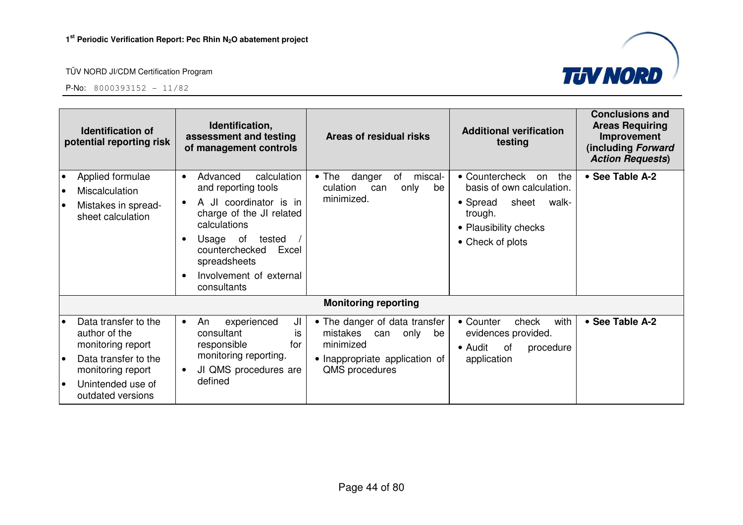

| <b>Identification of</b><br>potential reporting risk |                                                                                                                                                   | Identification,<br><b>Additional verification</b><br>Areas of residual risks<br>assessment and testing<br>testing<br>of management controls                                                                                                                                                                                                                                                                                                                                               | <b>Conclusions and</b><br><b>Areas Requiring</b><br>Improvement<br>(including Forward<br><b>Action Requests)</b> |
|------------------------------------------------------|---------------------------------------------------------------------------------------------------------------------------------------------------|-------------------------------------------------------------------------------------------------------------------------------------------------------------------------------------------------------------------------------------------------------------------------------------------------------------------------------------------------------------------------------------------------------------------------------------------------------------------------------------------|------------------------------------------------------------------------------------------------------------------|
| $\bullet$<br>$\bullet$<br>$\bullet$                  | Applied formulae<br><b>Miscalculation</b><br>Mistakes in spread-<br>sheet calculation                                                             | • Countercheck<br>calculation<br>$\bullet$ The<br>danger<br>miscal-<br>Advanced<br>of<br>the<br>on<br>$\bullet$<br>basis of own calculation.<br>and reporting tools<br>culation<br>only<br>be<br>can<br>minimized.<br>A JI coordinator is in<br>sheet<br>• Spread<br>walk-<br>charge of the JI related<br>trough.<br>calculations<br>• Plausibility checks<br>Usage of<br>tested<br>• Check of plots<br>counterchecked<br>Excel<br>spreadsheets<br>Involvement of external<br>consultants | • See Table A-2                                                                                                  |
|                                                      |                                                                                                                                                   | <b>Monitoring reporting</b>                                                                                                                                                                                                                                                                                                                                                                                                                                                               |                                                                                                                  |
| $\bullet$<br>l e<br>$\bullet$                        | Data transfer to the<br>author of the<br>monitoring report<br>Data transfer to the<br>monitoring report<br>Unintended use of<br>outdated versions | with<br>• The danger of data transfer<br>• Counter<br>check<br>An<br>experienced<br>JI<br>$\bullet$<br>mistakes<br>consultant<br>evidences provided.<br>only<br>can<br>be<br>İS<br>minimized<br>responsible<br>for<br>• Audit<br><b>of</b><br>procedure<br>monitoring reporting.<br>• Inappropriate application of<br>application<br>QMS procedures<br>JI QMS procedures are<br>defined                                                                                                   | • See Table A-2                                                                                                  |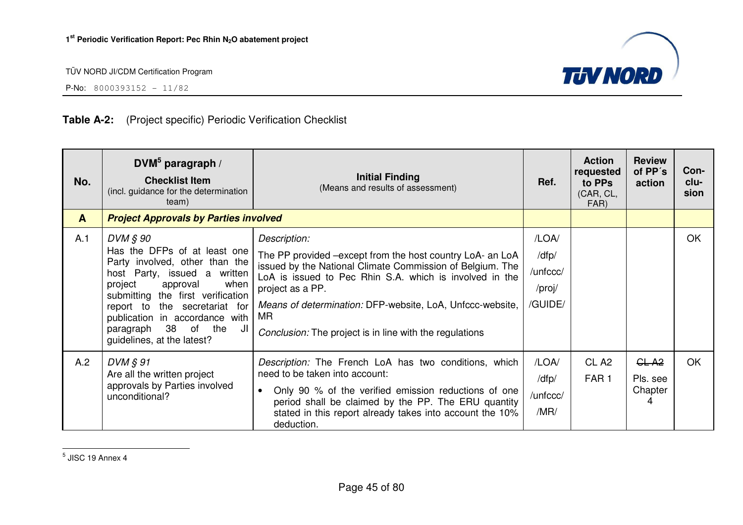

P-No:  $8000393152 - 11/82$ 

### **Table A-2:** (Project specific) Periodic Verification Checklist

| No.          | DVM $5$ paragraph /<br><b>Checklist Item</b><br>(incl. guidance for the determination<br>team)                                                                                                                                                                                                                  | <b>Initial Finding</b><br>(Means and results of assessment)                                                                                                                                                                                                                                                                                          | Ref.                                            | <b>Action</b><br>requested<br>to PPs<br>(CAR, CL,<br>FAR) | <b>Review</b><br>of PP's<br>action            | Con-<br>clu-<br>sion |
|--------------|-----------------------------------------------------------------------------------------------------------------------------------------------------------------------------------------------------------------------------------------------------------------------------------------------------------------|------------------------------------------------------------------------------------------------------------------------------------------------------------------------------------------------------------------------------------------------------------------------------------------------------------------------------------------------------|-------------------------------------------------|-----------------------------------------------------------|-----------------------------------------------|----------------------|
| $\mathbf{A}$ | <b>Project Approvals by Parties involved</b>                                                                                                                                                                                                                                                                    |                                                                                                                                                                                                                                                                                                                                                      |                                                 |                                                           |                                               |                      |
| A.1          | DVM § 90<br>Has the DFPs of at least one<br>Party involved, other than the<br>host Party, issued a written<br>project<br>approval<br>when<br>submitting the first verification<br>report to the secretariat for<br>publication in accordance with<br>38 of the<br>paragraph<br>JI<br>guidelines, at the latest? | Description:<br>The PP provided –except from the host country LoA- an LoA<br>issued by the National Climate Commission of Belgium. The<br>LoA is issued to Pec Rhin S.A. which is involved in the<br>project as a PP.<br>Means of determination: DFP-website, LoA, Unfccc-website,<br>MR.<br>Conclusion: The project is in line with the regulations | /LOA/<br>/dfp/<br>/unfccc/<br>/proj/<br>/GUIDE/ |                                                           |                                               | OK                   |
| A.2          | DVM § 91<br>Are all the written project<br>approvals by Parties involved<br>unconditional?                                                                                                                                                                                                                      | Description: The French LoA has two conditions, which<br>need to be taken into account:<br>Only 90 % of the verified emission reductions of one<br>$\bullet$<br>period shall be claimed by the PP. The ERU quantity<br>stated in this report already takes into account the 10%<br>deduction.                                                        | /LOA/<br>/dfp/<br>/unfccc/<br>/MR/              | CL <sub>A2</sub><br>FAR <sub>1</sub>                      | GL-A <sub>2</sub><br>Pls. see<br>Chapter<br>4 | OK                   |

 $<sup>5</sup>$  JISC 19 Annex 4</sup>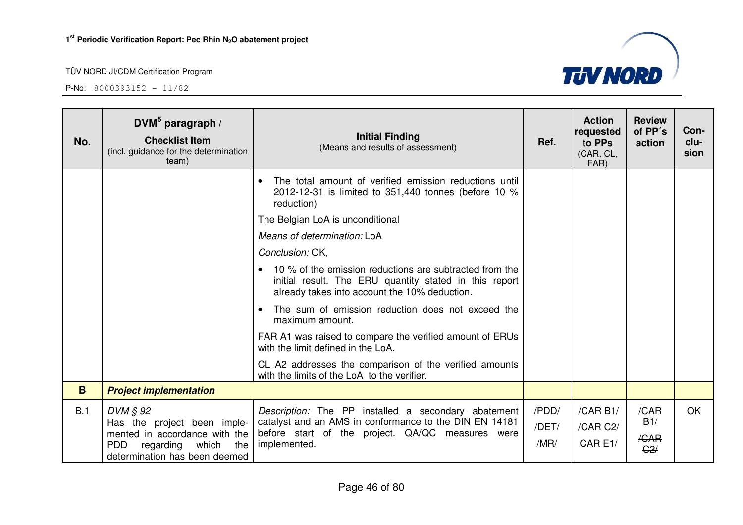

| No. | DVM <sup>5</sup> paragraph /<br><b>Checklist Item</b><br>(incl. guidance for the determination<br>team) | <b>Initial Finding</b><br>(Means and results of assessment)                                                                                                        | Ref.           | <b>Action</b><br>requested<br>to PPs<br>(CAR, CL,<br>FAR) | <b>Review</b><br>of PP's<br>action | Con-<br>clu-<br>sion |
|-----|---------------------------------------------------------------------------------------------------------|--------------------------------------------------------------------------------------------------------------------------------------------------------------------|----------------|-----------------------------------------------------------|------------------------------------|----------------------|
|     |                                                                                                         | The total amount of verified emission reductions until<br>$\bullet$<br>2012-12-31 is limited to 351,440 tonnes (before 10 %<br>reduction)                          |                |                                                           |                                    |                      |
|     |                                                                                                         | The Belgian LoA is unconditional                                                                                                                                   |                |                                                           |                                    |                      |
|     |                                                                                                         | Means of determination: LoA                                                                                                                                        |                |                                                           |                                    |                      |
|     |                                                                                                         | Conclusion: OK,                                                                                                                                                    |                |                                                           |                                    |                      |
|     |                                                                                                         | 10 % of the emission reductions are subtracted from the<br>initial result. The ERU quantity stated in this report<br>already takes into account the 10% deduction. |                |                                                           |                                    |                      |
|     |                                                                                                         | The sum of emission reduction does not exceed the<br>maximum amount.                                                                                               |                |                                                           |                                    |                      |
|     |                                                                                                         | FAR A1 was raised to compare the verified amount of ERUs<br>with the limit defined in the LoA.                                                                     |                |                                                           |                                    |                      |
|     |                                                                                                         | CL A2 addresses the comparison of the verified amounts<br>with the limits of the LoA to the verifier.                                                              |                |                                                           |                                    |                      |
| B.  | <b>Project implementation</b>                                                                           |                                                                                                                                                                    |                |                                                           |                                    |                      |
| B.1 | DVM § 92<br>Has the project been imple-                                                                 | Description: The PP installed a secondary abatement<br>catalyst and an AMS in conformance to the DIN EN 14181                                                      | /PDD/<br>/DET/ | /CAR B1/<br>/CAR C2/                                      | /CAR<br>B1/                        | <b>OK</b>            |
|     | mented in accordance with the<br><b>PDD</b><br>regarding which<br>the<br>determination has been deemed  | before start of the project. QA/QC measures were<br>implemented.                                                                                                   | /MR/           | CAR E1/                                                   | /CAR<br>G2/                        |                      |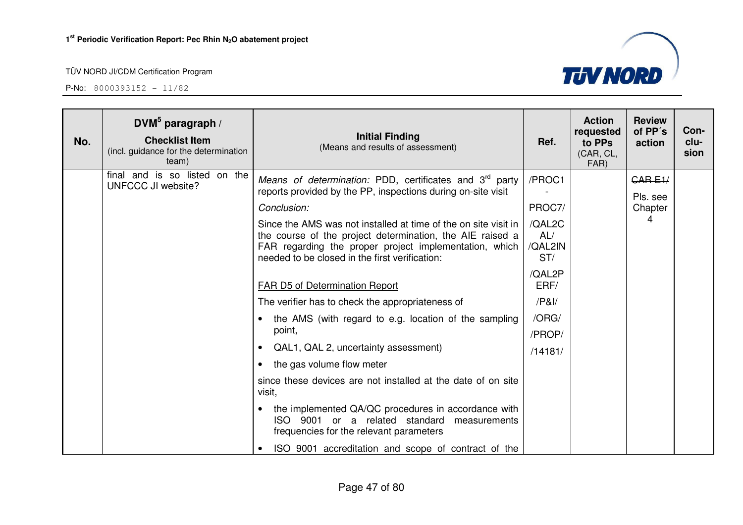| No. | DVM <sup>5</sup> paragraph /<br><b>Checklist Item</b><br>(incl. guidance for the determination<br>team) | <b>Initial Finding</b><br>(Means and results of assessment)                                                                                                                                                                              | Ref.                            | <b>Action</b><br>requested<br>to PPs<br>(CAR, CL,<br>FAR) | <b>Review</b><br>of PP's<br>action | Con-<br>clu-<br>sion |
|-----|---------------------------------------------------------------------------------------------------------|------------------------------------------------------------------------------------------------------------------------------------------------------------------------------------------------------------------------------------------|---------------------------------|-----------------------------------------------------------|------------------------------------|----------------------|
|     | final and is so listed on the<br>UNFCCC JI website?                                                     | <i>Means of determination:</i> PDD, certificates and $3rd$ party<br>reports provided by the PP, inspections during on-site visit                                                                                                         | /PROC1                          |                                                           | CARE1/<br>Pls. see                 |                      |
|     |                                                                                                         | Conclusion:                                                                                                                                                                                                                              | PROC7/                          |                                                           | Chapter                            |                      |
|     |                                                                                                         | Since the AMS was not installed at time of the on site visit in<br>the course of the project determination, the AIE raised a<br>FAR regarding the proper project implementation, which<br>needed to be closed in the first verification: | /QAL2C<br>AL/<br>/QAL2IN<br>ST/ |                                                           |                                    |                      |
|     |                                                                                                         | FAR D5 of Determination Report                                                                                                                                                                                                           | /QAL2P<br>ERF/                  |                                                           |                                    |                      |
|     |                                                                                                         | The verifier has to check the appropriateness of                                                                                                                                                                                         | $/$ P&I $/$                     |                                                           |                                    |                      |
|     |                                                                                                         | the AMS (with regard to e.g. location of the sampling                                                                                                                                                                                    | /ORG/                           |                                                           |                                    |                      |
|     |                                                                                                         | point,                                                                                                                                                                                                                                   | /PROP/                          |                                                           |                                    |                      |
|     |                                                                                                         | QAL1, QAL 2, uncertainty assessment)                                                                                                                                                                                                     | /14181/                         |                                                           |                                    |                      |
|     |                                                                                                         | the gas volume flow meter                                                                                                                                                                                                                |                                 |                                                           |                                    |                      |
|     |                                                                                                         | since these devices are not installed at the date of on site<br>visit,                                                                                                                                                                   |                                 |                                                           |                                    |                      |
|     |                                                                                                         | the implemented QA/QC procedures in accordance with<br>ISO 9001 or a related standard measurements<br>frequencies for the relevant parameters                                                                                            |                                 |                                                           |                                    |                      |
|     |                                                                                                         | ISO 9001 accreditation and scope of contract of the                                                                                                                                                                                      |                                 |                                                           |                                    |                      |

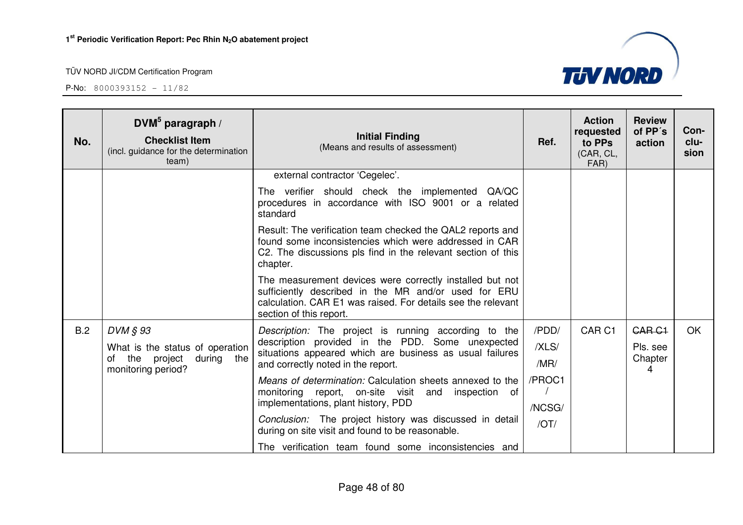

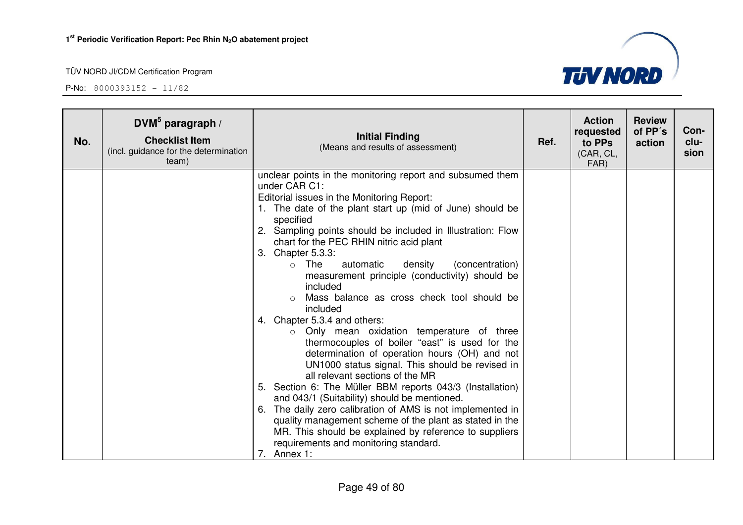

| No. | DVM $5$ paragraph /<br><b>Checklist Item</b><br>(incl. guidance for the determination<br>team) | <b>Initial Finding</b><br>(Means and results of assessment)                                                                                                                                                                                                                                                                                                                                                                                                                                                                                                                                                                                                                                                                                                                                                                                                                                                                                                                                                                                                                                                                                               | Ref. | <b>Action</b><br>requested<br>to PPs<br>(CAR, CL,<br>FAR) | <b>Review</b><br>of PP's<br>action | Con-<br>clu-<br>sion |
|-----|------------------------------------------------------------------------------------------------|-----------------------------------------------------------------------------------------------------------------------------------------------------------------------------------------------------------------------------------------------------------------------------------------------------------------------------------------------------------------------------------------------------------------------------------------------------------------------------------------------------------------------------------------------------------------------------------------------------------------------------------------------------------------------------------------------------------------------------------------------------------------------------------------------------------------------------------------------------------------------------------------------------------------------------------------------------------------------------------------------------------------------------------------------------------------------------------------------------------------------------------------------------------|------|-----------------------------------------------------------|------------------------------------|----------------------|
|     |                                                                                                | unclear points in the monitoring report and subsumed them<br>under CAR C1:<br>Editorial issues in the Monitoring Report:<br>1. The date of the plant start up (mid of June) should be<br>specified<br>2. Sampling points should be included in Illustration: Flow<br>chart for the PEC RHIN nitric acid plant<br>Chapter 5.3.3:<br>3.<br>The<br>automatic<br>density<br>(concentration)<br>$\circ$<br>measurement principle (conductivity) should be<br>included<br>Mass balance as cross check tool should be<br>included<br>4. Chapter 5.3.4 and others:<br>o Only mean oxidation temperature of three<br>thermocouples of boiler "east" is used for the<br>determination of operation hours (OH) and not<br>UN1000 status signal. This should be revised in<br>all relevant sections of the MR<br>5. Section 6: The Müller BBM reports 043/3 (Installation)<br>and 043/1 (Suitability) should be mentioned.<br>The daily zero calibration of AMS is not implemented in<br>6.<br>quality management scheme of the plant as stated in the<br>MR. This should be explained by reference to suppliers<br>requirements and monitoring standard.<br>Annex 1: |      |                                                           |                                    |                      |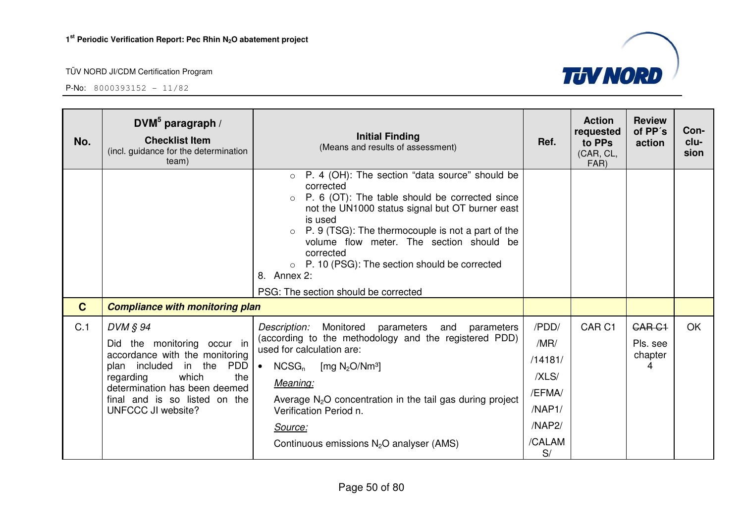

| No.         | DVM $5$ paragraph /<br><b>Checklist Item</b><br>(incl. guidance for the determination<br>team)                                                                                                                                              | <b>Initial Finding</b><br>(Means and results of assessment)                                                                                                                                                                                                                                                                                                                                                                    | Ref.                                                                            | <b>Action</b><br>requested<br>to PPs<br>(CAR, CL,<br>FAR) | <b>Review</b><br>of PP's<br>action        | Con-<br>clu-<br>sion |
|-------------|---------------------------------------------------------------------------------------------------------------------------------------------------------------------------------------------------------------------------------------------|--------------------------------------------------------------------------------------------------------------------------------------------------------------------------------------------------------------------------------------------------------------------------------------------------------------------------------------------------------------------------------------------------------------------------------|---------------------------------------------------------------------------------|-----------------------------------------------------------|-------------------------------------------|----------------------|
|             |                                                                                                                                                                                                                                             | P. 4 (OH): The section "data source" should be<br>$\circ$<br>corrected<br>P. 6 (OT): The table should be corrected since<br>$\circ$<br>not the UN1000 status signal but OT burner east<br>is used<br>P. 9 (TSG): The thermocouple is not a part of the<br>volume flow meter. The section should be<br>corrected<br>$\circ$ P. 10 (PSG): The section should be corrected<br>8. Annex 2:<br>PSG: The section should be corrected |                                                                                 |                                                           |                                           |                      |
| $\mathbf C$ | <b>Compliance with monitoring plan</b>                                                                                                                                                                                                      |                                                                                                                                                                                                                                                                                                                                                                                                                                |                                                                                 |                                                           |                                           |                      |
| C.1         | DVM § 94<br>Did the monitoring occur in<br>accordance with the monitoring<br>plan included in the<br><b>PDD</b><br>which<br>regarding<br>the<br>determination has been deemed<br>final and is so listed on the<br><b>UNFCCC JI website?</b> | Description:<br>Monitored<br>parameters<br>and parameters<br>(according to the methodology and the registered PDD)<br>used for calculation are:<br>$NCSG_n$<br>[mg $N_2O/Nm^3$ ]<br>$\bullet$<br>Meaning:<br>Average $N_2O$ concentration in the tail gas during project<br>Verification Period n.<br>Source:<br>Continuous emissions $N_2O$ analyser (AMS)                                                                    | /PDD/<br>/MR/<br>/14181/<br>/XLS/<br>/EFMA/<br>/NAP1/<br>/NAP2/<br>/CALAM<br>S/ | CAR <sub>C1</sub>                                         | <b>CAR C1</b><br>Pls. see<br>chapter<br>4 | OK                   |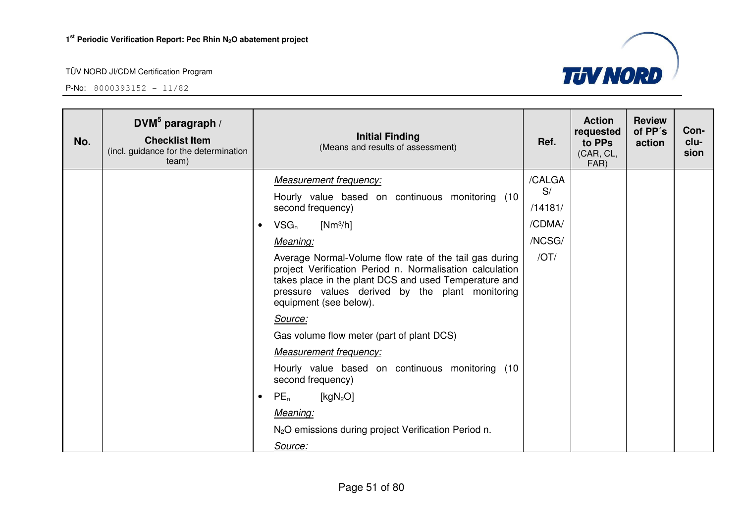

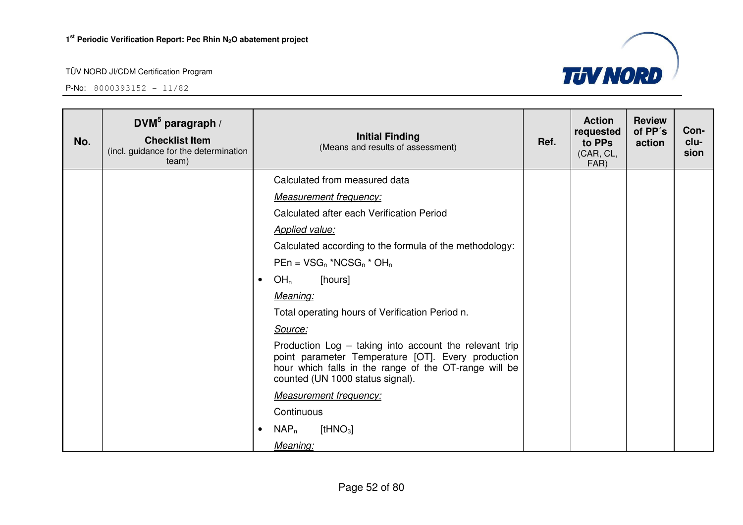

| No. | DVM $5$ paragraph /<br><b>Checklist Item</b><br>(incl. guidance for the determination<br>team) | <b>Initial Finding</b><br>(Means and results of assessment)                                                                                                                                               | Ref. | <b>Action</b><br>requested<br>to PPs<br>(CAR, CL,<br>FAR) | <b>Review</b><br>of PP's<br>action | Con-<br>clu-<br>sion |
|-----|------------------------------------------------------------------------------------------------|-----------------------------------------------------------------------------------------------------------------------------------------------------------------------------------------------------------|------|-----------------------------------------------------------|------------------------------------|----------------------|
|     |                                                                                                | Calculated from measured data                                                                                                                                                                             |      |                                                           |                                    |                      |
|     |                                                                                                | <b>Measurement frequency:</b>                                                                                                                                                                             |      |                                                           |                                    |                      |
|     |                                                                                                | Calculated after each Verification Period                                                                                                                                                                 |      |                                                           |                                    |                      |
|     |                                                                                                | <b>Applied value:</b>                                                                                                                                                                                     |      |                                                           |                                    |                      |
|     |                                                                                                | Calculated according to the formula of the methodology:                                                                                                                                                   |      |                                                           |                                    |                      |
|     |                                                                                                | $PEn = VSG_n * NCSG_n * OH_n$                                                                                                                                                                             |      |                                                           |                                    |                      |
|     |                                                                                                | OH <sub>n</sub><br>[hours]<br>$\bullet$                                                                                                                                                                   |      |                                                           |                                    |                      |
|     |                                                                                                | Meaning:                                                                                                                                                                                                  |      |                                                           |                                    |                      |
|     |                                                                                                | Total operating hours of Verification Period n.                                                                                                                                                           |      |                                                           |                                    |                      |
|     |                                                                                                | Source:                                                                                                                                                                                                   |      |                                                           |                                    |                      |
|     |                                                                                                | Production Log - taking into account the relevant trip<br>point parameter Temperature [OT]. Every production<br>hour which falls in the range of the OT-range will be<br>counted (UN 1000 status signal). |      |                                                           |                                    |                      |
|     |                                                                                                | <b>Measurement frequency:</b>                                                                                                                                                                             |      |                                                           |                                    |                      |
|     |                                                                                                | Continuous                                                                                                                                                                                                |      |                                                           |                                    |                      |
|     |                                                                                                | $NAP_n$<br>$[$ tHNO $_3]$<br>$\bullet$                                                                                                                                                                    |      |                                                           |                                    |                      |
|     |                                                                                                | Meaning:                                                                                                                                                                                                  |      |                                                           |                                    |                      |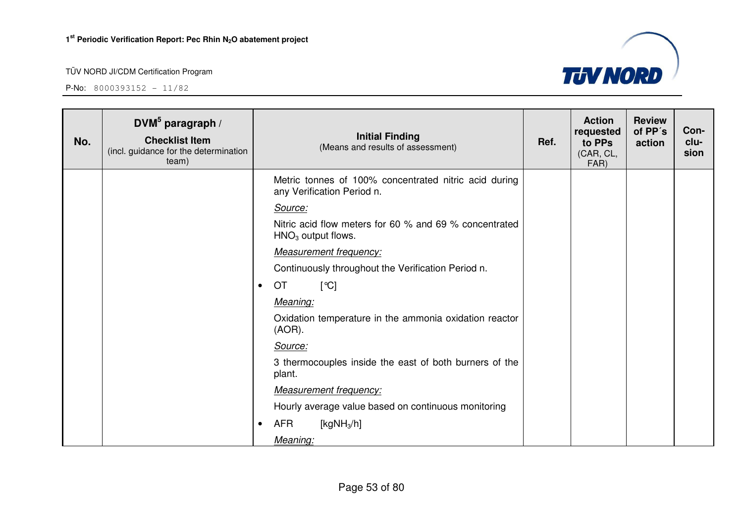**P-No:** 8000393152 - 11/82



**TUV NORD**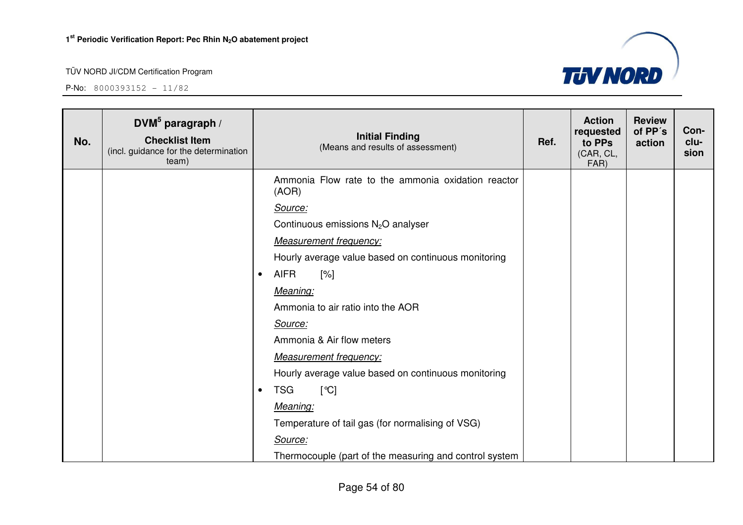**DVM<sup>5</sup> paragraph /** 

#### TÜV NORD JI/CDM Certification Program



|     | DVM paragraph /                                                         |           | <b>rvuv</b> u<br>requested                                  | .<br>of PP's | Con-                        |        |              |
|-----|-------------------------------------------------------------------------|-----------|-------------------------------------------------------------|--------------|-----------------------------|--------|--------------|
| No. | <b>Checklist Item</b><br>(incl. guidance for the determination<br>team) |           | <b>Initial Finding</b><br>(Means and results of assessment) | Ref.         | to PPs<br>(CAR, CL,<br>FAR) | action | clu-<br>sion |
|     |                                                                         |           | Ammonia Flow rate to the ammonia oxidation reactor<br>(AOR) |              |                             |        |              |
|     |                                                                         |           | Source:                                                     |              |                             |        |              |
|     |                                                                         |           | Continuous emissions $N_2O$ analyser                        |              |                             |        |              |
|     |                                                                         |           | <b>Measurement frequency:</b>                               |              |                             |        |              |
|     |                                                                         |           | Hourly average value based on continuous monitoring         |              |                             |        |              |
|     |                                                                         | $\bullet$ | <b>AIFR</b><br>[%]                                          |              |                             |        |              |
|     |                                                                         |           | Meaning:                                                    |              |                             |        |              |
|     |                                                                         |           | Ammonia to air ratio into the AOR                           |              |                             |        |              |
|     |                                                                         |           | Source:                                                     |              |                             |        |              |
|     |                                                                         |           | Ammonia & Air flow meters                                   |              |                             |        |              |
|     |                                                                         |           | <b>Measurement frequency:</b>                               |              |                             |        |              |
|     |                                                                         |           | Hourly average value based on continuous monitoring         |              |                             |        |              |
|     |                                                                         | $\bullet$ | <b>TSG</b><br>[°C]                                          |              |                             |        |              |
|     |                                                                         |           | Meaning:                                                    |              |                             |        |              |
|     |                                                                         |           | Temperature of tail gas (for normalising of VSG)            |              |                             |        |              |
|     |                                                                         |           | Source:                                                     |              |                             |        |              |
|     |                                                                         |           | Thermocouple (part of the measuring and control system      |              |                             |        |              |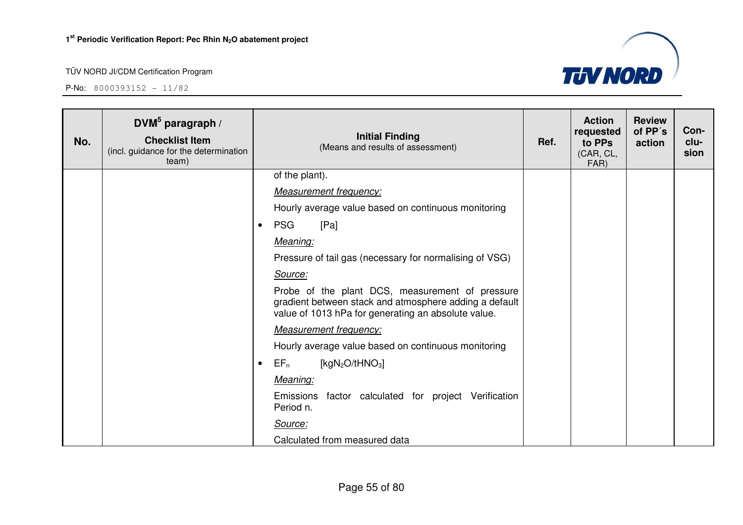**P-No:** 8000393152 - 11/82



| No. | DVM $5$ paragraph /<br><b>Checklist Item</b><br>(incl. guidance for the determination<br>team) |           | <b>Initial Finding</b><br>(Means and results of assessment)                                                                                                      | Ref. | <b>Action</b><br>requested<br>to PPs<br>(CAR, CL,<br>FAR) | <b>Review</b><br>of PP's<br>action | Con-<br>clu-<br>sion |
|-----|------------------------------------------------------------------------------------------------|-----------|------------------------------------------------------------------------------------------------------------------------------------------------------------------|------|-----------------------------------------------------------|------------------------------------|----------------------|
|     |                                                                                                |           | of the plant).                                                                                                                                                   |      |                                                           |                                    |                      |
|     |                                                                                                |           | <b>Measurement frequency:</b>                                                                                                                                    |      |                                                           |                                    |                      |
|     |                                                                                                |           | Hourly average value based on continuous monitoring                                                                                                              |      |                                                           |                                    |                      |
|     |                                                                                                | $\bullet$ | <b>PSG</b><br>[Pa]                                                                                                                                               |      |                                                           |                                    |                      |
|     |                                                                                                |           | Meaning:                                                                                                                                                         |      |                                                           |                                    |                      |
|     |                                                                                                |           | Pressure of tail gas (necessary for normalising of VSG)                                                                                                          |      |                                                           |                                    |                      |
|     |                                                                                                |           | Source:                                                                                                                                                          |      |                                                           |                                    |                      |
|     |                                                                                                |           | Probe of the plant DCS, measurement of pressure<br>gradient between stack and atmosphere adding a default<br>value of 1013 hPa for generating an absolute value. |      |                                                           |                                    |                      |
|     |                                                                                                |           | <b>Measurement frequency:</b>                                                                                                                                    |      |                                                           |                                    |                      |
|     |                                                                                                |           | Hourly average value based on continuous monitoring                                                                                                              |      |                                                           |                                    |                      |
|     |                                                                                                | $\bullet$ | [ $kgN2O/tHNO3$ ]<br>$EF_n$                                                                                                                                      |      |                                                           |                                    |                      |
|     |                                                                                                |           | Meaning:                                                                                                                                                         |      |                                                           |                                    |                      |
|     |                                                                                                |           | Emissions factor calculated for project Verification<br>Period n.                                                                                                |      |                                                           |                                    |                      |
|     |                                                                                                |           | Source:                                                                                                                                                          |      |                                                           |                                    |                      |
|     |                                                                                                |           | Calculated from measured data                                                                                                                                    |      |                                                           |                                    |                      |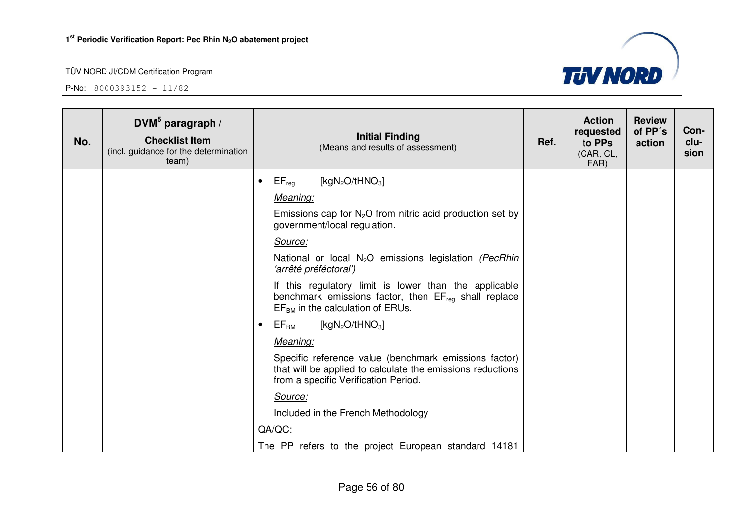

| No. | DVM <sup>5</sup> paragraph /<br><b>Checklist Item</b><br>(incl. guidance for the determination<br>team) |           | <b>Initial Finding</b><br>(Means and results of assessment)                                                                                                 | Ref. | <b>Action</b><br>requested<br>to PPs<br>(CAR, CL,<br>FAR) | <b>Review</b><br>of PP's<br>action | Con-<br>clu-<br>sion |
|-----|---------------------------------------------------------------------------------------------------------|-----------|-------------------------------------------------------------------------------------------------------------------------------------------------------------|------|-----------------------------------------------------------|------------------------------------|----------------------|
|     |                                                                                                         | $\bullet$ | $EF_{reg}$<br>[kg $N_2O$ /tHNO <sub>3</sub> ]                                                                                                               |      |                                                           |                                    |                      |
|     |                                                                                                         |           | Meaning:                                                                                                                                                    |      |                                                           |                                    |                      |
|     |                                                                                                         |           | Emissions cap for $N_2O$ from nitric acid production set by<br>government/local regulation.                                                                 |      |                                                           |                                    |                      |
|     |                                                                                                         |           | Source:                                                                                                                                                     |      |                                                           |                                    |                      |
|     |                                                                                                         |           | National or local N <sub>2</sub> O emissions legislation (PecRhin<br>'arrêté préféctoral')                                                                  |      |                                                           |                                    |                      |
|     |                                                                                                         |           | If this regulatory limit is lower than the applicable<br>benchmark emissions factor, then $EF_{reg}$ shall replace<br>$EFBM$ in the calculation of ERUs.    |      |                                                           |                                    |                      |
|     |                                                                                                         | $\bullet$ | [kgN <sub>2</sub> O/tHNO <sub>3</sub> ]<br>$EF_{BM}$                                                                                                        |      |                                                           |                                    |                      |
|     |                                                                                                         |           | Meaning:                                                                                                                                                    |      |                                                           |                                    |                      |
|     |                                                                                                         |           | Specific reference value (benchmark emissions factor)<br>that will be applied to calculate the emissions reductions<br>from a specific Verification Period. |      |                                                           |                                    |                      |
|     |                                                                                                         |           | Source:                                                                                                                                                     |      |                                                           |                                    |                      |
|     |                                                                                                         |           | Included in the French Methodology                                                                                                                          |      |                                                           |                                    |                      |
|     |                                                                                                         |           | QA/QC:                                                                                                                                                      |      |                                                           |                                    |                      |
|     |                                                                                                         |           | The PP refers to the project European standard 14181                                                                                                        |      |                                                           |                                    |                      |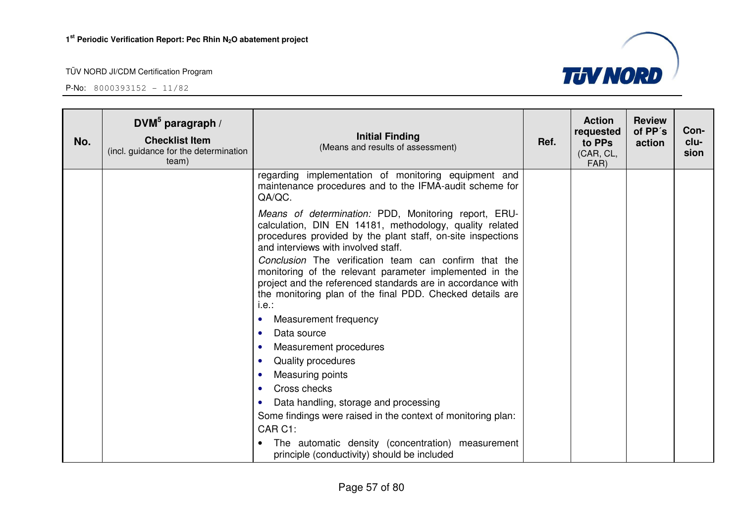

| No. | DVM $5$ paragraph /<br><b>Checklist Item</b><br>(incl. guidance for the determination<br>team) | <b>Initial Finding</b><br>(Means and results of assessment)                                                                                                                                                                                           | Ref. | <b>Action</b><br>requested<br>to PPs<br>(CAR, CL,<br>FAR) | <b>Review</b><br>of PP's<br>action | Con-<br>clu-<br>sion |
|-----|------------------------------------------------------------------------------------------------|-------------------------------------------------------------------------------------------------------------------------------------------------------------------------------------------------------------------------------------------------------|------|-----------------------------------------------------------|------------------------------------|----------------------|
|     |                                                                                                | regarding implementation of monitoring equipment and<br>maintenance procedures and to the IFMA-audit scheme for<br>QA/QC.                                                                                                                             |      |                                                           |                                    |                      |
|     |                                                                                                | Means of determination: PDD, Monitoring report, ERU-<br>calculation, DIN EN 14181, methodology, quality related<br>procedures provided by the plant staff, on-site inspections<br>and interviews with involved staff.                                 |      |                                                           |                                    |                      |
|     |                                                                                                | Conclusion The verification team can confirm that the<br>monitoring of the relevant parameter implemented in the<br>project and the referenced standards are in accordance with<br>the monitoring plan of the final PDD. Checked details are<br>i.e.: |      |                                                           |                                    |                      |
|     |                                                                                                | Measurement frequency<br>$\bullet$                                                                                                                                                                                                                    |      |                                                           |                                    |                      |
|     |                                                                                                | Data source<br>$\bullet$                                                                                                                                                                                                                              |      |                                                           |                                    |                      |
|     |                                                                                                | Measurement procedures<br>$\bullet$                                                                                                                                                                                                                   |      |                                                           |                                    |                      |
|     |                                                                                                | Quality procedures<br>$\bullet$                                                                                                                                                                                                                       |      |                                                           |                                    |                      |
|     |                                                                                                | Measuring points<br>$\bullet$<br>Cross checks<br>$\bullet$                                                                                                                                                                                            |      |                                                           |                                    |                      |
|     |                                                                                                | Data handling, storage and processing<br>$\bullet$                                                                                                                                                                                                    |      |                                                           |                                    |                      |
|     |                                                                                                | Some findings were raised in the context of monitoring plan:<br>CAR C1:                                                                                                                                                                               |      |                                                           |                                    |                      |
|     |                                                                                                | The automatic density (concentration) measurement<br>principle (conductivity) should be included                                                                                                                                                      |      |                                                           |                                    |                      |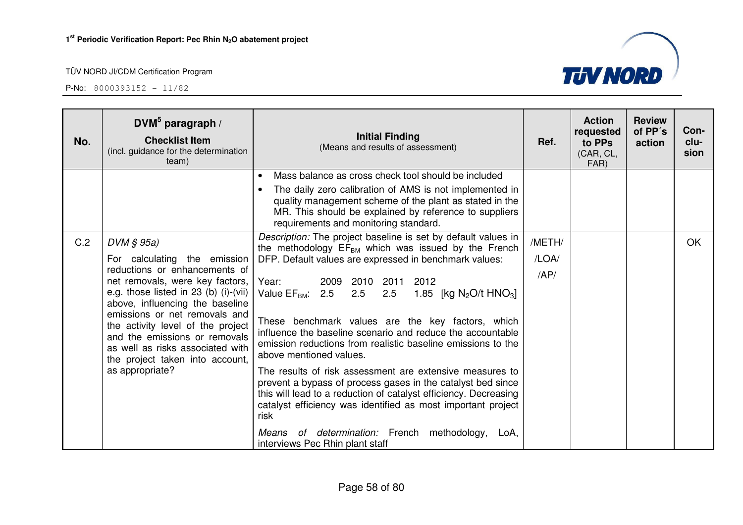

| No. | DVM $5$ paragraph /<br><b>Checklist Item</b><br>(incl. guidance for the determination<br>team)                                                                                                                                                                                                                                                                                                      | <b>Initial Finding</b><br>(Means and results of assessment)                                                                                                                                                                                                                                                                                                                                                                                                                                                                                                                                                                                                                                                                                                                                                                                                                          | Ref.                   | <b>Action</b><br>requested<br>to PPs<br>(CAR, CL,<br>FAR) | <b>Review</b><br>of PP's<br>action | Con-<br>clu-<br>sion |
|-----|-----------------------------------------------------------------------------------------------------------------------------------------------------------------------------------------------------------------------------------------------------------------------------------------------------------------------------------------------------------------------------------------------------|--------------------------------------------------------------------------------------------------------------------------------------------------------------------------------------------------------------------------------------------------------------------------------------------------------------------------------------------------------------------------------------------------------------------------------------------------------------------------------------------------------------------------------------------------------------------------------------------------------------------------------------------------------------------------------------------------------------------------------------------------------------------------------------------------------------------------------------------------------------------------------------|------------------------|-----------------------------------------------------------|------------------------------------|----------------------|
|     |                                                                                                                                                                                                                                                                                                                                                                                                     | Mass balance as cross check tool should be included<br>The daily zero calibration of AMS is not implemented in<br>quality management scheme of the plant as stated in the<br>MR. This should be explained by reference to suppliers<br>requirements and monitoring standard.                                                                                                                                                                                                                                                                                                                                                                                                                                                                                                                                                                                                         |                        |                                                           |                                    |                      |
| C.2 | $DVM \S 95a$<br>For calculating the emission<br>reductions or enhancements of<br>net removals, were key factors,<br>e.g. those listed in 23 (b) $(i)$ - $(vii)$<br>above, influencing the baseline<br>emissions or net removals and<br>the activity level of the project<br>and the emissions or removals<br>as well as risks associated with<br>the project taken into account,<br>as appropriate? | Description: The project baseline is set by default values in<br>the methodology $EF_{BM}$ which was issued by the French<br>DFP. Default values are expressed in benchmark values:<br>Year:<br>2009 2010<br>2011<br>2012<br>Value $EF_{BM}$ : 2.5 2.5<br>2.5<br>1.85 [kg $N_2O/t$ HNO <sub>3</sub> ]<br>These benchmark values are the key factors, which<br>influence the baseline scenario and reduce the accountable<br>emission reductions from realistic baseline emissions to the<br>above mentioned values.<br>The results of risk assessment are extensive measures to<br>prevent a bypass of process gases in the catalyst bed since<br>this will lead to a reduction of catalyst efficiency. Decreasing<br>catalyst efficiency was identified as most important project<br>risk<br>Means of determination: French methodology,<br>LoA,<br>interviews Pec Rhin plant staff | /METH/<br>/LOA/<br>AP/ |                                                           |                                    | <b>OK</b>            |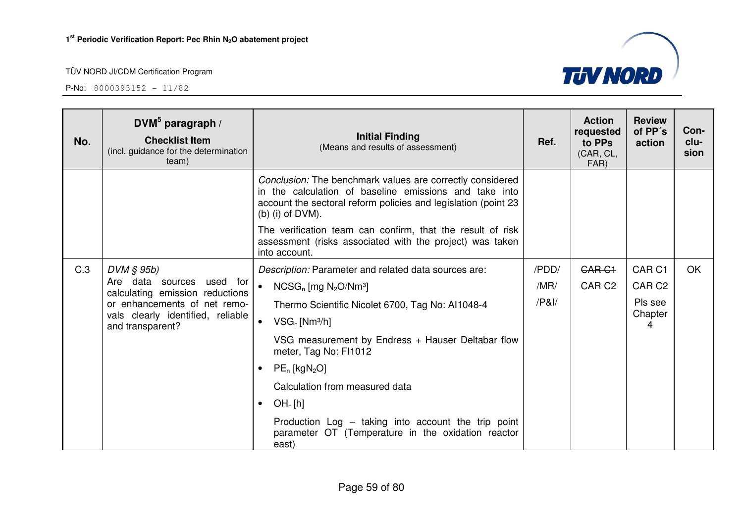

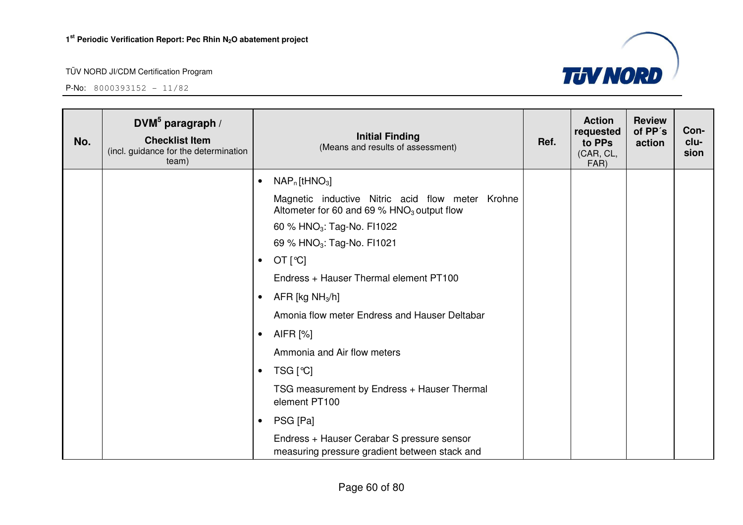

| No. | DVM $5$ paragraph /<br><b>Checklist Item</b><br>(incl. guidance for the determination<br>team) |           | <b>Initial Finding</b><br>(Means and results of assessment)                                                  | Ref. | <b>Action</b><br>requested<br>to PPs<br>(CAR, CL,<br>FAR) | <b>Review</b><br>of PP's<br>action | Con-<br>clu-<br>sion |
|-----|------------------------------------------------------------------------------------------------|-----------|--------------------------------------------------------------------------------------------------------------|------|-----------------------------------------------------------|------------------------------------|----------------------|
|     |                                                                                                | $\bullet$ | $NAP_n$ [tHNO <sub>3</sub> ]                                                                                 |      |                                                           |                                    |                      |
|     |                                                                                                |           | Magnetic inductive Nitric acid flow meter Krohne<br>Altometer for 60 and 69 $%$ HNO <sub>3</sub> output flow |      |                                                           |                                    |                      |
|     |                                                                                                |           | 60 % HNO <sub>3</sub> : Tag-No. FI1022                                                                       |      |                                                           |                                    |                      |
|     |                                                                                                |           | 69 % HNO <sub>3</sub> : Tag-No. FI1021                                                                       |      |                                                           |                                    |                      |
|     |                                                                                                | $\bullet$ | OT [°C]                                                                                                      |      |                                                           |                                    |                      |
|     |                                                                                                |           | Endress + Hauser Thermal element PT100                                                                       |      |                                                           |                                    |                      |
|     |                                                                                                | $\bullet$ | AFR [kg $NH3/h$ ]                                                                                            |      |                                                           |                                    |                      |
|     |                                                                                                |           | Amonia flow meter Endress and Hauser Deltabar                                                                |      |                                                           |                                    |                      |
|     |                                                                                                | $\bullet$ | AIFR [%]                                                                                                     |      |                                                           |                                    |                      |
|     |                                                                                                |           | Ammonia and Air flow meters                                                                                  |      |                                                           |                                    |                      |
|     |                                                                                                | $\bullet$ | TSG [℃]                                                                                                      |      |                                                           |                                    |                      |
|     |                                                                                                |           | TSG measurement by Endress + Hauser Thermal<br>element PT100                                                 |      |                                                           |                                    |                      |
|     |                                                                                                | $\bullet$ | PSG [Pa]                                                                                                     |      |                                                           |                                    |                      |
|     |                                                                                                |           | Endress + Hauser Cerabar S pressure sensor<br>measuring pressure gradient between stack and                  |      |                                                           |                                    |                      |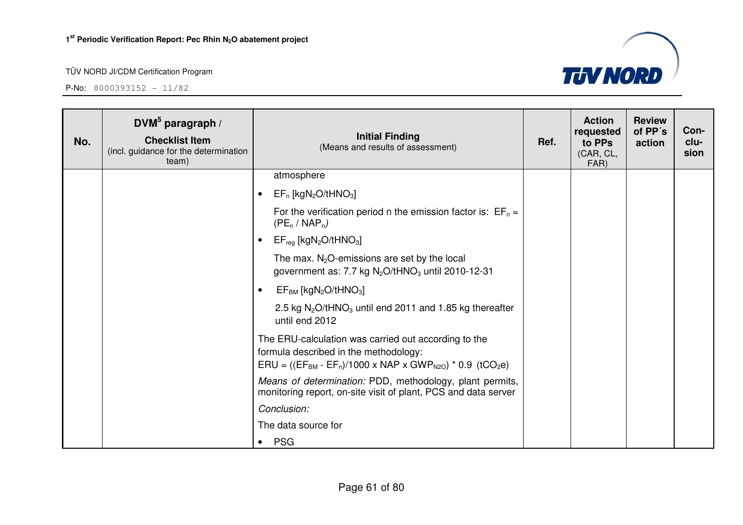

| No. | DVM $5$ paragraph /<br><b>Checklist Item</b><br>(incl. guidance for the determination<br>team) | <b>Initial Finding</b><br>(Means and results of assessment)                                                                                                                             | Ref. | <b>Action</b><br>requested<br>to PPs<br>(CAR, CL,<br>FAR) | <b>Review</b><br>of PP's<br>action | Con-<br>clu-<br>sion |
|-----|------------------------------------------------------------------------------------------------|-----------------------------------------------------------------------------------------------------------------------------------------------------------------------------------------|------|-----------------------------------------------------------|------------------------------------|----------------------|
|     |                                                                                                | atmosphere                                                                                                                                                                              |      |                                                           |                                    |                      |
|     |                                                                                                | $EF_n$ [kgN <sub>2</sub> O/tHNO <sub>3</sub> ]<br>$\bullet$                                                                                                                             |      |                                                           |                                    |                      |
|     |                                                                                                | For the verification period n the emission factor is: $EF_n =$<br>$(PE_n / NAP_n)$                                                                                                      |      |                                                           |                                    |                      |
|     |                                                                                                | $EF_{reg}$ [kgN <sub>2</sub> O/tHNO <sub>3</sub> ]                                                                                                                                      |      |                                                           |                                    |                      |
|     |                                                                                                | The max. $N_2O$ -emissions are set by the local<br>government as: 7.7 kg $N_2O/tHNO_3$ until 2010-12-31                                                                                 |      |                                                           |                                    |                      |
|     |                                                                                                | $EF_{BM}$ [kgN <sub>2</sub> O/tHNO <sub>3</sub> ]                                                                                                                                       |      |                                                           |                                    |                      |
|     |                                                                                                | 2.5 kg $N_2O$ /tHNO <sub>3</sub> until end 2011 and 1.85 kg thereafter<br>until end 2012                                                                                                |      |                                                           |                                    |                      |
|     |                                                                                                | The ERU-calculation was carried out according to the<br>formula described in the methodology:<br>$ERU = ((EF_{BM} - EF_n)/1000 \times NAP \times GWP_{N20}) * 0.9$ (tCO <sub>2</sub> e) |      |                                                           |                                    |                      |
|     |                                                                                                | Means of determination: PDD, methodology, plant permits,<br>monitoring report, on-site visit of plant, PCS and data server                                                              |      |                                                           |                                    |                      |
|     |                                                                                                | Conclusion:                                                                                                                                                                             |      |                                                           |                                    |                      |
|     |                                                                                                | The data source for                                                                                                                                                                     |      |                                                           |                                    |                      |
|     |                                                                                                | $\bullet$ PSG                                                                                                                                                                           |      |                                                           |                                    |                      |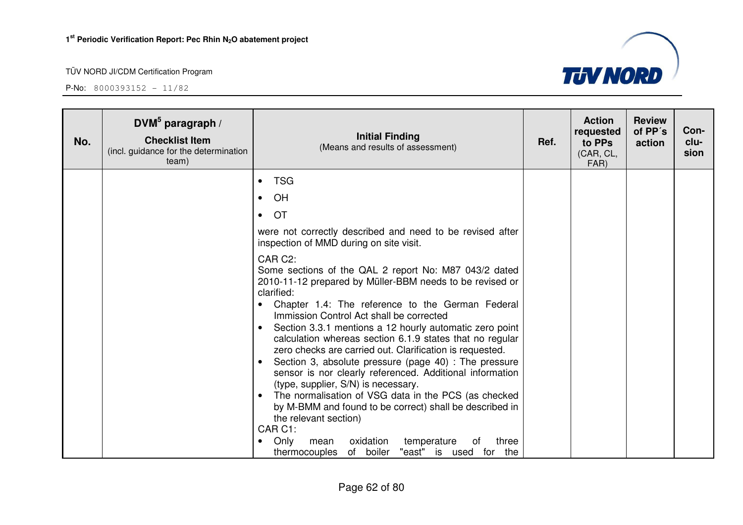

| No. | DVM $5$ paragraph /<br><b>Checklist Item</b><br>(incl. guidance for the determination<br>team) | <b>Initial Finding</b><br>(Means and results of assessment)                                                                                                                                                                                                                                                                                                                                                                                                                                                                                                                                                                                                                                                                                                                                                                                                                                          | Ref. | <b>Action</b><br>requested<br>to PPs<br>(CAR, CL,<br>FAR) | <b>Review</b><br>of PP's<br>action | Con-<br>clu-<br>sion |
|-----|------------------------------------------------------------------------------------------------|------------------------------------------------------------------------------------------------------------------------------------------------------------------------------------------------------------------------------------------------------------------------------------------------------------------------------------------------------------------------------------------------------------------------------------------------------------------------------------------------------------------------------------------------------------------------------------------------------------------------------------------------------------------------------------------------------------------------------------------------------------------------------------------------------------------------------------------------------------------------------------------------------|------|-----------------------------------------------------------|------------------------------------|----------------------|
|     |                                                                                                | <b>TSG</b><br>$\bullet$                                                                                                                                                                                                                                                                                                                                                                                                                                                                                                                                                                                                                                                                                                                                                                                                                                                                              |      |                                                           |                                    |                      |
|     |                                                                                                | OH<br>$\bullet$                                                                                                                                                                                                                                                                                                                                                                                                                                                                                                                                                                                                                                                                                                                                                                                                                                                                                      |      |                                                           |                                    |                      |
|     |                                                                                                | <b>OT</b><br>$\bullet$                                                                                                                                                                                                                                                                                                                                                                                                                                                                                                                                                                                                                                                                                                                                                                                                                                                                               |      |                                                           |                                    |                      |
|     |                                                                                                | were not correctly described and need to be revised after<br>inspection of MMD during on site visit.                                                                                                                                                                                                                                                                                                                                                                                                                                                                                                                                                                                                                                                                                                                                                                                                 |      |                                                           |                                    |                      |
|     |                                                                                                | CAR C2:<br>Some sections of the QAL 2 report No: M87 043/2 dated<br>2010-11-12 prepared by Müller-BBM needs to be revised or<br>clarified:<br>Chapter 1.4: The reference to the German Federal<br>$\bullet$<br>Immission Control Act shall be corrected<br>Section 3.3.1 mentions a 12 hourly automatic zero point<br>$\bullet$<br>calculation whereas section 6.1.9 states that no regular<br>zero checks are carried out. Clarification is requested.<br>Section 3, absolute pressure (page 40) : The pressure<br>sensor is nor clearly referenced. Additional information<br>(type, supplier, S/N) is necessary.<br>The normalisation of VSG data in the PCS (as checked<br>by M-BMM and found to be correct) shall be described in<br>the relevant section)<br>CAR C1:<br>Only<br>oxidation<br>three<br>temperature<br>mean<br>of<br>$\bullet$<br>thermocouples of boiler "east" is used for the |      |                                                           |                                    |                      |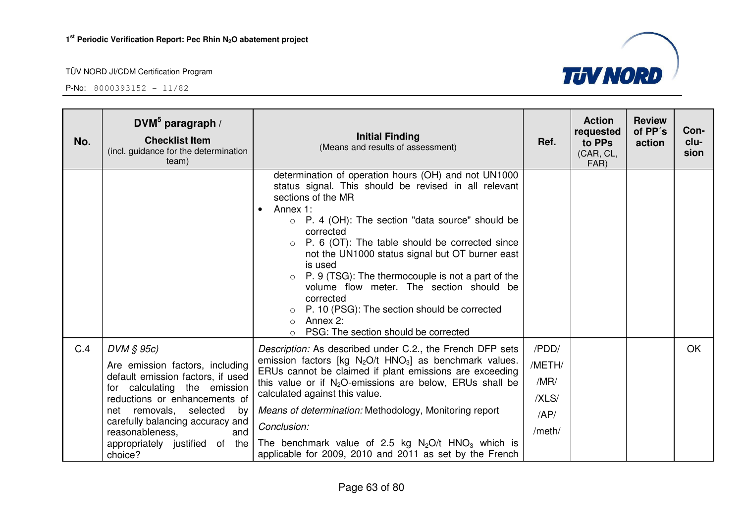

| No. | DVM $5$ paragraph /<br><b>Checklist Item</b><br>(incl. guidance for the determination<br>team)                                                                                                                                                                                                      | <b>Initial Finding</b><br>(Means and results of assessment)                                                                                                                                                                                                                                                                                                                                                                                                                                                                                                                                                       | Ref.                                              | <b>Action</b><br>requested<br>to PPs<br>(CAR, CL,<br>FAR) | <b>Review</b><br>of PP's<br>action | Con-<br>clu-<br>sion |
|-----|-----------------------------------------------------------------------------------------------------------------------------------------------------------------------------------------------------------------------------------------------------------------------------------------------------|-------------------------------------------------------------------------------------------------------------------------------------------------------------------------------------------------------------------------------------------------------------------------------------------------------------------------------------------------------------------------------------------------------------------------------------------------------------------------------------------------------------------------------------------------------------------------------------------------------------------|---------------------------------------------------|-----------------------------------------------------------|------------------------------------|----------------------|
|     |                                                                                                                                                                                                                                                                                                     | determination of operation hours (OH) and not UN1000<br>status signal. This should be revised in all relevant<br>sections of the MR<br>Annex 1:<br>$\bullet$<br>$\circ$ P. 4 (OH): The section "data source" should be<br>corrected<br>P. 6 (OT): The table should be corrected since<br>$\circ$<br>not the UN1000 status signal but OT burner east<br>is used<br>$\circ$ P. 9 (TSG): The thermocouple is not a part of the<br>volume flow meter. The section should be<br>corrected<br>P. 10 (PSG): The section should be corrected<br>Annex 2:<br>$\bigcirc$<br>PSG: The section should be corrected<br>$\circ$ |                                                   |                                                           |                                    |                      |
| C.4 | $DVM \S 95c$<br>Are emission factors, including<br>default emission factors, if used<br>for calculating the emission<br>reductions or enhancements of<br>net removals,<br>selected<br>by<br>carefully balancing accuracy and<br>reasonableness,<br>and<br>appropriately justified of the<br>choice? | Description: As described under C.2., the French DFP sets<br>emission factors [kg $N_2O/t$ HNO <sub>3</sub> ] as benchmark values.<br>ERUs cannot be claimed if plant emissions are exceeding<br>this value or if $N_2O$ -emissions are below, ERUs shall be<br>calculated against this value.<br>Means of determination: Methodology, Monitoring report<br>Conclusion:<br>The benchmark value of 2.5 kg $N_2O/t$ HNO <sub>3</sub> which is<br>applicable for 2009, 2010 and 2011 as set by the French                                                                                                            | /PDD/<br>/METH/<br>/MR/<br>/XLS/<br>AP/<br>/meth/ |                                                           |                                    | <b>OK</b>            |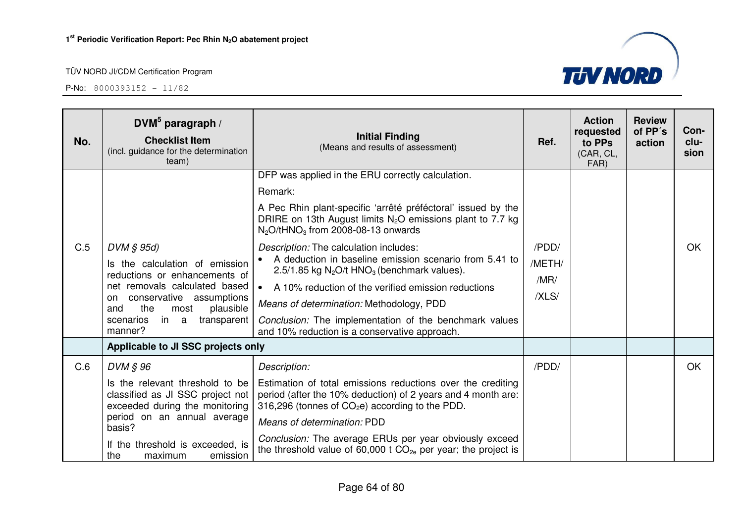

| No. | $DWM^5$ paragraph /<br><b>Checklist Item</b><br>(incl. guidance for the determination<br>team)                                                                                                                                           | <b>Initial Finding</b><br>(Means and results of assessment)                                                                                                                                                                                                                                                                                                                                                                                   | Ref.                             | <b>Action</b><br>requested<br>to PPs<br>(CAR, CL,<br>FAR) | <b>Review</b><br>of PP's<br>action | Con-<br>clu-<br>sion |
|-----|------------------------------------------------------------------------------------------------------------------------------------------------------------------------------------------------------------------------------------------|-----------------------------------------------------------------------------------------------------------------------------------------------------------------------------------------------------------------------------------------------------------------------------------------------------------------------------------------------------------------------------------------------------------------------------------------------|----------------------------------|-----------------------------------------------------------|------------------------------------|----------------------|
|     |                                                                                                                                                                                                                                          | DFP was applied in the ERU correctly calculation.<br>Remark:<br>A Pec Rhin plant-specific 'arrêté préféctoral' issued by the<br>DRIRE on 13th August limits $N_2O$ emissions plant to 7.7 kg                                                                                                                                                                                                                                                  |                                  |                                                           |                                    |                      |
| C.5 | $DVM \S 95d$<br>Is the calculation of emission<br>reductions or enhancements of<br>net removals calculated based<br>conservative assumptions<br>on.<br>the<br>plausible<br>most<br>and<br>in<br>transparent<br>scenarios<br>a<br>manner? | $N_2$ O/tHNO <sub>3</sub> from 2008-08-13 onwards<br>Description: The calculation includes:<br>A deduction in baseline emission scenario from 5.41 to<br>2.5/1.85 kg $N_2O/t$ HNO <sub>3</sub> (benchmark values).<br>A 10% reduction of the verified emission reductions<br>$\bullet$<br>Means of determination: Methodology, PDD<br>Conclusion: The implementation of the benchmark values<br>and 10% reduction is a conservative approach. | /PDD/<br>/METH/<br>/MR/<br>/XLS/ |                                                           |                                    | <b>OK</b>            |
|     | Applicable to JI SSC projects only                                                                                                                                                                                                       |                                                                                                                                                                                                                                                                                                                                                                                                                                               |                                  |                                                           |                                    |                      |
| C.6 | DVM § 96<br>Is the relevant threshold to be<br>classified as JI SSC project not<br>exceeded during the monitoring<br>period on an annual average<br>basis?<br>If the threshold is exceeded, is<br>the<br>maximum<br>emission             | Description:<br>Estimation of total emissions reductions over the crediting<br>period (after the 10% deduction) of 2 years and 4 month are:<br>316,296 (tonnes of $CO2e$ ) according to the PDD.<br>Means of determination: PDD<br>Conclusion: The average ERUs per year obviously exceed<br>the threshold value of 60,000 t $CO_{2e}$ per year; the project is                                                                               | /PDD/                            |                                                           |                                    | OK                   |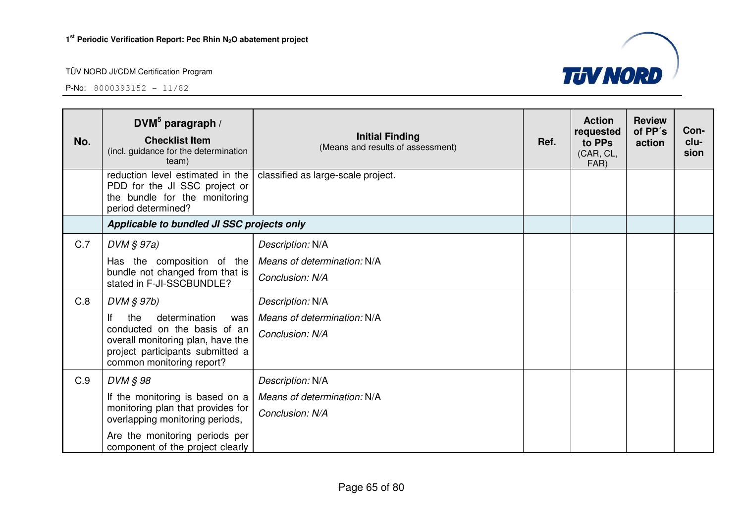

| No.        | DVM $5$ paragraph /<br><b>Checklist Item</b><br>(incl. guidance for the determination<br>team)                                                                                                                                                                                                         | <b>Initial Finding</b><br>(Means and results of assessment)                                                                              | Ref. | <b>Action</b><br>requested<br>to PPs<br>(CAR, CL,<br>FAR) | <b>Review</b><br>of PP's<br>action | Con-<br>clu-<br>sion |
|------------|--------------------------------------------------------------------------------------------------------------------------------------------------------------------------------------------------------------------------------------------------------------------------------------------------------|------------------------------------------------------------------------------------------------------------------------------------------|------|-----------------------------------------------------------|------------------------------------|----------------------|
|            | reduction level estimated in the<br>PDD for the JI SSC project or<br>the bundle for the monitoring<br>period determined?                                                                                                                                                                               | classified as large-scale project.                                                                                                       |      |                                                           |                                    |                      |
|            | Applicable to bundled JI SSC projects only                                                                                                                                                                                                                                                             |                                                                                                                                          |      |                                                           |                                    |                      |
| C.7<br>C.8 | $DVM \S 97a)$<br>Has the composition of the<br>bundle not changed from that is<br>stated in F-JI-SSCBUNDLE?<br>$DVM \S 97b$<br>If<br>the<br>determination<br>was<br>conducted on the basis of an<br>overall monitoring plan, have the<br>project participants submitted a<br>common monitoring report? | Description: N/A<br>Means of determination: N/A<br>Conclusion: N/A<br>Description: N/A<br>Means of determination: N/A<br>Conclusion: N/A |      |                                                           |                                    |                      |
| C.9        | DVM § 98<br>If the monitoring is based on a<br>monitoring plan that provides for<br>overlapping monitoring periods,<br>Are the monitoring periods per<br>component of the project clearly                                                                                                              | Description: N/A<br>Means of determination: N/A<br>Conclusion: N/A                                                                       |      |                                                           |                                    |                      |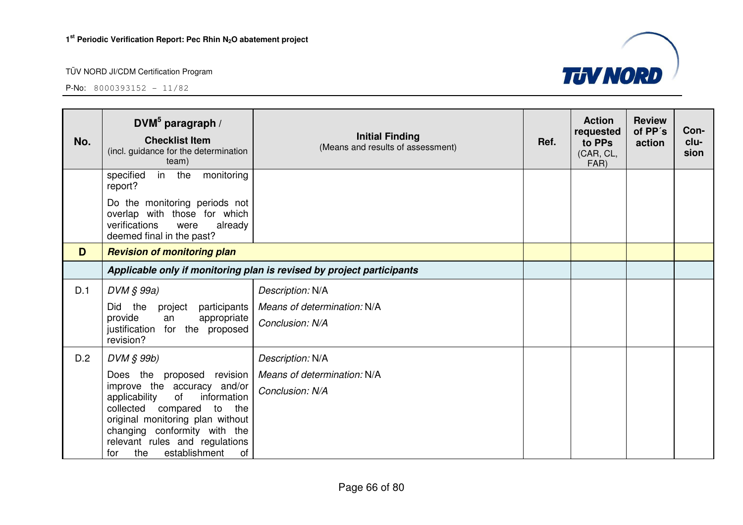| No. | DVM $5$ paragraph /<br><b>Checklist Item</b><br>(incl. guidance for the determination<br>team)                                                                                                                                                                                   | <b>Initial Finding</b><br>(Means and results of assessment) | Ref. | <b>Action</b><br>requested<br>to PPs<br>(CAR, CL,<br>FAR) | <b>Review</b><br>of PP's<br>action | Con-<br>clu-<br>sion |
|-----|----------------------------------------------------------------------------------------------------------------------------------------------------------------------------------------------------------------------------------------------------------------------------------|-------------------------------------------------------------|------|-----------------------------------------------------------|------------------------------------|----------------------|
|     | monitoring<br>specified<br>in<br>the<br>report?                                                                                                                                                                                                                                  |                                                             |      |                                                           |                                    |                      |
|     | Do the monitoring periods not<br>overlap with those for which<br>verifications<br>already<br>were<br>deemed final in the past?                                                                                                                                                   |                                                             |      |                                                           |                                    |                      |
| D   | <b>Revision of monitoring plan</b>                                                                                                                                                                                                                                               |                                                             |      |                                                           |                                    |                      |
|     | Applicable only if monitoring plan is revised by project participants                                                                                                                                                                                                            |                                                             |      |                                                           |                                    |                      |
| D.1 | DVM § 99a)                                                                                                                                                                                                                                                                       | Description: N/A                                            |      |                                                           |                                    |                      |
|     | the<br>participants<br>Did<br>project<br>provide<br>appropriate<br>an<br>justification for the proposed<br>revision?                                                                                                                                                             | Means of determination: N/A<br>Conclusion: N/A              |      |                                                           |                                    |                      |
| D.2 | DVM § 99b)                                                                                                                                                                                                                                                                       | Description: N/A                                            |      |                                                           |                                    |                      |
|     | Does the proposed revision<br>improve the accuracy<br>and/or<br>information<br>applicability<br>of<br>collected compared<br>to<br>the<br>original monitoring plan without<br>changing conformity with the<br>relevant rules and regulations<br>establishment<br>the<br>of<br>for | Means of determination: N/A<br>Conclusion: N/A              |      |                                                           |                                    |                      |

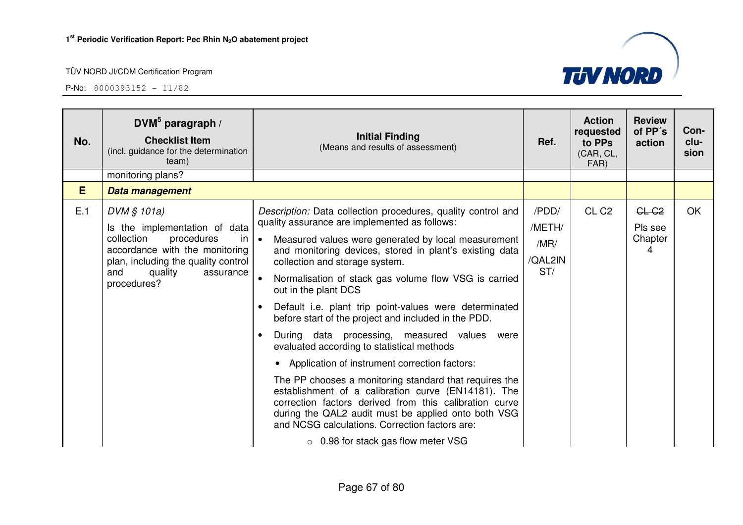| No. | DVM <sup>5</sup> paragraph /<br><b>Checklist Item</b><br>(incl. guidance for the determination<br>team)                                                                                               | <b>Initial Finding</b><br>(Means and results of assessment)                                                                                                                                                                                                                                                                                                                                                                                                                                                                                                                                                                                                                                                                                                                                                                                                                                                                                                   | Ref.                                      | <b>Action</b><br>requested<br>to PPs<br>(CAR, CL,<br>FAR) | <b>Review</b><br>of PP's<br>action           | Con-<br>clu-<br>sion |
|-----|-------------------------------------------------------------------------------------------------------------------------------------------------------------------------------------------------------|---------------------------------------------------------------------------------------------------------------------------------------------------------------------------------------------------------------------------------------------------------------------------------------------------------------------------------------------------------------------------------------------------------------------------------------------------------------------------------------------------------------------------------------------------------------------------------------------------------------------------------------------------------------------------------------------------------------------------------------------------------------------------------------------------------------------------------------------------------------------------------------------------------------------------------------------------------------|-------------------------------------------|-----------------------------------------------------------|----------------------------------------------|----------------------|
|     | monitoring plans?                                                                                                                                                                                     |                                                                                                                                                                                                                                                                                                                                                                                                                                                                                                                                                                                                                                                                                                                                                                                                                                                                                                                                                               |                                           |                                                           |                                              |                      |
| E   | Data management                                                                                                                                                                                       |                                                                                                                                                                                                                                                                                                                                                                                                                                                                                                                                                                                                                                                                                                                                                                                                                                                                                                                                                               |                                           |                                                           |                                              |                      |
| E.1 | DVM § 101a)<br>Is the implementation of data<br>collection<br>procedures<br>in<br>accordance with the monitoring<br>plan, including the quality control<br>quality<br>and<br>assurance<br>procedures? | Description: Data collection procedures, quality control and<br>quality assurance are implemented as follows:<br>Measured values were generated by local measurement<br>and monitoring devices, stored in plant's existing data<br>collection and storage system.<br>Normalisation of stack gas volume flow VSG is carried<br>out in the plant DCS<br>Default <i>i.e.</i> plant trip point-values were determinated<br>before start of the project and included in the PDD.<br>During data processing, measured values were<br>evaluated according to statistical methods<br>• Application of instrument correction factors:<br>The PP chooses a monitoring standard that requires the<br>establishment of a calibration curve (EN14181). The<br>correction factors derived from this calibration curve<br>during the QAL2 audit must be applied onto both VSG<br>and NCSG calculations. Correction factors are:<br>$\circ$ 0.98 for stack gas flow meter VSG | /PDD/<br>/METH/<br>/MR/<br>/QAL2IN<br>ST/ | CL <sub>C2</sub>                                          | CL C <sub>2</sub><br>Pls see<br>Chapter<br>4 | OK.                  |

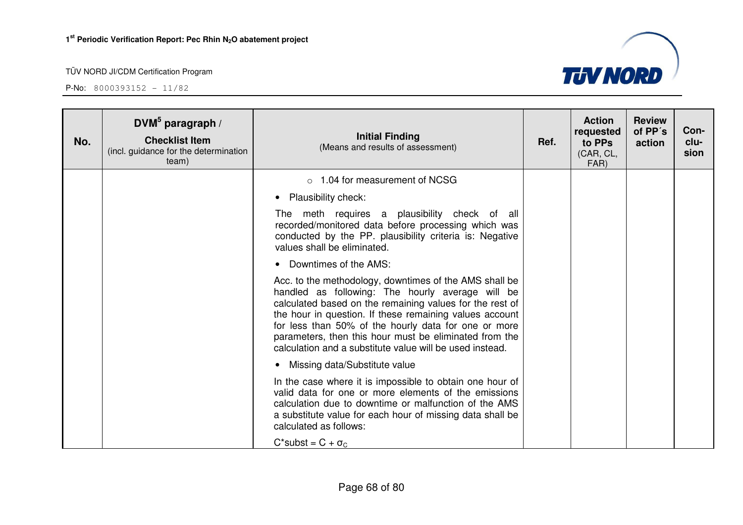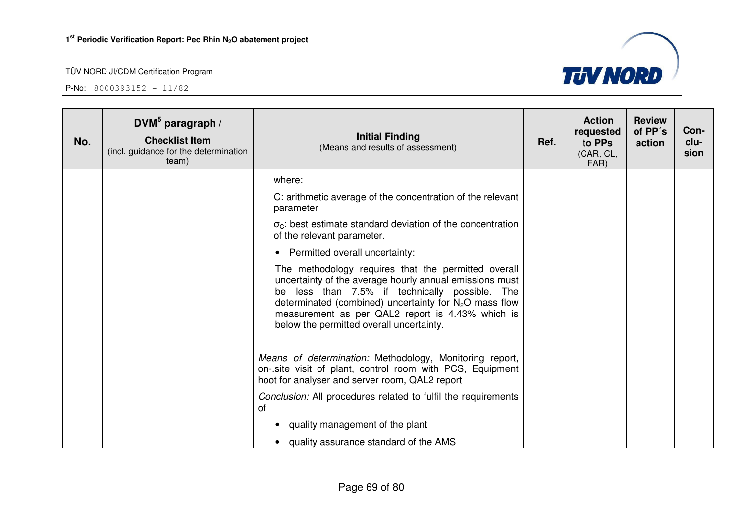**P-No:** 8000393152 - 11/82



| No. | $DWM^5$ paragraph /<br><b>Checklist Item</b><br>(incl. guidance for the determination<br>team) | <b>Initial Finding</b><br>(Means and results of assessment)                                                                                                                                                                                                                                                                  | Ref. | <b>Action</b><br>requested<br>to PPs<br>(CAR, CL,<br>FAR) | <b>Review</b><br>of PP's<br>action | Con-<br>clu-<br>sion |
|-----|------------------------------------------------------------------------------------------------|------------------------------------------------------------------------------------------------------------------------------------------------------------------------------------------------------------------------------------------------------------------------------------------------------------------------------|------|-----------------------------------------------------------|------------------------------------|----------------------|
|     |                                                                                                | where:                                                                                                                                                                                                                                                                                                                       |      |                                                           |                                    |                      |
|     |                                                                                                | C: arithmetic average of the concentration of the relevant<br>parameter                                                                                                                                                                                                                                                      |      |                                                           |                                    |                      |
|     |                                                                                                | $\sigma_{\rm C}$ : best estimate standard deviation of the concentration<br>of the relevant parameter.                                                                                                                                                                                                                       |      |                                                           |                                    |                      |
|     |                                                                                                | • Permitted overall uncertainty:                                                                                                                                                                                                                                                                                             |      |                                                           |                                    |                      |
|     |                                                                                                | The methodology requires that the permitted overall<br>uncertainty of the average hourly annual emissions must<br>be less than 7.5% if technically possible. The<br>determinated (combined) uncertainty for $N_2O$ mass flow<br>measurement as per QAL2 report is 4.43% which is<br>below the permitted overall uncertainty. |      |                                                           |                                    |                      |
|     |                                                                                                | Means of determination: Methodology, Monitoring report,<br>on-site visit of plant, control room with PCS, Equipment<br>hoot for analyser and server room, QAL2 report                                                                                                                                                        |      |                                                           |                                    |                      |
|     |                                                                                                | Conclusion: All procedures related to fulfil the requirements<br>of                                                                                                                                                                                                                                                          |      |                                                           |                                    |                      |
|     |                                                                                                | quality management of the plant<br>$\bullet$                                                                                                                                                                                                                                                                                 |      |                                                           |                                    |                      |
|     |                                                                                                | quality assurance standard of the AMS                                                                                                                                                                                                                                                                                        |      |                                                           |                                    |                      |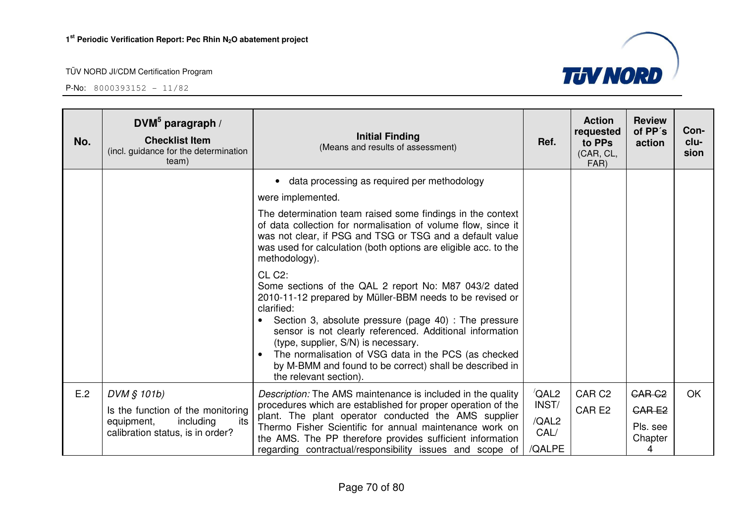

| No. | DVM $5$ paragraph /<br><b>Checklist Item</b><br>(incl. guidance for the determination<br>team)                         | <b>Initial Finding</b><br>(Means and results of assessment)                                                                                                                                                                                                                                                                                                                                                                                                                               | Ref.                                                       | <b>Action</b><br>requested<br>to PPs<br>(CAR, CL,<br>FAR) | <b>Review</b><br>of PP's<br>action                            | Con-<br>clu-<br>sion |
|-----|------------------------------------------------------------------------------------------------------------------------|-------------------------------------------------------------------------------------------------------------------------------------------------------------------------------------------------------------------------------------------------------------------------------------------------------------------------------------------------------------------------------------------------------------------------------------------------------------------------------------------|------------------------------------------------------------|-----------------------------------------------------------|---------------------------------------------------------------|----------------------|
|     |                                                                                                                        | data processing as required per methodology<br>$\bullet$<br>were implemented.                                                                                                                                                                                                                                                                                                                                                                                                             |                                                            |                                                           |                                                               |                      |
|     |                                                                                                                        | The determination team raised some findings in the context<br>of data collection for normalisation of volume flow, since it<br>was not clear, if PSG and TSG or TSG and a default value<br>was used for calculation (both options are eligible acc. to the<br>methodology).                                                                                                                                                                                                               |                                                            |                                                           |                                                               |                      |
|     |                                                                                                                        | CL C <sub>2</sub> :<br>Some sections of the QAL 2 report No: M87 043/2 dated<br>2010-11-12 prepared by Müller-BBM needs to be revised or<br>clarified:<br>Section 3, absolute pressure (page 40) : The pressure<br>$\bullet$<br>sensor is not clearly referenced. Additional information<br>(type, supplier, S/N) is necessary.<br>The normalisation of VSG data in the PCS (as checked<br>$\bullet$<br>by M-BMM and found to be correct) shall be described in<br>the relevant section). |                                                            |                                                           |                                                               |                      |
| E.2 | DVM § 101b)<br>Is the function of the monitoring<br>including<br>equipment,<br>its<br>calibration status, is in order? | Description: The AMS maintenance is included in the quality<br>procedures which are established for proper operation of the<br>plant. The plant operator conducted the AMS supplier<br>Thermo Fisher Scientific for annual maintenance work on<br>the AMS. The PP therefore provides sufficient information<br>regarding contractual/responsibility issues and scope of                                                                                                                   | $\sqrt{\mathsf{QAL2}}$<br>INST/<br>/QAL2<br>CAL/<br>/QALPE | CAR <sub>C2</sub><br>CAR <sub>E2</sub>                    | CAR <sub>C2</sub><br><b>CARE2</b><br>Pls. see<br>Chapter<br>4 | <b>OK</b>            |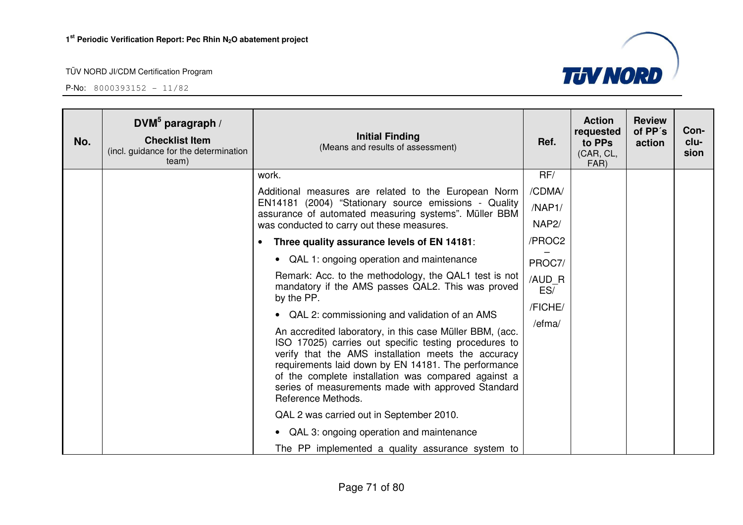| No. | DVM <sup>5</sup> paragraph /<br><b>Checklist Item</b><br>(incl. guidance for the determination<br>team) | <b>Initial Finding</b><br>(Means and results of assessment)                                                                                                                                                                                                                                                                                                        | Ref.               | <b>Action</b><br>requested<br>to PPs<br>(CAR, CL,<br>FAR) | <b>Review</b><br>of PP's<br>action | Con-<br>clu-<br>sion |
|-----|---------------------------------------------------------------------------------------------------------|--------------------------------------------------------------------------------------------------------------------------------------------------------------------------------------------------------------------------------------------------------------------------------------------------------------------------------------------------------------------|--------------------|-----------------------------------------------------------|------------------------------------|----------------------|
|     |                                                                                                         | work.<br>Additional measures are related to the European Norm                                                                                                                                                                                                                                                                                                      | RF/<br>/CDMA/      |                                                           |                                    |                      |
|     |                                                                                                         | EN14181 (2004) "Stationary source emissions - Quality                                                                                                                                                                                                                                                                                                              | /NAP1/             |                                                           |                                    |                      |
|     |                                                                                                         | assurance of automated measuring systems". Müller BBM<br>was conducted to carry out these measures.                                                                                                                                                                                                                                                                | NAP <sub>2</sub> / |                                                           |                                    |                      |
|     |                                                                                                         | Three quality assurance levels of EN 14181:<br>$\bullet$                                                                                                                                                                                                                                                                                                           | /PROC2             |                                                           |                                    |                      |
|     |                                                                                                         | • QAL 1: ongoing operation and maintenance                                                                                                                                                                                                                                                                                                                         | PROC7/             |                                                           |                                    |                      |
|     |                                                                                                         | Remark: Acc. to the methodology, the QAL1 test is not<br>mandatory if the AMS passes QAL2. This was proved<br>by the PP.                                                                                                                                                                                                                                           | /AUD R<br>ES/      |                                                           |                                    |                      |
|     |                                                                                                         | • QAL 2: commissioning and validation of an AMS                                                                                                                                                                                                                                                                                                                    | /FICHE/            |                                                           |                                    |                      |
|     |                                                                                                         | An accredited laboratory, in this case Müller BBM, (acc.<br>ISO 17025) carries out specific testing procedures to<br>verify that the AMS installation meets the accuracy<br>requirements laid down by EN 14181. The performance<br>of the complete installation was compared against a<br>series of measurements made with approved Standard<br>Reference Methods. | /efma/             |                                                           |                                    |                      |
|     |                                                                                                         | QAL 2 was carried out in September 2010.                                                                                                                                                                                                                                                                                                                           |                    |                                                           |                                    |                      |
|     |                                                                                                         | • QAL 3: ongoing operation and maintenance                                                                                                                                                                                                                                                                                                                         |                    |                                                           |                                    |                      |
|     |                                                                                                         | The PP implemented a quality assurance system to                                                                                                                                                                                                                                                                                                                   |                    |                                                           |                                    |                      |

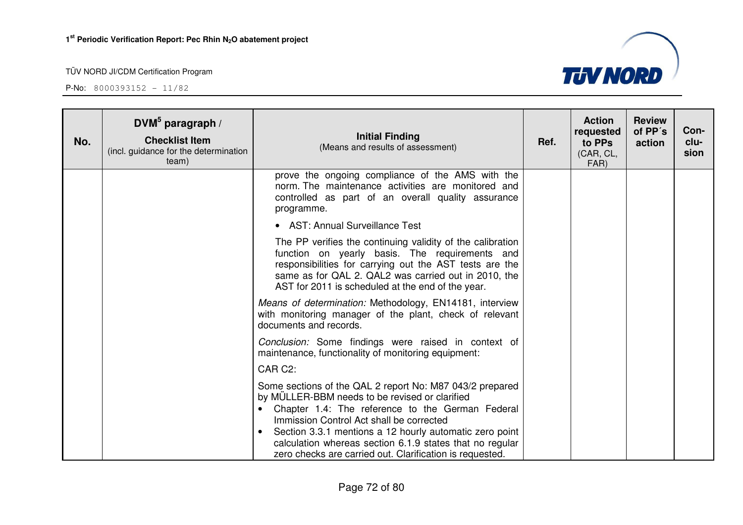

| No. | DVM $5$ paragraph /<br><b>Checklist Item</b><br>(incl. guidance for the determination<br>team) | <b>Initial Finding</b><br>(Means and results of assessment)                                                                                                                                                                                                                                                                                                                                   | Ref. | <b>Action</b><br>requested<br>to PPs<br>(CAR, CL,<br>FAR) | <b>Review</b><br>of PP's<br>action | Con-<br>clu-<br>sion |
|-----|------------------------------------------------------------------------------------------------|-----------------------------------------------------------------------------------------------------------------------------------------------------------------------------------------------------------------------------------------------------------------------------------------------------------------------------------------------------------------------------------------------|------|-----------------------------------------------------------|------------------------------------|----------------------|
|     |                                                                                                | prove the ongoing compliance of the AMS with the<br>norm. The maintenance activities are monitored and<br>controlled as part of an overall quality assurance<br>programme.                                                                                                                                                                                                                    |      |                                                           |                                    |                      |
|     |                                                                                                | • AST: Annual Surveillance Test                                                                                                                                                                                                                                                                                                                                                               |      |                                                           |                                    |                      |
|     |                                                                                                | The PP verifies the continuing validity of the calibration<br>function on yearly basis. The requirements and<br>responsibilities for carrying out the AST tests are the<br>same as for QAL 2. QAL2 was carried out in 2010, the<br>AST for 2011 is scheduled at the end of the year.                                                                                                          |      |                                                           |                                    |                      |
|     |                                                                                                | Means of determination: Methodology, EN14181, interview<br>with monitoring manager of the plant, check of relevant<br>documents and records.                                                                                                                                                                                                                                                  |      |                                                           |                                    |                      |
|     |                                                                                                | Conclusion: Some findings were raised in context of<br>maintenance, functionality of monitoring equipment:                                                                                                                                                                                                                                                                                    |      |                                                           |                                    |                      |
|     |                                                                                                | CAR C2:                                                                                                                                                                                                                                                                                                                                                                                       |      |                                                           |                                    |                      |
|     |                                                                                                | Some sections of the QAL 2 report No: M87 043/2 prepared<br>by MÜLLER-BBM needs to be revised or clarified<br>Chapter 1.4: The reference to the German Federal<br>Immission Control Act shall be corrected<br>Section 3.3.1 mentions a 12 hourly automatic zero point<br>calculation whereas section 6.1.9 states that no regular<br>zero checks are carried out. Clarification is requested. |      |                                                           |                                    |                      |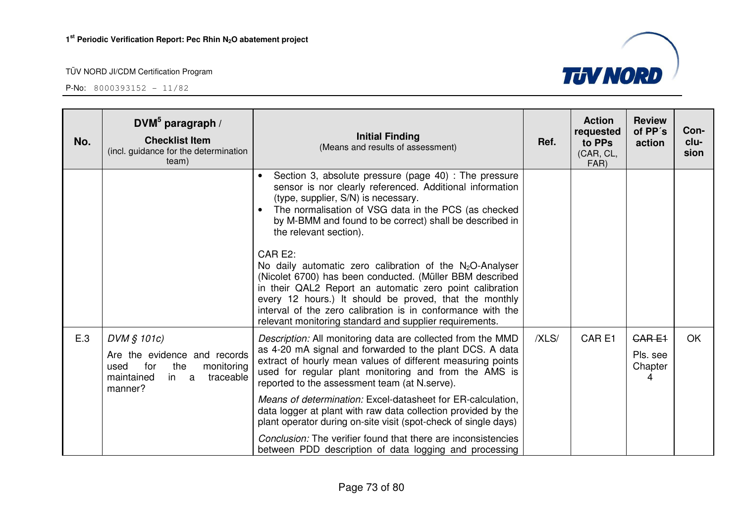

| No. | DVM $5$ paragraph /<br><b>Checklist Item</b><br>(incl. guidance for the determination<br>team)                                   | <b>Initial Finding</b><br>(Means and results of assessment)                                                                                                                                                                                                                                                                                                                        | Ref.  | <b>Action</b><br>requested<br>to PPs<br>(CAR, CL,<br>FAR) | <b>Review</b><br>of PP's<br>action | Con-<br>clu-<br>sion |
|-----|----------------------------------------------------------------------------------------------------------------------------------|------------------------------------------------------------------------------------------------------------------------------------------------------------------------------------------------------------------------------------------------------------------------------------------------------------------------------------------------------------------------------------|-------|-----------------------------------------------------------|------------------------------------|----------------------|
|     |                                                                                                                                  | Section 3, absolute pressure (page 40) : The pressure<br>$\bullet$<br>sensor is nor clearly referenced. Additional information<br>(type, supplier, S/N) is necessary.<br>The normalisation of VSG data in the PCS (as checked<br>$\bullet$<br>by M-BMM and found to be correct) shall be described in<br>the relevant section).                                                    |       |                                                           |                                    |                      |
|     |                                                                                                                                  | CAR E2:<br>No daily automatic zero calibration of the $N_2O$ -Analyser<br>(Nicolet 6700) has been conducted. (Müller BBM described<br>in their QAL2 Report an automatic zero point calibration<br>every 12 hours.) It should be proved, that the monthly<br>interval of the zero calibration is in conformance with the<br>relevant monitoring standard and supplier requirements. |       |                                                           |                                    |                      |
| E.3 | DVM § 101c)<br>Are the evidence and records<br>for<br>the<br>monitoring<br>used<br>maintained<br>traceable<br>in<br>a<br>manner? | Description: All monitoring data are collected from the MMD<br>as 4-20 mA signal and forwarded to the plant DCS. A data<br>extract of hourly mean values of different measuring points<br>used for regular plant monitoring and from the AMS is<br>reported to the assessment team (at N.serve).                                                                                   | /XLS/ | CAR <sub>E1</sub>                                         | CARE1<br>Pls. see<br>Chapter<br>4  | <b>OK</b>            |
|     |                                                                                                                                  | Means of determination: Excel-datasheet for ER-calculation,<br>data logger at plant with raw data collection provided by the<br>plant operator during on-site visit (spot-check of single days)                                                                                                                                                                                    |       |                                                           |                                    |                      |
|     |                                                                                                                                  | Conclusion: The verifier found that there are inconsistencies<br>between PDD description of data logging and processing                                                                                                                                                                                                                                                            |       |                                                           |                                    |                      |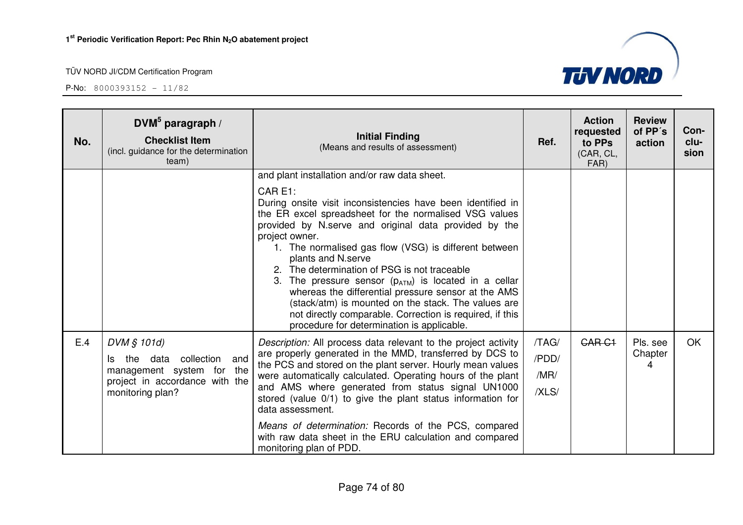| No. | DVM $5$ paragraph /<br><b>Checklist Item</b><br>(incl. guidance for the determination<br>team)                                         | <b>Initial Finding</b><br>(Means and results of assessment)                                                                                                                                                                                                                                                                                                                                                                                                                                                                                                                                                                                                                      | Ref.                            | <b>Action</b><br>requested<br>to PPs<br>(CAR, CL,<br>FAR) | <b>Review</b><br>of PP's<br>action | Con-<br>clu-<br>sion |
|-----|----------------------------------------------------------------------------------------------------------------------------------------|----------------------------------------------------------------------------------------------------------------------------------------------------------------------------------------------------------------------------------------------------------------------------------------------------------------------------------------------------------------------------------------------------------------------------------------------------------------------------------------------------------------------------------------------------------------------------------------------------------------------------------------------------------------------------------|---------------------------------|-----------------------------------------------------------|------------------------------------|----------------------|
|     |                                                                                                                                        | and plant installation and/or raw data sheet.<br>CAR E1:<br>During onsite visit inconsistencies have been identified in<br>the ER excel spreadsheet for the normalised VSG values<br>provided by N.serve and original data provided by the<br>project owner.<br>1. The normalised gas flow (VSG) is different between<br>plants and N.serve<br>2. The determination of PSG is not traceable<br>3. The pressure sensor $(p_{ATM})$ is located in a cellar<br>whereas the differential pressure sensor at the AMS<br>(stack/atm) is mounted on the stack. The values are<br>not directly comparable. Correction is required, if this<br>procedure for determination is applicable. |                                 |                                                           |                                    |                      |
| E.4 | DVM § 101d)<br>collection<br>the data<br>and<br>ls.<br>management system for the<br>project in accordance with the<br>monitoring plan? | Description: All process data relevant to the project activity<br>are properly generated in the MMD, transferred by DCS to<br>the PCS and stored on the plant server. Hourly mean values<br>were automatically calculated. Operating hours of the plant<br>and AMS where generated from status signal UN1000<br>stored (value 0/1) to give the plant status information for<br>data assessment.<br>Means of determination: Records of the PCS, compared                                                                                                                                                                                                                          | /TAG/<br>/PDD/<br>/MR/<br>/XLS/ | <b>CAR C1</b>                                             | Pls. see<br>Chapter<br>4           | <b>OK</b>            |
|     |                                                                                                                                        | with raw data sheet in the ERU calculation and compared<br>monitoring plan of PDD.                                                                                                                                                                                                                                                                                                                                                                                                                                                                                                                                                                                               |                                 |                                                           |                                    |                      |

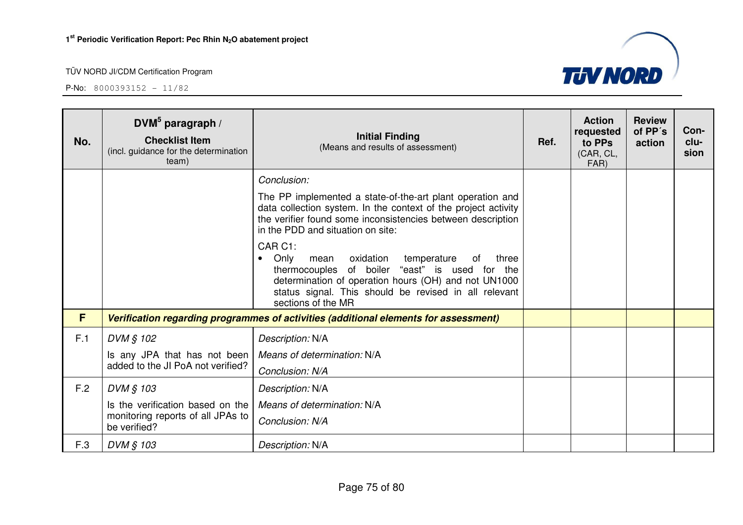

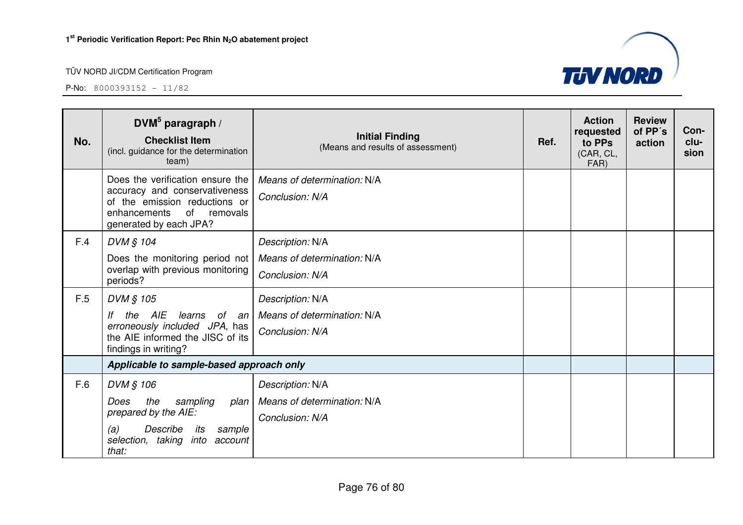

| No. | DVM $5$ paragraph /<br><b>Checklist Item</b><br>(incl. guidance for the determination<br>team)                                                              | <b>Initial Finding</b><br>(Means and results of assessment) | Ref. | <b>Action</b><br>requested<br>to PPs<br>(CAR, CL,<br>FAR) | <b>Review</b><br>of PP's<br>action | Con-<br>clu-<br>sion |
|-----|-------------------------------------------------------------------------------------------------------------------------------------------------------------|-------------------------------------------------------------|------|-----------------------------------------------------------|------------------------------------|----------------------|
|     | Does the verification ensure the<br>accuracy and conservativeness<br>of the emission reductions or<br>of removals<br>enhancements<br>generated by each JPA? | Means of determination: N/A<br>Conclusion: N/A              |      |                                                           |                                    |                      |
| F.4 | DVM § 104                                                                                                                                                   | Description: N/A                                            |      |                                                           |                                    |                      |
|     | Does the monitoring period not<br>overlap with previous monitoring<br>periods?                                                                              | Means of determination: N/A<br>Conclusion: N/A              |      |                                                           |                                    |                      |
| F.5 | DVM § 105                                                                                                                                                   | Description: N/A                                            |      |                                                           |                                    |                      |
|     | the AIE<br>lf<br>learns of an                                                                                                                               | Means of determination: N/A                                 |      |                                                           |                                    |                      |
|     | erroneously included JPA, has<br>the AIE informed the JISC of its<br>findings in writing?                                                                   | Conclusion: N/A                                             |      |                                                           |                                    |                      |
|     | Applicable to sample-based approach only                                                                                                                    |                                                             |      |                                                           |                                    |                      |
| F.6 | DVM § 106                                                                                                                                                   | Description: N/A                                            |      |                                                           |                                    |                      |
|     | sampling<br>the<br>Does<br>plan                                                                                                                             | Means of determination: N/A                                 |      |                                                           |                                    |                      |
|     | prepared by the AIE:<br>Describe<br>(a)<br>sample<br>its<br>selection, taking<br>into<br>account<br>that:                                                   | Conclusion: N/A                                             |      |                                                           |                                    |                      |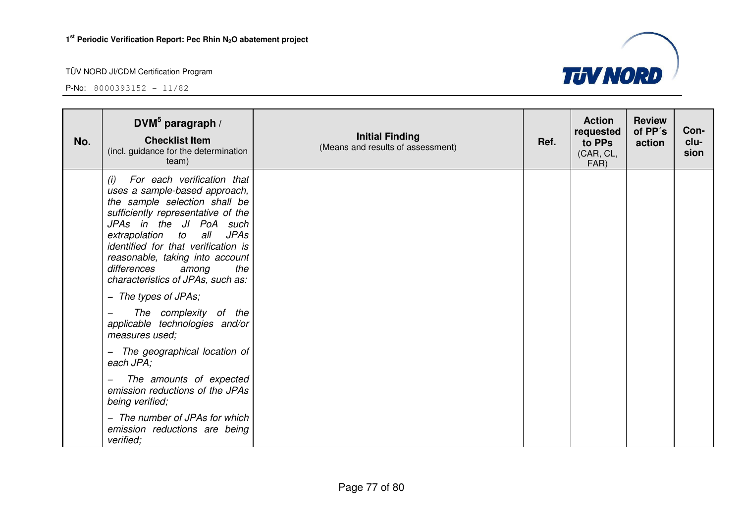

| No. | DVM $5$ paragraph /<br><b>Checklist Item</b><br>(incl. guidance for the determination<br>team)                                                                                                                                                                                                                                                                                          | <b>Initial Finding</b><br>(Means and results of assessment) | Ref. | <b>Action</b><br>requested<br>to PPs<br>(CAR, CL,<br>FAR) | <b>Review</b><br>of PP's<br>action | Con-<br>clu-<br>sion |
|-----|-----------------------------------------------------------------------------------------------------------------------------------------------------------------------------------------------------------------------------------------------------------------------------------------------------------------------------------------------------------------------------------------|-------------------------------------------------------------|------|-----------------------------------------------------------|------------------------------------|----------------------|
|     | For each verification that<br>(i)<br>uses a sample-based approach,<br>the sample selection shall be<br>sufficiently representative of the<br>JPAs in the JI PoA such<br>all<br><b>JPAs</b><br>extrapolation<br>to<br>identified for that verification is<br>reasonable, taking into account<br>differences<br>the<br>among<br>characteristics of JPAs, such as:<br>- The types of JPAs; |                                                             |      |                                                           |                                    |                      |
|     | The complexity of the<br>applicable technologies and/or<br>measures used;                                                                                                                                                                                                                                                                                                               |                                                             |      |                                                           |                                    |                      |
|     | - The geographical location of<br>each JPA;                                                                                                                                                                                                                                                                                                                                             |                                                             |      |                                                           |                                    |                      |
|     | The amounts of expected<br>emission reductions of the JPAs<br>being verified;                                                                                                                                                                                                                                                                                                           |                                                             |      |                                                           |                                    |                      |
|     | - The number of JPAs for which<br>emission reductions are being<br>verified;                                                                                                                                                                                                                                                                                                            |                                                             |      |                                                           |                                    |                      |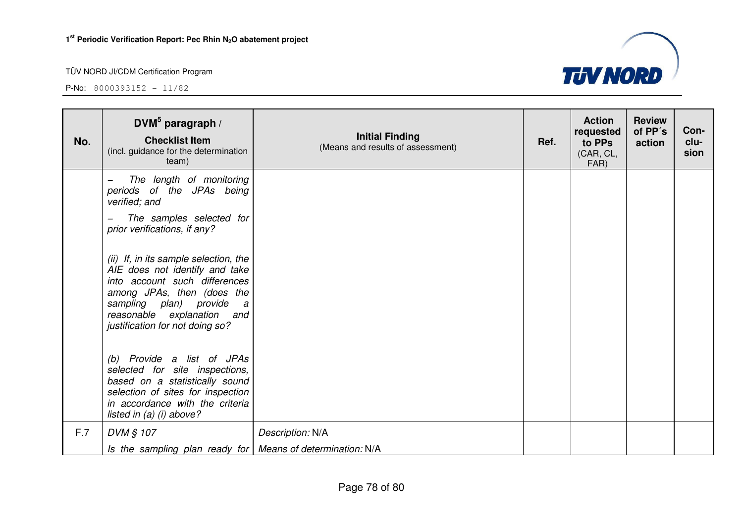| No. | DVM $5$ paragraph /<br><b>Checklist Item</b><br>(incl. guidance for the determination<br>team)                                                                                                                                                      | <b>Initial Finding</b><br>(Means and results of assessment) | Ref. | <b>Action</b><br>requested<br>to PPs<br>(CAR, CL,<br>FAR) | <b>Review</b><br>of PP's<br>action | Con-<br>clu-<br>sion |
|-----|-----------------------------------------------------------------------------------------------------------------------------------------------------------------------------------------------------------------------------------------------------|-------------------------------------------------------------|------|-----------------------------------------------------------|------------------------------------|----------------------|
|     | The length of monitoring<br>periods of the JPAs being<br>verified; and                                                                                                                                                                              |                                                             |      |                                                           |                                    |                      |
|     | The samples selected for<br>prior verifications, if any?                                                                                                                                                                                            |                                                             |      |                                                           |                                    |                      |
|     | (ii) If, in its sample selection, the<br>AIE does not identify and take<br>into account such differences<br>among JPAs, then (does the<br>sampling plan) provide<br>$\overline{a}$<br>reasonable explanation and<br>justification for not doing so? |                                                             |      |                                                           |                                    |                      |
|     | (b) Provide a list of JPAs<br>selected for site inspections,<br>based on a statistically sound<br>selection of sites for inspection<br>in accordance with the criteria<br>listed in $(a)$ $(i)$ above?                                              |                                                             |      |                                                           |                                    |                      |
| F.7 | DVM § 107                                                                                                                                                                                                                                           | Description: N/A                                            |      |                                                           |                                    |                      |
|     | Is the sampling plan ready for   Means of determination: N/A                                                                                                                                                                                        |                                                             |      |                                                           |                                    |                      |

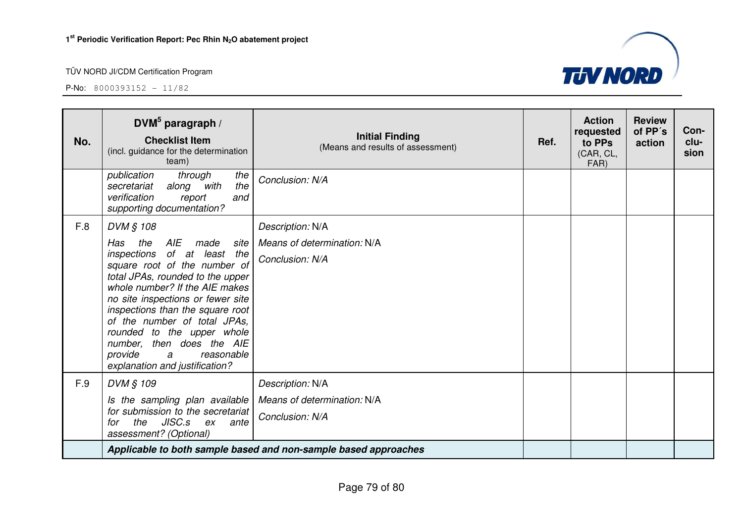

| No. | DVM $5$ paragraph /<br><b>Checklist Item</b><br>(incl. guidance for the determination<br>team)                                                                                                                                                                                                                                                                                                                          | <b>Initial Finding</b><br>(Means and results of assessment)        | Ref. | <b>Action</b><br>requested<br>to PPs<br>(CAR, CL,<br>FAR) | <b>Review</b><br>of PP's<br>action | Con-<br>clu-<br>sion |
|-----|-------------------------------------------------------------------------------------------------------------------------------------------------------------------------------------------------------------------------------------------------------------------------------------------------------------------------------------------------------------------------------------------------------------------------|--------------------------------------------------------------------|------|-----------------------------------------------------------|------------------------------------|----------------------|
|     | the<br>publication<br>through<br>the<br>along with<br>secretariat<br>verification<br>report<br>and<br>supporting documentation?                                                                                                                                                                                                                                                                                         | Conclusion: N/A                                                    |      |                                                           |                                    |                      |
| F.8 | DVM § 108<br>AIE<br>Has<br>the<br>made<br>site<br>inspections of at least the<br>square root of the number of<br>total JPAs, rounded to the upper<br>whole number? If the AIE makes<br>no site inspections or fewer site<br>inspections than the square root<br>of the number of total JPAs.<br>rounded to the upper whole<br>number, then does the AIE<br>provide<br>reasonable<br>a<br>explanation and justification? | Description: N/A<br>Means of determination: N/A<br>Conclusion: N/A |      |                                                           |                                    |                      |
| F.9 | DVM § 109<br>Is the sampling plan available<br>for submission to the secretariat<br>the JISC.s ex<br>ante<br>for<br>assessment? (Optional)                                                                                                                                                                                                                                                                              | Description: N/A<br>Means of determination: N/A<br>Conclusion: N/A |      |                                                           |                                    |                      |
|     |                                                                                                                                                                                                                                                                                                                                                                                                                         | Applicable to both sample based and non-sample based approaches    |      |                                                           |                                    |                      |